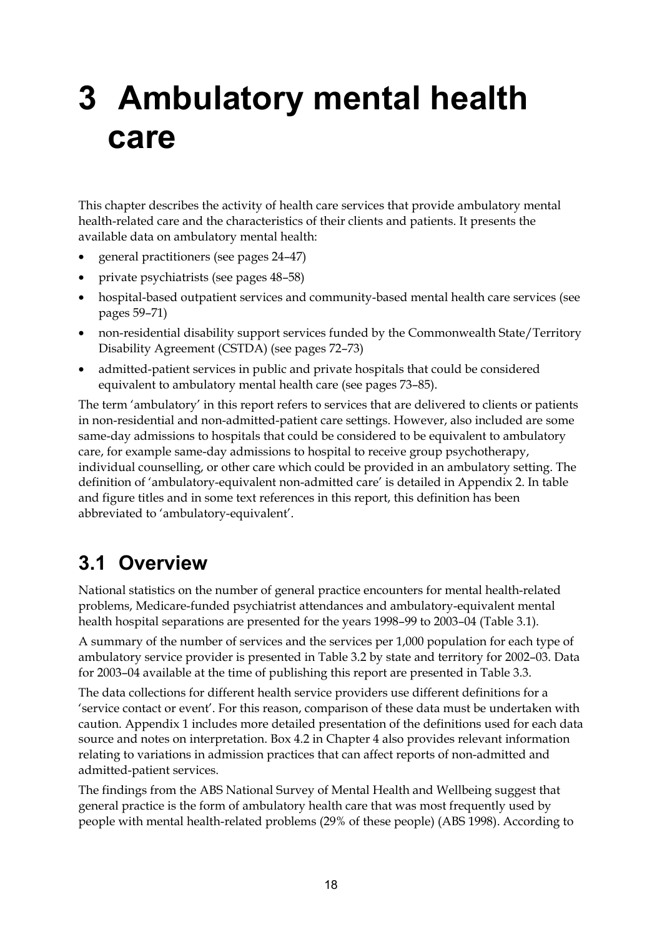# **3 Ambulatory mental health care**

This chapter describes the activity of health care services that provide ambulatory mental health-related care and the characteristics of their clients and patients. It presents the available data on ambulatory mental health:

- general practitioners (see pages 24–47)
- private psychiatrists (see pages 48–58)
- hospital-based outpatient services and community-based mental health care services (see pages 59–71)
- non-residential disability support services funded by the Commonwealth State/Territory Disability Agreement (CSTDA) (see pages 72–73)
- admitted-patient services in public and private hospitals that could be considered equivalent to ambulatory mental health care (see pages 73–85).

The term 'ambulatory' in this report refers to services that are delivered to clients or patients in non-residential and non-admitted-patient care settings. However, also included are some same-day admissions to hospitals that could be considered to be equivalent to ambulatory care, for example same-day admissions to hospital to receive group psychotherapy, individual counselling, or other care which could be provided in an ambulatory setting. The definition of 'ambulatory-equivalent non-admitted care' is detailed in Appendix 2. In table and figure titles and in some text references in this report, this definition has been abbreviated to 'ambulatory-equivalent'.

## **3.1 Overview**

National statistics on the number of general practice encounters for mental health-related problems, Medicare-funded psychiatrist attendances and ambulatory-equivalent mental health hospital separations are presented for the years 1998–99 to 2003–04 (Table 3.1).

A summary of the number of services and the services per 1,000 population for each type of ambulatory service provider is presented in Table 3.2 by state and territory for 2002–03. Data for 2003–04 available at the time of publishing this report are presented in Table 3.3.

The data collections for different health service providers use different definitions for a 'service contact or event'. For this reason, comparison of these data must be undertaken with caution. Appendix 1 includes more detailed presentation of the definitions used for each data source and notes on interpretation. Box 4.2 in Chapter 4 also provides relevant information relating to variations in admission practices that can affect reports of non-admitted and admitted-patient services.

The findings from the ABS National Survey of Mental Health and Wellbeing suggest that general practice is the form of ambulatory health care that was most frequently used by people with mental health-related problems (29% of these people) (ABS 1998). According to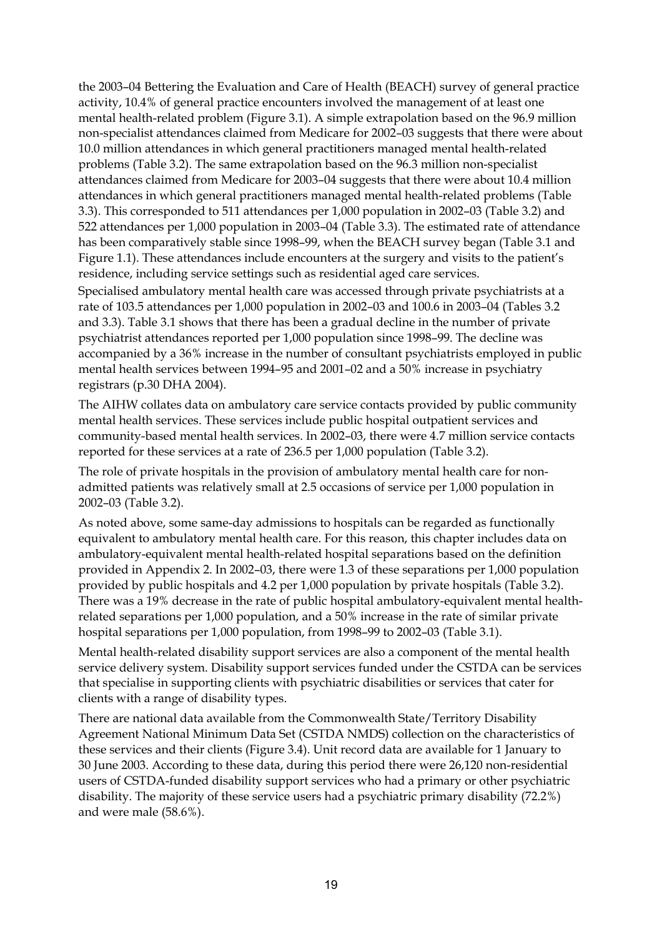the 2003–04 Bettering the Evaluation and Care of Health (BEACH) survey of general practice activity, 10.4% of general practice encounters involved the management of at least one mental health-related problem (Figure 3.1). A simple extrapolation based on the 96.9 million non-specialist attendances claimed from Medicare for 2002–03 suggests that there were about 10.0 million attendances in which general practitioners managed mental health-related problems (Table 3.2). The same extrapolation based on the 96.3 million non-specialist attendances claimed from Medicare for 2003–04 suggests that there were about 10.4 million attendances in which general practitioners managed mental health-related problems (Table 3.3). This corresponded to 511 attendances per 1,000 population in 2002–03 (Table 3.2) and 522 attendances per 1,000 population in 2003–04 (Table 3.3). The estimated rate of attendance has been comparatively stable since 1998–99, when the BEACH survey began (Table 3.1 and Figure 1.1). These attendances include encounters at the surgery and visits to the patient's residence, including service settings such as residential aged care services.

Specialised ambulatory mental health care was accessed through private psychiatrists at a rate of 103.5 attendances per 1,000 population in 2002–03 and 100.6 in 2003–04 (Tables 3.2 and 3.3). Table 3.1 shows that there has been a gradual decline in the number of private psychiatrist attendances reported per 1,000 population since 1998–99. The decline was accompanied by a 36% increase in the number of consultant psychiatrists employed in public mental health services between 1994–95 and 2001–02 and a 50% increase in psychiatry registrars (p.30 DHA 2004).

The AIHW collates data on ambulatory care service contacts provided by public community mental health services. These services include public hospital outpatient services and community-based mental health services. In 2002–03, there were 4.7 million service contacts reported for these services at a rate of 236.5 per 1,000 population (Table 3.2).

The role of private hospitals in the provision of ambulatory mental health care for nonadmitted patients was relatively small at 2.5 occasions of service per 1,000 population in 2002–03 (Table 3.2).

As noted above, some same-day admissions to hospitals can be regarded as functionally equivalent to ambulatory mental health care. For this reason, this chapter includes data on ambulatory-equivalent mental health-related hospital separations based on the definition provided in Appendix 2. In 2002–03, there were 1.3 of these separations per 1,000 population provided by public hospitals and 4.2 per 1,000 population by private hospitals (Table 3.2). There was a 19% decrease in the rate of public hospital ambulatory-equivalent mental healthrelated separations per 1,000 population, and a 50% increase in the rate of similar private hospital separations per 1,000 population, from 1998–99 to 2002–03 (Table 3.1).

Mental health-related disability support services are also a component of the mental health service delivery system. Disability support services funded under the CSTDA can be services that specialise in supporting clients with psychiatric disabilities or services that cater for clients with a range of disability types.

There are national data available from the Commonwealth State/Territory Disability Agreement National Minimum Data Set (CSTDA NMDS) collection on the characteristics of these services and their clients (Figure 3.4). Unit record data are available for 1 January to 30 June 2003. According to these data, during this period there were 26,120 non-residential users of CSTDA-funded disability support services who had a primary or other psychiatric disability. The majority of these service users had a psychiatric primary disability (72.2%) and were male (58.6%).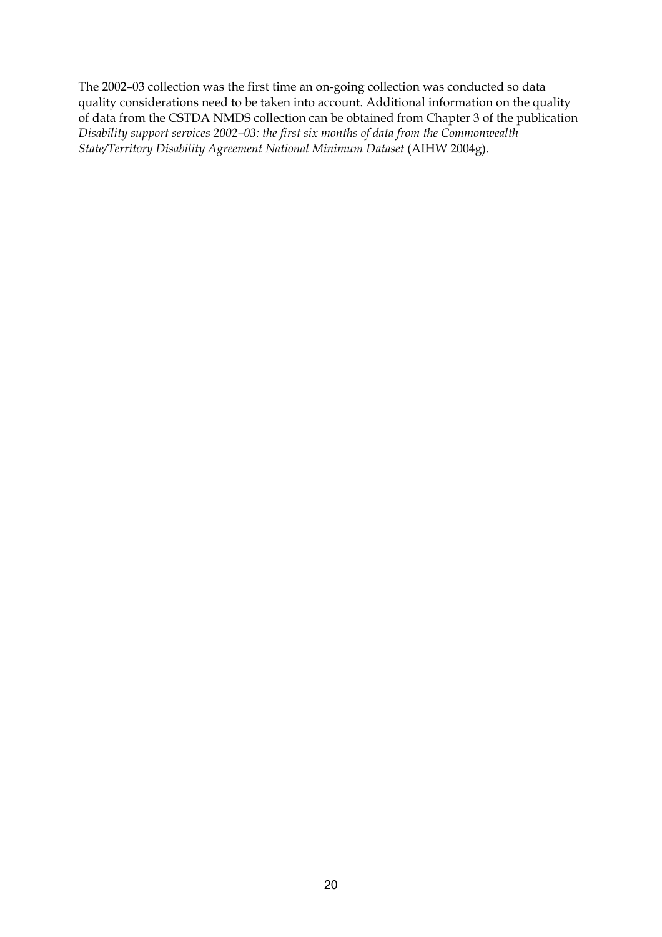The 2002–03 collection was the first time an on-going collection was conducted so data quality considerations need to be taken into account. Additional information on the quality of data from the CSTDA NMDS collection can be obtained from Chapter 3 of the publication *Disability support services 2002–03: the first six months of data from the Commonwealth State/Territory Disability Agreement National Minimum Dataset* (AIHW 2004g).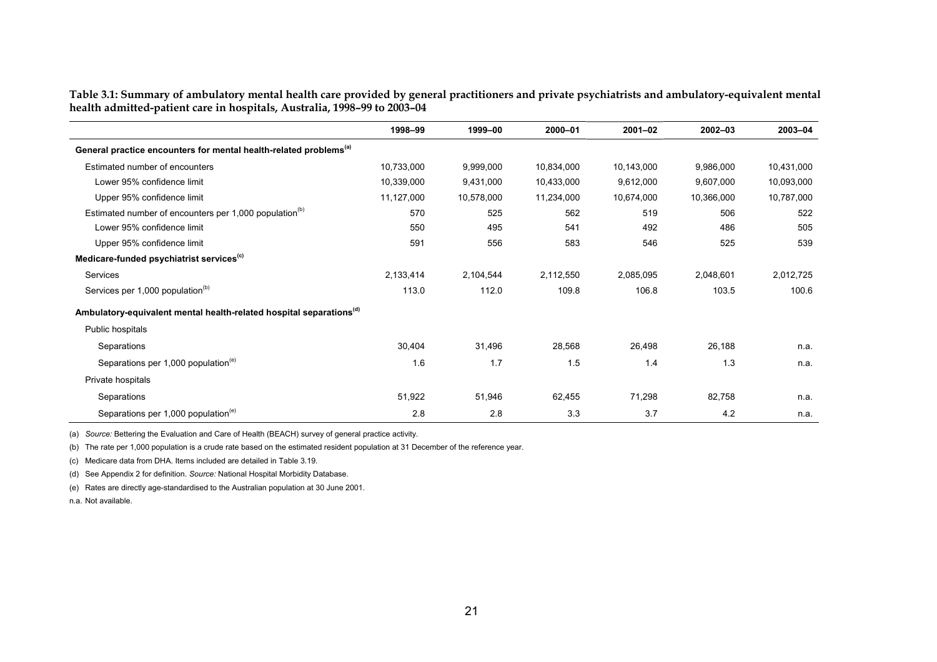|                                                                          | Table 3.1: Summary of ambulatory mental health care provided by general practitioners and private psychiatrists and ambulatory-equivalent mental |
|--------------------------------------------------------------------------|--------------------------------------------------------------------------------------------------------------------------------------------------|
| health admitted-patient care in hospitals, Australia, 1998–99 to 2003–04 |                                                                                                                                                  |
|                                                                          |                                                                                                                                                  |

|                                                                                 | 1998-99    | 1999-00    | 2000-01    | $2001 - 02$ | 2002-03    | 2003-04    |
|---------------------------------------------------------------------------------|------------|------------|------------|-------------|------------|------------|
| General practice encounters for mental health-related problems <sup>(a)</sup>   |            |            |            |             |            |            |
| Estimated number of encounters                                                  | 10,733,000 | 9,999,000  | 10,834,000 | 10,143,000  | 9,986,000  | 10,431,000 |
| Lower 95% confidence limit                                                      | 10,339,000 | 9,431,000  | 10,433,000 | 9,612,000   | 9,607,000  | 10,093,000 |
| Upper 95% confidence limit                                                      | 11,127,000 | 10,578,000 | 11,234,000 | 10,674,000  | 10,366,000 | 10,787,000 |
| Estimated number of encounters per 1,000 population <sup>(b)</sup>              | 570        | 525        | 562        | 519         | 506        | 522        |
| Lower 95% confidence limit                                                      | 550        | 495        | 541        | 492         | 486        | 505        |
| Upper 95% confidence limit                                                      | 591        | 556        | 583        | 546         | 525        | 539        |
| Medicare-funded psychiatrist services <sup>(c)</sup>                            |            |            |            |             |            |            |
| Services                                                                        | 2,133,414  | 2,104,544  | 2,112,550  | 2,085,095   | 2,048,601  | 2,012,725  |
| Services per 1,000 population <sup>(b)</sup>                                    | 113.0      | 112.0      | 109.8      | 106.8       | 103.5      | 100.6      |
| Ambulatory-equivalent mental health-related hospital separations <sup>(d)</sup> |            |            |            |             |            |            |
| Public hospitals                                                                |            |            |            |             |            |            |
| Separations                                                                     | 30,404     | 31,496     | 28,568     | 26,498      | 26,188     | n.a.       |
| Separations per 1,000 population <sup>(e)</sup>                                 | 1.6        | 1.7        | 1.5        | 1.4         | 1.3        | n.a.       |
| Private hospitals                                                               |            |            |            |             |            |            |
| Separations                                                                     | 51,922     | 51,946     | 62,455     | 71,298      | 82,758     | n.a.       |
| Separations per 1,000 population <sup>(e)</sup>                                 | 2.8        | 2.8        | 3.3        | 3.7         | 4.2        | n.a.       |

(a) *Source:* Bettering the Evaluation and Care of Health (BEACH) survey of general practice activity.

(b) The rate per 1,000 population is a crude rate based on the estimated resident population at 31 December of the reference year.

(c) Medicare data from DHA. Items included are detailed in Table 3.19.

(d) See Appendix 2 for definition. *Source:* National Hospital Morbidity Database.

(e) Rates are directly age-standardised to the Australian population at 30 June 2001.

n.a. Not available.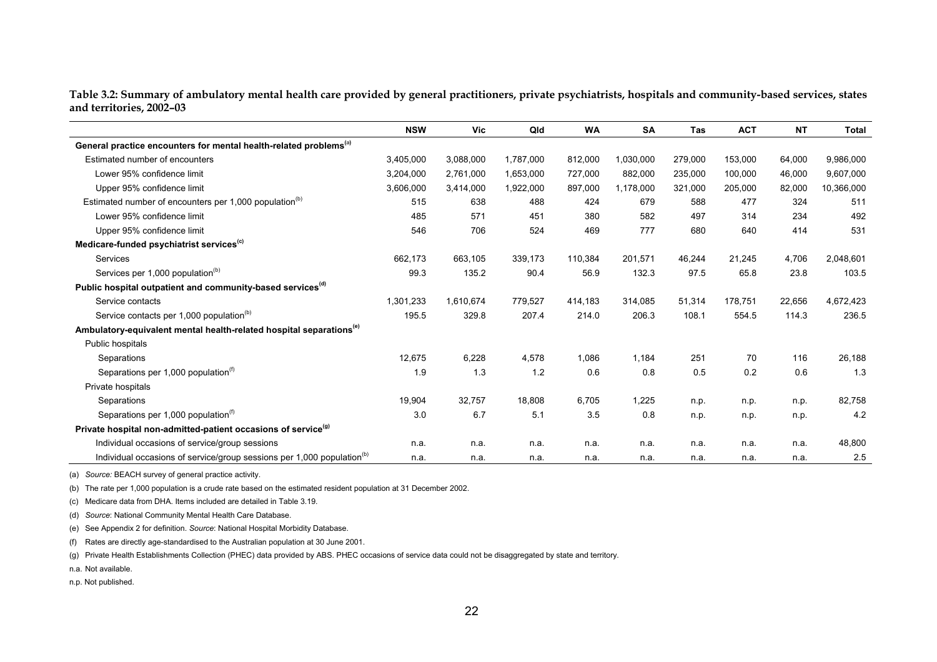**Table 3.2: Summary of ambulatory mental health care provided by general practitioners, private psychiatrists, hospitals and community-based services, states and territories, 2002–03** 

|                                                                                    | <b>NSW</b> | Vic       | Qld       | <b>WA</b> | <b>SA</b> | Tas     | <b>ACT</b> | <b>NT</b> | <b>Total</b> |
|------------------------------------------------------------------------------------|------------|-----------|-----------|-----------|-----------|---------|------------|-----------|--------------|
| General practice encounters for mental health-related problems <sup>(a)</sup>      |            |           |           |           |           |         |            |           |              |
| Estimated number of encounters                                                     | 3,405,000  | 3,088,000 | 1,787,000 | 812,000   | 1,030,000 | 279,000 | 153,000    | 64,000    | 9,986,000    |
| Lower 95% confidence limit                                                         | 3,204,000  | 2,761,000 | 1,653,000 | 727,000   | 882,000   | 235,000 | 100,000    | 46,000    | 9,607,000    |
| Upper 95% confidence limit                                                         | 3,606,000  | 3,414,000 | 1,922,000 | 897,000   | 1,178,000 | 321,000 | 205,000    | 82,000    | 10,366,000   |
| Estimated number of encounters per 1,000 population <sup>(b)</sup>                 | 515        | 638       | 488       | 424       | 679       | 588     | 477        | 324       | 511          |
| Lower 95% confidence limit                                                         | 485        | 571       | 451       | 380       | 582       | 497     | 314        | 234       | 492          |
| Upper 95% confidence limit                                                         | 546        | 706       | 524       | 469       | 777       | 680     | 640        | 414       | 531          |
| Medicare-funded psychiatrist services <sup>(c)</sup>                               |            |           |           |           |           |         |            |           |              |
| Services                                                                           | 662,173    | 663,105   | 339,173   | 110,384   | 201,571   | 46,244  | 21,245     | 4,706     | 2,048,601    |
| Services per 1,000 population <sup>(b)</sup>                                       | 99.3       | 135.2     | 90.4      | 56.9      | 132.3     | 97.5    | 65.8       | 23.8      | 103.5        |
| Public hospital outpatient and community-based services <sup>(d)</sup>             |            |           |           |           |           |         |            |           |              |
| Service contacts                                                                   | 1,301,233  | 1,610,674 | 779,527   | 414,183   | 314,085   | 51,314  | 178,751    | 22,656    | 4,672,423    |
| Service contacts per 1,000 population <sup>(b)</sup>                               | 195.5      | 329.8     | 207.4     | 214.0     | 206.3     | 108.1   | 554.5      | 114.3     | 236.5        |
| Ambulatory-equivalent mental health-related hospital separations <sup>(e)</sup>    |            |           |           |           |           |         |            |           |              |
| Public hospitals                                                                   |            |           |           |           |           |         |            |           |              |
| Separations                                                                        | 12,675     | 6,228     | 4,578     | 1,086     | 1,184     | 251     | 70         | 116       | 26,188       |
| Separations per 1,000 population <sup>(1)</sup>                                    | 1.9        | 1.3       | 1.2       | 0.6       | 0.8       | 0.5     | 0.2        | 0.6       | 1.3          |
| Private hospitals                                                                  |            |           |           |           |           |         |            |           |              |
| Separations                                                                        | 19,904     | 32,757    | 18,808    | 6,705     | 1,225     | n.p.    | n.p.       | n.p.      | 82,758       |
| Separations per 1,000 population <sup>(1)</sup>                                    | 3.0        | 6.7       | 5.1       | 3.5       | 0.8       | n.p.    | n.p.       | n.p.      | 4.2          |
| Private hospital non-admitted-patient occasions of service <sup>(g)</sup>          |            |           |           |           |           |         |            |           |              |
| Individual occasions of service/group sessions                                     | n.a.       | n.a.      | n.a.      | n.a.      | n.a.      | n.a.    | n.a.       | n.a.      | 48,800       |
| Individual occasions of service/group sessions per 1,000 population <sup>(b)</sup> | n.a.       | n.a.      | n.a.      | n.a.      | n.a.      | n.a.    | n.a.       | n.a.      | 2.5          |

(a) *Source:* BEACH survey of general practice activity.

(b) The rate per 1,000 population is a crude rate based on the estimated resident population at 31 December 2002.

(c) Medicare data from DHA. Items included are detailed in Table 3.19.

(d) *Source*: National Community Mental Health Care Database.

(e) See Appendix 2 for definition. *Source*: National Hospital Morbidity Database.

(f) Rates are directly age-standardised to the Australian population at 30 June 2001.

(g) Private Health Establishments Collection (PHEC) data provided by ABS. PHEC occasions of service data could not be disaggregated by state and territory.

n.a. Not available.

n.p. Not published.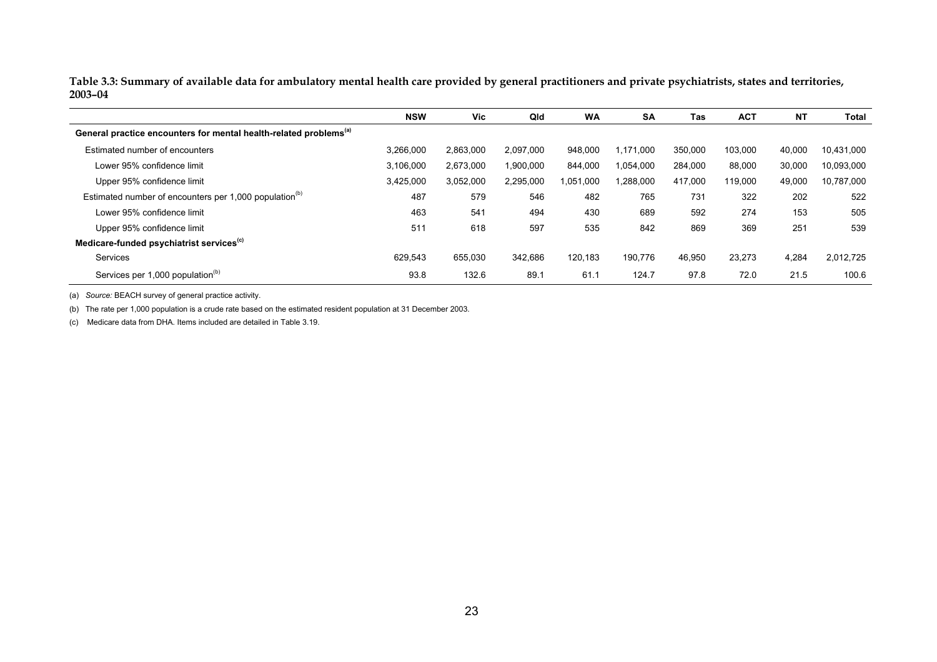**Table 3.3: Summary of available data for ambulatory mental health care provided by general practitioners and private psychiatrists, states and territories, 2003–04** 

|                                                                               | <b>NSW</b> | Vic       | Qld       | <b>WA</b> | <b>SA</b> | <b>Tas</b> | <b>ACT</b> | <b>NT</b> | <b>Total</b> |
|-------------------------------------------------------------------------------|------------|-----------|-----------|-----------|-----------|------------|------------|-----------|--------------|
| General practice encounters for mental health-related problems <sup>(a)</sup> |            |           |           |           |           |            |            |           |              |
| Estimated number of encounters                                                | 3,266,000  | 2,863,000 | 2.097.000 | 948,000   | 1.171.000 | 350,000    | 103,000    | 40,000    | 10.431.000   |
| Lower 95% confidence limit                                                    | 3,106,000  | 2.673.000 | 1,900,000 | 844,000   | 1,054,000 | 284,000    | 88,000     | 30,000    | 10.093.000   |
| Upper 95% confidence limit                                                    | 3,425,000  | 3,052,000 | 2,295,000 | 1,051,000 | 1,288,000 | 417,000    | 119,000    | 49,000    | 10,787,000   |
| Estimated number of encounters per 1,000 population <sup>(b)</sup>            | 487        | 579       | 546       | 482       | 765       | 731        | 322        | 202       | 522          |
| Lower 95% confidence limit                                                    | 463        | 541       | 494       | 430       | 689       | 592        | 274        | 153       | 505          |
| Upper 95% confidence limit                                                    | 511        | 618       | 597       | 535       | 842       | 869        | 369        | 251       | 539          |
| Medicare-funded psychiatrist services <sup>(c)</sup>                          |            |           |           |           |           |            |            |           |              |
| Services                                                                      | 629.543    | 655.030   | 342.686   | 120.183   | 190.776   | 46,950     | 23.273     | 4,284     | 2.012.725    |
| Services per 1,000 population <sup>(b)</sup>                                  | 93.8       | 132.6     | 89.1      | 61.1      | 124.7     | 97.8       | 72.0       | 21.5      | 100.6        |

(a) *Source:* BEACH survey of general practice activity.

(b) The rate per 1,000 population is a crude rate based on the estimated resident population at 31 December 2003.

(c) Medicare data from DHA. Items included are detailed in Table 3.19.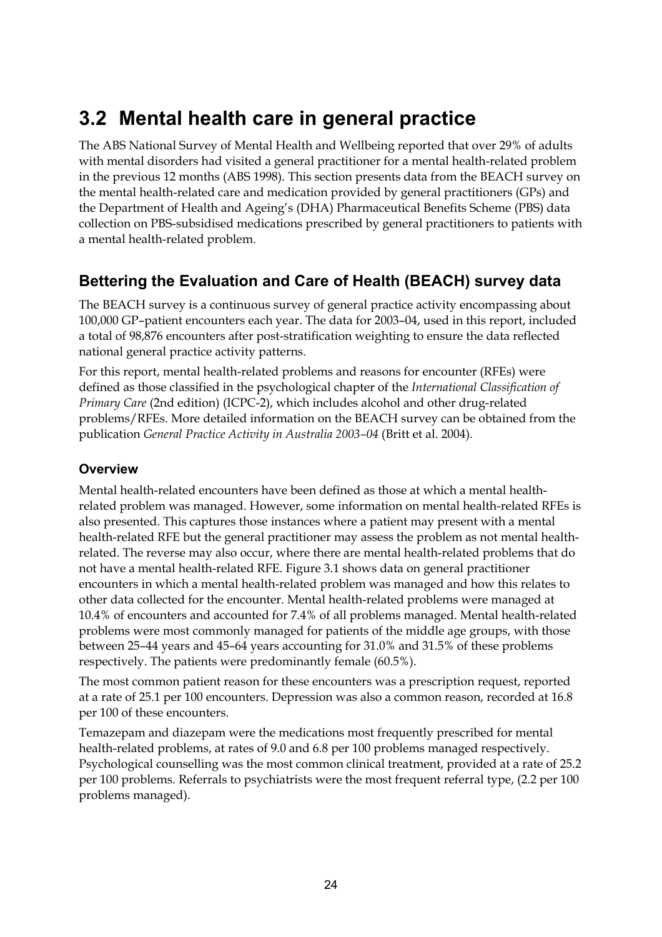## **3.2 Mental health care in general practice**

The ABS National Survey of Mental Health and Wellbeing reported that over 29% of adults with mental disorders had visited a general practitioner for a mental health-related problem in the previous 12 months (ABS 1998). This section presents data from the BEACH survey on the mental health-related care and medication provided by general practitioners (GPs) and the Department of Health and Ageing's (DHA) Pharmaceutical Benefits Scheme (PBS) data collection on PBS-subsidised medications prescribed by general practitioners to patients with a mental health-related problem.

### **Bettering the Evaluation and Care of Health (BEACH) survey data**

The BEACH survey is a continuous survey of general practice activity encompassing about 100,000 GP–patient encounters each year. The data for 2003–04, used in this report, included a total of 98,876 encounters after post-stratification weighting to ensure the data reflected national general practice activity patterns.

For this report, mental health-related problems and reasons for encounter (RFEs) were defined as those classified in the psychological chapter of the *International Classification of Primary Care* (2nd edition) (ICPC-2), which includes alcohol and other drug-related problems/RFEs. More detailed information on the BEACH survey can be obtained from the publication *General Practice Activity in Australia 2003–04* (Britt et al. 2004).

#### **Overview**

Mental health-related encounters have been defined as those at which a mental healthrelated problem was managed. However, some information on mental health-related RFEs is also presented. This captures those instances where a patient may present with a mental health-related RFE but the general practitioner may assess the problem as not mental healthrelated. The reverse may also occur, where there are mental health-related problems that do not have a mental health-related RFE. Figure 3.1 shows data on general practitioner encounters in which a mental health-related problem was managed and how this relates to other data collected for the encounter. Mental health-related problems were managed at 10.4% of encounters and accounted for 7.4% of all problems managed. Mental health-related problems were most commonly managed for patients of the middle age groups, with those between 25–44 years and 45–64 years accounting for 31.0% and 31.5% of these problems respectively. The patients were predominantly female (60.5%).

The most common patient reason for these encounters was a prescription request, reported at a rate of 25.1 per 100 encounters. Depression was also a common reason, recorded at 16.8 per 100 of these encounters.

Temazepam and diazepam were the medications most frequently prescribed for mental health-related problems, at rates of 9.0 and 6.8 per 100 problems managed respectively. Psychological counselling was the most common clinical treatment, provided at a rate of 25.2 per 100 problems. Referrals to psychiatrists were the most frequent referral type, (2.2 per 100 problems managed).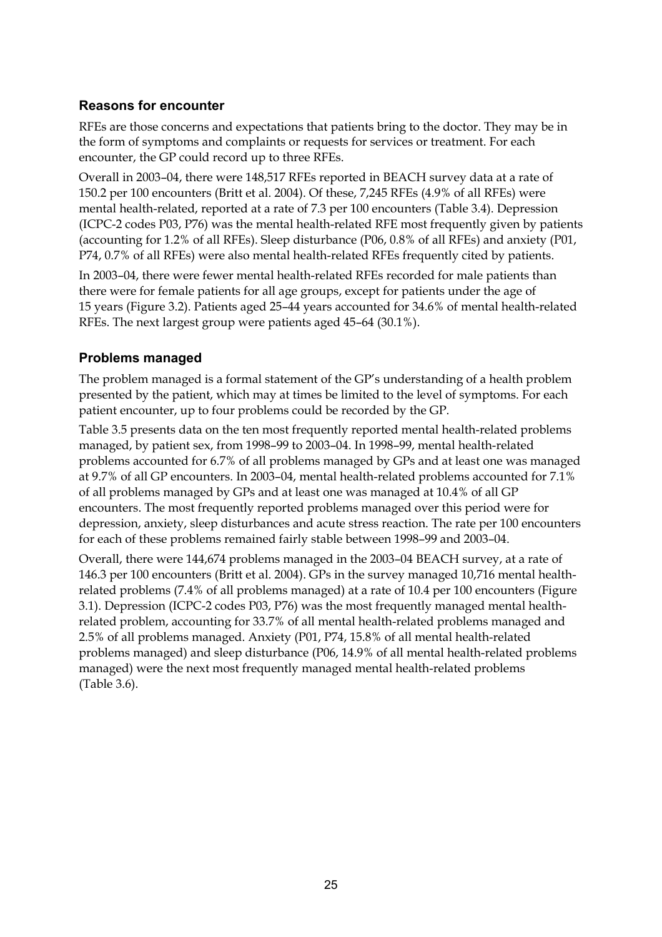#### **Reasons for encounter**

RFEs are those concerns and expectations that patients bring to the doctor. They may be in the form of symptoms and complaints or requests for services or treatment. For each encounter, the GP could record up to three RFEs.

Overall in 2003–04, there were 148,517 RFEs reported in BEACH survey data at a rate of 150.2 per 100 encounters (Britt et al. 2004). Of these, 7,245 RFEs (4.9% of all RFEs) were mental health-related, reported at a rate of 7.3 per 100 encounters (Table 3.4). Depression (ICPC-2 codes P03, P76) was the mental health-related RFE most frequently given by patients (accounting for 1.2% of all RFEs). Sleep disturbance (P06, 0.8% of all RFEs) and anxiety (P01, P74, 0.7% of all RFEs) were also mental health-related RFEs frequently cited by patients.

In 2003–04, there were fewer mental health-related RFEs recorded for male patients than there were for female patients for all age groups, except for patients under the age of 15 years (Figure 3.2). Patients aged 25–44 years accounted for 34.6% of mental health-related RFEs. The next largest group were patients aged 45–64 (30.1%).

#### **Problems managed**

The problem managed is a formal statement of the GP's understanding of a health problem presented by the patient, which may at times be limited to the level of symptoms. For each patient encounter, up to four problems could be recorded by the GP.

Table 3.5 presents data on the ten most frequently reported mental health-related problems managed, by patient sex, from 1998–99 to 2003–04. In 1998–99, mental health-related problems accounted for 6.7% of all problems managed by GPs and at least one was managed at 9.7% of all GP encounters. In 2003–04, mental health-related problems accounted for 7.1% of all problems managed by GPs and at least one was managed at 10.4% of all GP encounters. The most frequently reported problems managed over this period were for depression, anxiety, sleep disturbances and acute stress reaction. The rate per 100 encounters for each of these problems remained fairly stable between 1998–99 and 2003–04.

Overall, there were 144,674 problems managed in the 2003–04 BEACH survey, at a rate of 146.3 per 100 encounters (Britt et al. 2004). GPs in the survey managed 10,716 mental healthrelated problems (7.4% of all problems managed) at a rate of 10.4 per 100 encounters (Figure 3.1). Depression (ICPC-2 codes P03, P76) was the most frequently managed mental healthrelated problem, accounting for 33.7% of all mental health-related problems managed and 2.5% of all problems managed. Anxiety (P01, P74, 15.8% of all mental health-related problems managed) and sleep disturbance (P06, 14.9% of all mental health-related problems managed) were the next most frequently managed mental health-related problems (Table 3.6).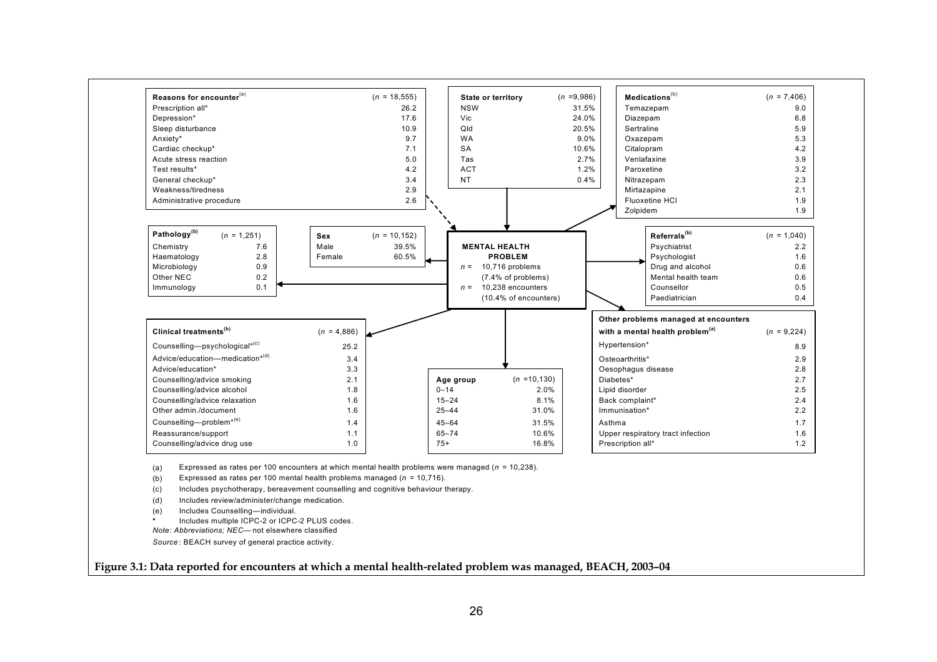

(a) Expressed as rates per 100 encounters at which mental health problems were managed (*<sup>n</sup>* = 10,238).

(b) Expressed as rates per 100 mental health problems managed (*<sup>n</sup>* = 10,716).

(c) Includes psychotherapy, bereavement counselling and cognitive behaviour therapy.

- (d) Includes review/administer/change medication.
- (e) Includes Counselling—individual.

**\***Includes multiple ICPC-2 or ICPC-2 PLUS codes.

*Note: Abbreviations; NEC—* not elsewhere classified

*Source* : BEACH survey of general practice activity.

**Figure 3.1: Data reported for encounters at which a mental health-related problem was managed, BEACH, 2003–04**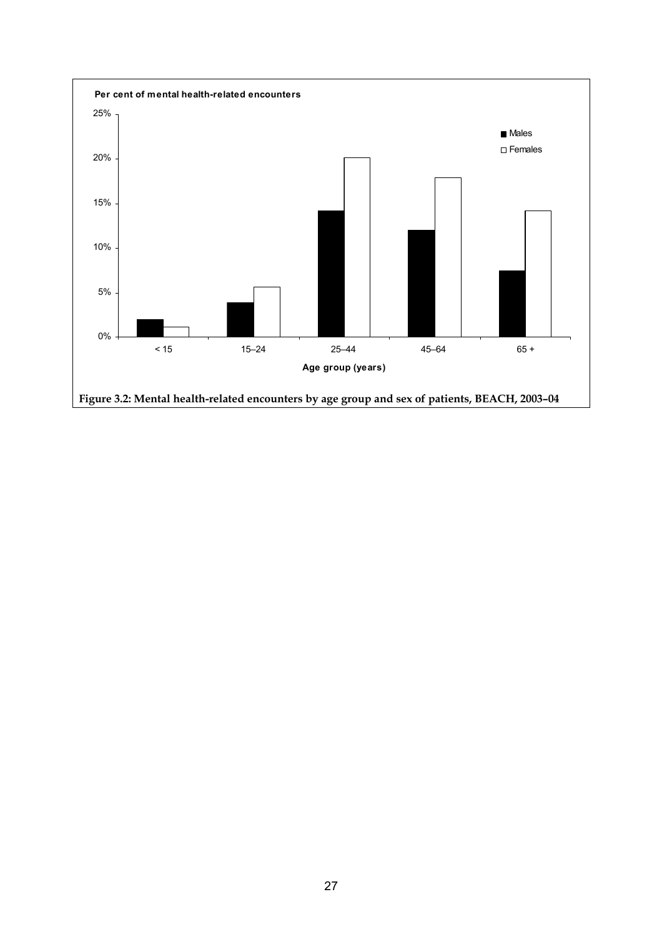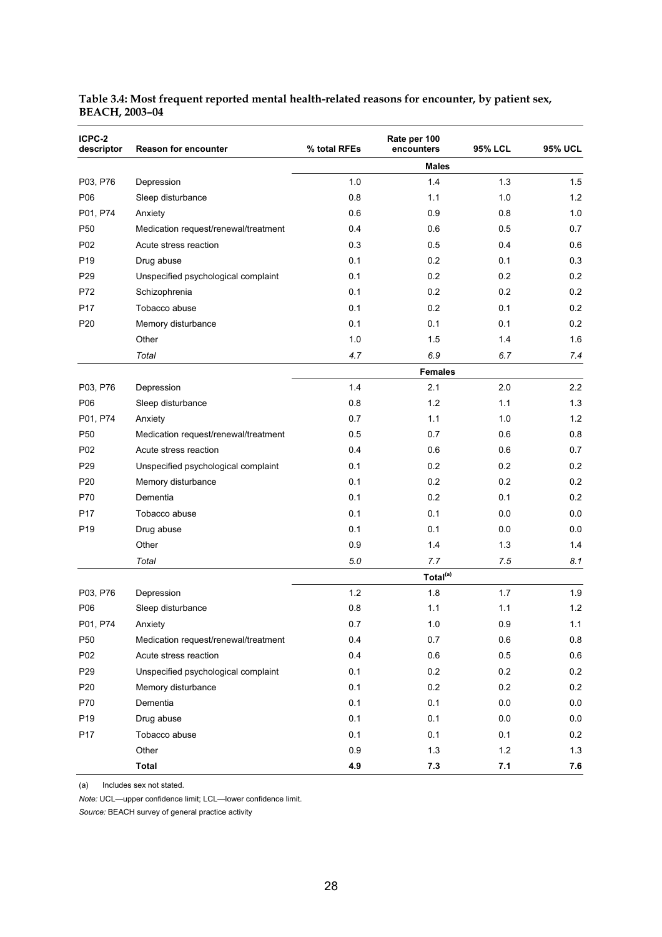| ICPC-2<br>descriptor | Reason for encounter                 | % total RFEs | Rate per 100<br>encounters | <b>95% LCL</b> | <b>95% UCL</b> |
|----------------------|--------------------------------------|--------------|----------------------------|----------------|----------------|
|                      |                                      |              | <b>Males</b>               |                |                |
| P03, P76             | Depression                           | 1.0          | 1.4                        | 1.3            | 1.5            |
| P06                  | Sleep disturbance                    | 0.8          | 1.1                        | 1.0            | 1.2            |
| P01, P74             | Anxiety                              | 0.6          | 0.9                        | 0.8            | 1.0            |
| P <sub>50</sub>      | Medication request/renewal/treatment | 0.4          | 0.6                        | 0.5            | 0.7            |
| P02                  | Acute stress reaction                | 0.3          | 0.5                        | 0.4            | 0.6            |
| P <sub>19</sub>      | Drug abuse                           | 0.1          | 0.2                        | 0.1            | 0.3            |
| P <sub>29</sub>      | Unspecified psychological complaint  | 0.1          | 0.2                        | 0.2            | 0.2            |
| P72                  | Schizophrenia                        | 0.1          | 0.2                        | 0.2            | 0.2            |
| P17                  | Tobacco abuse                        | 0.1          | 0.2                        | 0.1            | 0.2            |
| P20                  | Memory disturbance                   | 0.1          | 0.1                        | 0.1            | 0.2            |
|                      | Other                                | 1.0          | 1.5                        | 1.4            | 1.6            |
|                      | Total                                | 4.7          | 6.9                        | 6.7            | 7.4            |
|                      |                                      |              | <b>Females</b>             |                |                |
| P03, P76             | Depression                           | 1.4          | 2.1                        | 2.0            | 2.2            |
| P06                  | Sleep disturbance                    | 0.8          | 1.2                        | 1.1            | 1.3            |
| P01, P74             | Anxiety                              | 0.7          | 1.1                        | 1.0            | 1.2            |
| P <sub>50</sub>      | Medication request/renewal/treatment | 0.5          | 0.7                        | 0.6            | 0.8            |
| P02                  | Acute stress reaction                | 0.4          | 0.6                        | 0.6            | 0.7            |
| P <sub>29</sub>      | Unspecified psychological complaint  | 0.1          | 0.2                        | 0.2            | 0.2            |
| P20                  | Memory disturbance                   | 0.1          | 0.2                        | 0.2            | 0.2            |
| P70                  | Dementia                             | 0.1          | 0.2                        | 0.1            | 0.2            |
| P17                  | Tobacco abuse                        | 0.1          | 0.1                        | 0.0            | 0.0            |
| P <sub>19</sub>      | Drug abuse                           | 0.1          | 0.1                        | 0.0            | 0.0            |
|                      | Other                                | 0.9          | 1.4                        | 1.3            | 1.4            |
|                      | Total                                | 5.0          | 7.7                        | 7.5            | 8.1            |
|                      |                                      |              | Total <sup>(a)</sup>       |                |                |
| P03, P76             | Depression                           | 1.2          | 1.8                        | 1.7            | 1.9            |
| P06                  | Sleep disturbance                    | 0.8          | 1.1                        | 1.1            | 1.2            |
| P01, P74             | Anxiety                              | 0.7          | $1.0\,$                    | 0.9            | 1.1            |
| P50                  | Medication request/renewal/treatment | 0.4          | 0.7                        | 0.6            | 0.8            |
| P02                  | Acute stress reaction                | 0.4          | $0.6\,$                    | 0.5            | $0.6\,$        |
| P <sub>29</sub>      | Unspecified psychological complaint  | 0.1          | 0.2                        | 0.2            | 0.2            |
| P20                  | Memory disturbance                   | 0.1          | 0.2                        | 0.2            | 0.2            |
| P70                  | Dementia                             | 0.1          | 0.1                        | 0.0            | 0.0            |
| P <sub>19</sub>      | Drug abuse                           | 0.1          | 0.1                        | 0.0            | $0.0\,$        |
| P17                  | Tobacco abuse                        | 0.1          | 0.1                        | 0.1            | 0.2            |
|                      | Other                                | 0.9          | 1.3                        | 1.2            | 1.3            |
|                      | <b>Total</b>                         | 4.9          | 7.3                        | 7.1            | 7.6            |

#### **Table 3.4: Most frequent reported mental health-related reasons for encounter, by patient sex, BEACH, 2003–04**

(a) Includes sex not stated.

*Note:* UCL—upper confidence limit; LCL—lower confidence limit.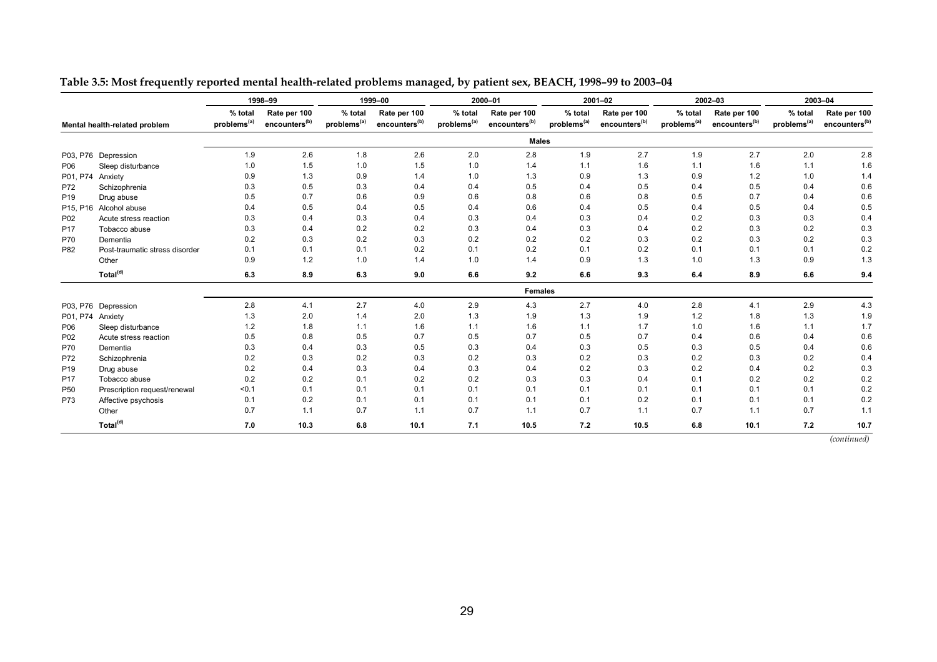|                 |                                |                                    | 1998-99                                   |                                    | 1999-00                                   |                                    | 2000-01                                   |                                    | 2001-02                                   |                                    | 2002-03                                   |                                    | 2003-04                                   |
|-----------------|--------------------------------|------------------------------------|-------------------------------------------|------------------------------------|-------------------------------------------|------------------------------------|-------------------------------------------|------------------------------------|-------------------------------------------|------------------------------------|-------------------------------------------|------------------------------------|-------------------------------------------|
|                 | Mental health-related problem  | % total<br>problems <sup>(a)</sup> | Rate per 100<br>encounters <sup>(b)</sup> | % total<br>problems <sup>(a)</sup> | Rate per 100<br>encounters <sup>(b)</sup> | % total<br>problems <sup>(a)</sup> | Rate per 100<br>encounters <sup>(b)</sup> | % total<br>problems <sup>(a)</sup> | Rate per 100<br>encounters <sup>(b)</sup> | % total<br>problems <sup>(a)</sup> | Rate per 100<br>encounters <sup>(b)</sup> | % total<br>problems <sup>(a)</sup> | Rate per 100<br>encounters <sup>(b)</sup> |
|                 |                                |                                    |                                           |                                    |                                           |                                    | <b>Males</b>                              |                                    |                                           |                                    |                                           |                                    |                                           |
| P03, P76        | Depression                     | 1.9                                | 2.6                                       | 1.8                                | 2.6                                       | 2.0                                | 2.8                                       | 1.9                                | 2.7                                       | 1.9                                | 2.7                                       | 2.0                                | 2.8                                       |
| P06             | Sleep disturbance              | 1.0                                | 1.5                                       | 1.0                                | 1.5                                       | 1.0                                | 1.4                                       | 1.1                                | 1.6                                       | 1.1                                | 1.6                                       | 1.1                                | 1.6                                       |
| P01, P74        | Anxiety                        | 0.9                                | 1.3                                       | 0.9                                | 1.4                                       | 1.0                                | 1.3                                       | 0.9                                | 1.3                                       | 0.9                                | 1.2                                       | 1.0                                | 1.4                                       |
| P72             | Schizophrenia                  | 0.3                                | 0.5                                       | 0.3                                | 0.4                                       | 0.4                                | 0.5                                       | 0.4                                | 0.5                                       | 0.4                                | 0.5                                       | 0.4                                | 0.6                                       |
| P <sub>19</sub> | Drug abuse                     | 0.5                                | 0.7                                       | 0.6                                | 0.9                                       | 0.6                                | 0.8                                       | 0.6                                | 0.8                                       | 0.5                                | 0.7                                       | 0.4                                | 0.6                                       |
| P15, P16        | Alcohol abuse                  | 0.4                                | 0.5                                       | 0.4                                | 0.5                                       | 0.4                                | 0.6                                       | 0.4                                | 0.5                                       | 0.4                                | 0.5                                       | 0.4                                | 0.5                                       |
| P02             | Acute stress reaction          | 0.3                                | 0.4                                       | 0.3                                | 0.4                                       | 0.3                                | 0.4                                       | 0.3                                | 0.4                                       | 0.2                                | 0.3                                       | 0.3                                | 0.4                                       |
| P <sub>17</sub> | Tobacco abuse                  | 0.3                                | 0.4                                       | 0.2                                | 0.2                                       | 0.3                                | 0.4                                       | 0.3                                | 0.4                                       | 0.2                                | 0.3                                       | 0.2                                | 0.3                                       |
| P70             | Dementia                       | 0.2                                | 0.3                                       | 0.2                                | 0.3                                       | 0.2                                | 0.2                                       | 0.2                                | 0.3                                       | 0.2                                | 0.3                                       | 0.2                                | 0.3                                       |
| P82             | Post-traumatic stress disorder | 0.1                                | 0.1                                       | 0.1                                | 0.2                                       | 0.1                                | 0.2                                       | 0.1                                | 0.2                                       | 0.1                                | 0.1                                       | 0.1                                | 0.2                                       |
|                 | Other                          | 0.9                                | 1.2                                       | 1.0                                | 1.4                                       | 1.0                                | 1.4                                       | 0.9                                | 1.3                                       | 1.0                                | 1.3                                       | 0.9                                | 1.3                                       |
|                 | Total <sup>(d)</sup>           | 6.3                                | 8.9                                       | 6.3                                | 9.0                                       | 6.6                                | 9.2                                       | 6.6                                | 9.3                                       | 6.4                                | 8.9                                       | 6.6                                | 9.4                                       |
|                 |                                |                                    |                                           |                                    |                                           |                                    | <b>Females</b>                            |                                    |                                           |                                    |                                           |                                    |                                           |
| P03, P76        | Depression                     | 2.8                                | 4.1                                       | 2.7                                | 4.0                                       | 2.9                                | 4.3                                       | 2.7                                | 4.0                                       | 2.8                                | 4.1                                       | 2.9                                | 4.3                                       |
| P01, P74        | Anxiety                        | 1.3                                | 2.0                                       | 1.4                                | 2.0                                       | 1.3                                | 1.9                                       | 1.3                                | 1.9                                       | 1.2                                | 1.8                                       | 1.3                                | 1.9                                       |
| P06             | Sleep disturbance              | 1.2                                | 1.8                                       | 1.1                                | 1.6                                       | 1.1                                | 1.6                                       | 1.1                                | 1.7                                       | 1.0                                | 1.6                                       | 1.1                                | 1.7                                       |
| P <sub>02</sub> | Acute stress reaction          | 0.5                                | 0.8                                       | 0.5                                | 0.7                                       | 0.5                                | 0.7                                       | 0.5                                | 0.7                                       | 0.4                                | 0.6                                       | 0.4                                | 0.6                                       |
| P70             | Dementia                       | 0.3                                | 0.4                                       | 0.3                                | 0.5                                       | 0.3                                | 0.4                                       | 0.3                                | 0.5                                       | 0.3                                | 0.5                                       | 0.4                                | 0.6                                       |
| P72             | Schizophrenia                  | 0.2                                | 0.3                                       | 0.2                                | 0.3                                       | 0.2                                | 0.3                                       | 0.2                                | 0.3                                       | 0.2                                | 0.3                                       | 0.2                                | 0.4                                       |
| P <sub>19</sub> | Drug abuse                     | 0.2                                | 0.4                                       | 0.3                                | 0.4                                       | 0.3                                | 0.4                                       | 0.2                                | 0.3                                       | 0.2                                | 0.4                                       | 0.2                                | 0.3                                       |
| P <sub>17</sub> | Tobacco abuse                  | 0.2                                | 0.2                                       | 0.1                                | 0.2                                       | 0.2                                | 0.3                                       | 0.3                                | 0.4                                       | 0.1                                | 0.2                                       | 0.2                                | 0.2                                       |
| P <sub>50</sub> | Prescription request/renewal   | < 0.1                              | 0.1                                       | 0.1                                | 0.1                                       | 0.1                                | 0.1                                       | 0.1                                | 0.1                                       | 0.1                                | 0.1                                       | 0.1                                | 0.2                                       |
| P73             | Affective psychosis            | 0.1                                | 0.2                                       | 0.1                                | 0.1                                       | 0.1                                | 0.1                                       | 0.1                                | 0.2                                       | 0.1                                | 0.1                                       | 0.1                                | 0.2                                       |
|                 | Other                          | 0.7                                | 1.1                                       | 0.7                                | 1.1                                       | 0.7                                | 1.1                                       | 0.7                                | 1.1                                       | 0.7                                | 1.1                                       | 0.7                                | 1.1                                       |
|                 | Total <sup>(d)</sup>           | 7.0                                | 10.3                                      | 6.8                                | 10.1                                      | 7.1                                | 10.5                                      | 7.2                                | 10.5                                      | 6.8                                | 10.1                                      | 7.2                                | 10.7                                      |

#### **Table 3.5: Most frequently reported mental health-related problems managed, by patient sex, BEACH, 1998–99 to 2003–04**

*(continued)*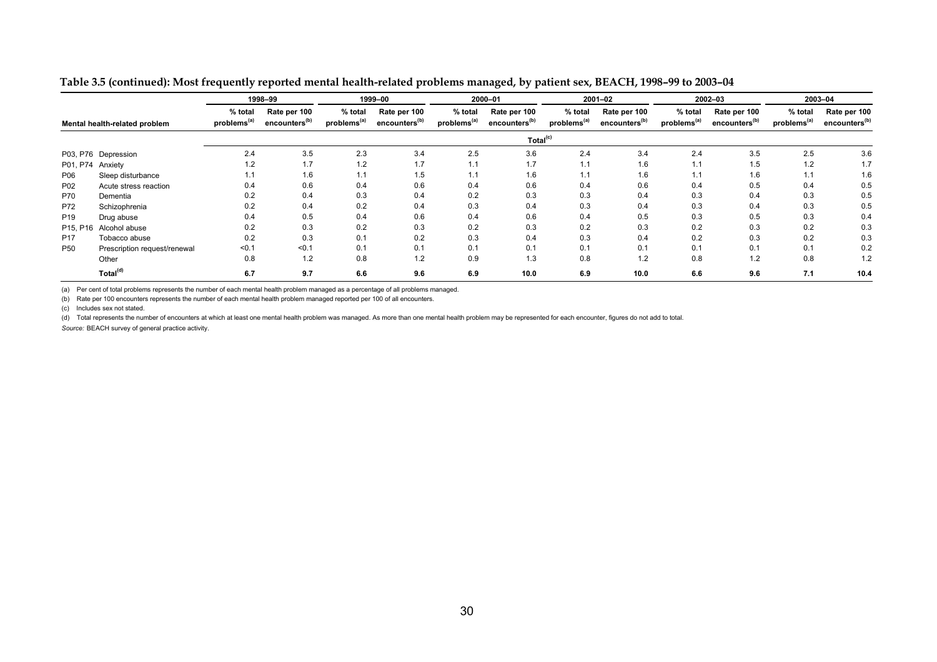|                               |                              |                                    |                                           |                                    |                                           |                                    | . .                                       |                                    |                                           |                                    |                                           |                                    |                                           |
|-------------------------------|------------------------------|------------------------------------|-------------------------------------------|------------------------------------|-------------------------------------------|------------------------------------|-------------------------------------------|------------------------------------|-------------------------------------------|------------------------------------|-------------------------------------------|------------------------------------|-------------------------------------------|
|                               | 1998-99                      |                                    |                                           |                                    | 1999-00                                   |                                    | 2000-01                                   |                                    | 2001-02                                   |                                    | 2002-03                                   |                                    | 2003-04                                   |
| Mental health-related problem |                              | % total<br>problems <sup>(a)</sup> | Rate per 100<br>encounters <sup>(b)</sup> | % total<br>problems <sup>(a)</sup> | Rate per 100<br>encounters <sup>(b)</sup> | % total<br>problems <sup>(a)</sup> | Rate per 100<br>encounters <sup>(b)</sup> | % total<br>problems <sup>(a)</sup> | Rate per 100<br>encounters <sup>(b)</sup> | % total<br>problems <sup>(a)</sup> | Rate per 100<br>encounters <sup>(b)</sup> | % total<br>problems <sup>(a)</sup> | Rate per 100<br>encounters <sup>(b)</sup> |
|                               |                              |                                    |                                           |                                    |                                           |                                    | Total <sup>(c)</sup>                      |                                    |                                           |                                    |                                           |                                    |                                           |
|                               | P03, P76 Depression          | 2.4                                | 3.5                                       | 2.3                                | 3.4                                       | 2.5                                | 3.6                                       | 2.4                                | 3.4                                       | 2.4                                | 3.5                                       | 2.5                                | 3.6                                       |
| P01, P74                      | Anxiety                      | 1.2                                | 1.7                                       | 1.2                                | 1.7                                       | 1.1                                | 1.7                                       | 1.1                                | 1.6                                       | 1.1                                | 1.5                                       | 1.2                                | 1.7                                       |
| P06                           | Sleep disturbance            |                                    | 1.6                                       | 1.1                                | 1.5                                       | 1.1                                | 1.6                                       | 1.1                                | 1.6                                       | 1.1                                | 1.6                                       | 1.1                                | 1.6                                       |
| P02                           | Acute stress reaction        | 0.4                                | 0.6                                       | 0.4                                | 0.6                                       | 0.4                                | 0.6                                       | 0.4                                | 0.6                                       | 0.4                                | 0.5                                       | 0.4                                | 0.5                                       |
| P70                           | Dementia                     | 0.2                                | 0.4                                       | 0.3                                | 0.4                                       | 0.2                                | 0.3                                       | 0.3                                | 0.4                                       | 0.3                                | 0.4                                       | 0.3                                | 0.5                                       |
| P72                           | Schizophrenia                | 0.2                                | 0.4                                       | 0.2                                | 0.4                                       | 0.3                                | 0.4                                       | 0.3                                | 0.4                                       | 0.3                                | 0.4                                       | 0.3                                | 0.5                                       |
| P <sub>19</sub>               | Drug abuse                   | 0.4                                | 0.5                                       | 0.4                                | 0.6                                       | 0.4                                | 0.6                                       | 0.4                                | 0.5                                       | 0.3                                | 0.5                                       | 0.3                                | 0.4                                       |
| P15, P16                      | Alcohol abuse                | 0.2                                | 0.3                                       | 0.2                                | 0.3                                       | 0.2                                | 0.3                                       | 0.2                                | 0.3                                       | 0.2                                | 0.3                                       | 0.2                                | 0.3                                       |
| P <sub>17</sub>               | Tobacco abuse                | 0.2                                | 0.3                                       | 0.1                                | 0.2                                       | 0.3                                | 0.4                                       | 0.3                                | 0.4                                       | 0.2                                | 0.3                                       | 0.2                                | 0.3                                       |
| P <sub>50</sub>               | Prescription request/renewal | 50.1                               | < 0.1                                     | 0.1                                | 0.1                                       | 0.1                                | 0.1                                       | 0.1                                | 0.1                                       | 0.1                                | 0.1                                       | 0.1                                | 0.2                                       |
|                               | Other                        | 0.8                                | 1.2                                       | 0.8                                | 1.2                                       | 0.9                                | 1.3                                       | 0.8                                | 1.2                                       | 0.8                                | 1.2                                       | 0.8                                | 1.2                                       |
|                               | Total <sup>(d)</sup>         | 6.7                                | 9.7                                       | 6.6                                | 9.6                                       | 6.9                                | 10.0                                      | 6.9                                | 10.0                                      | 6.6                                | 9.6                                       | 7.1                                | 10.4                                      |

**Table 3.5 (continued): Most frequently reported mental health-related problems managed, by patient sex, BEACH, 1998–99 to 2003–04** 

(a) Per cent of total problems represents the number of each mental health problem managed as a percentage of all problems managed.

(b) Rate per 100 encounters represents the number of each mental health problem managed reported per 100 of all encounters.

(c) Includes sex not stated.

(d) Total represents the number of encounters at which at least one mental health problem was managed. As more than one mental health problem may be represented for each encounter, figures do not add to total.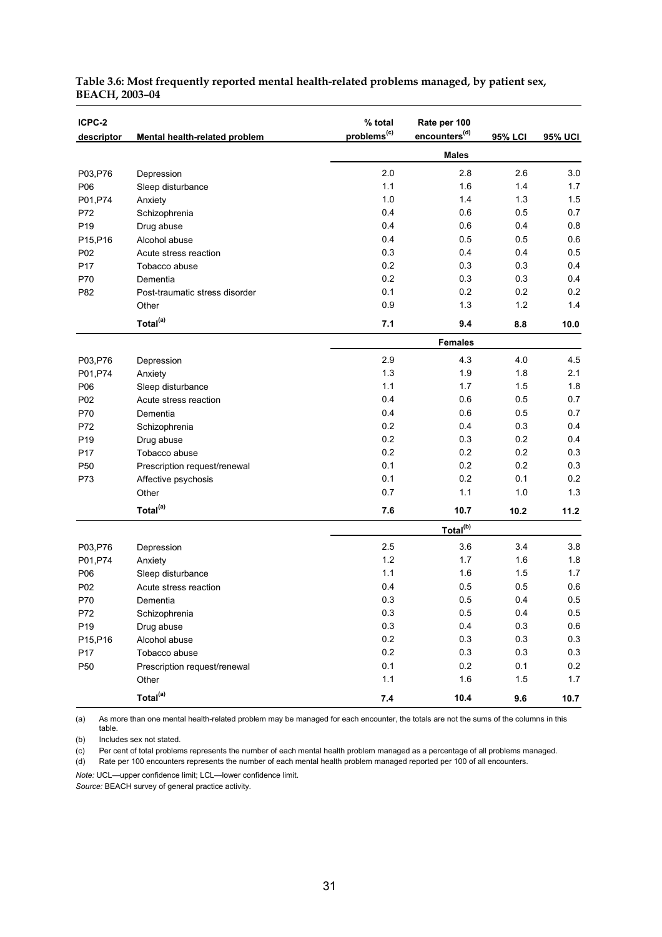| ICPC-2          |                                | % total                 | Rate per 100              |         |                |
|-----------------|--------------------------------|-------------------------|---------------------------|---------|----------------|
| descriptor      | Mental health-related problem  | problems <sup>(c)</sup> | encounters <sup>(d)</sup> | 95% LCI | <b>95% UCI</b> |
|                 |                                |                         | <b>Males</b>              |         |                |
| P03, P76        | Depression                     | 2.0                     | 2.8                       | 2.6     | 3.0            |
| P06             | Sleep disturbance              | 1.1                     | 1.6                       | 1.4     | 1.7            |
| P01, P74        | Anxiety                        | 1.0                     | 1.4                       | 1.3     | 1.5            |
| P72             | Schizophrenia                  | 0.4                     | 0.6                       | 0.5     | 0.7            |
| P <sub>19</sub> | Drug abuse                     | 0.4                     | 0.6                       | 0.4     | 0.8            |
| P15, P16        | Alcohol abuse                  | 0.4                     | 0.5                       | 0.5     | 0.6            |
| P02             | Acute stress reaction          | 0.3                     | 0.4                       | 0.4     | 0.5            |
| P17             | Tobacco abuse                  | 0.2                     | 0.3                       | 0.3     | 0.4            |
| P70             | Dementia                       | 0.2                     | 0.3                       | 0.3     | 0.4            |
| P82             | Post-traumatic stress disorder | 0.1                     | 0.2                       | 0.2     | 0.2            |
|                 | Other                          | 0.9                     | 1.3                       | 1.2     | 1.4            |
|                 | Total <sup>(a)</sup>           | 7.1                     | 9.4                       | 8.8     | 10.0           |
|                 |                                |                         | <b>Females</b>            |         |                |
| P03, P76        | Depression                     | 2.9                     | 4.3                       | 4.0     | 4.5            |
| P01, P74        | Anxiety                        | 1.3                     | 1.9                       | 1.8     | 2.1            |
| P06             | Sleep disturbance              | 1.1                     | 1.7                       | 1.5     | 1.8            |
| P02             | Acute stress reaction          | 0.4                     | 0.6                       | 0.5     | 0.7            |
| P70             | Dementia                       | 0.4                     | 0.6                       | 0.5     | 0.7            |
| P72             | Schizophrenia                  | 0.2                     | 0.4                       | 0.3     | 0.4            |
| P <sub>19</sub> | Drug abuse                     | 0.2                     | 0.3                       | 0.2     | 0.4            |
| P17             | Tobacco abuse                  | 0.2                     | 0.2                       | 0.2     | 0.3            |
| P <sub>50</sub> | Prescription request/renewal   | 0.1                     | 0.2                       | 0.2     | 0.3            |
| P73             | Affective psychosis            | 0.1                     | 0.2                       | 0.1     | 0.2            |
|                 | Other                          | 0.7                     | 1.1                       | 1.0     | 1.3            |
|                 | Total <sup>(a)</sup>           | 7.6                     | 10.7                      | 10.2    | 11.2           |
|                 |                                |                         | Total <sup>(b)</sup>      |         |                |
| P03, P76        | Depression                     | 2.5                     | 3.6                       | 3.4     | 3.8            |
| P01, P74        | Anxiety                        | 1.2                     | 1.7                       | 1.6     | 1.8            |
| P06             | Sleep disturbance              | 1.1                     | 1.6                       | 1.5     | 1.7            |
| P02             | Acute stress reaction          | 0.4                     | 0.5                       | 0.5     | 0.6            |
| P70             | Dementia                       | 0.3                     | 0.5                       | 0.4     | 0.5            |
| P72             | Schizophrenia                  | $0.3\,$                 | 0.5                       | 0.4     | 0.5            |
| P19             | Drug abuse                     | $0.3\,$                 | 0.4                       | 0.3     | 0.6            |
| P15, P16        | Alcohol abuse                  | $0.2\,$                 | 0.3                       | 0.3     | 0.3            |
| P17             | Tobacco abuse                  | $0.2\,$                 | 0.3                       | 0.3     | 0.3            |
| P50             | Prescription request/renewal   | 0.1                     | 0.2                       | 0.1     | 0.2            |
|                 | Other                          | 1.1                     | 1.6                       | 1.5     | 1.7            |
|                 | Total <sup>(a)</sup>           | 7.4                     | 10.4                      | 9.6     | 10.7           |

#### **Table 3.6: Most frequently reported mental health-related problems managed, by patient sex, BEACH, 2003–04**

(a) As more than one mental health-related problem may be managed for each encounter, the totals are not the sums of the columns in this table.

(b) Includes sex not stated.

(c) Per cent of total problems represents the number of each mental health problem managed as a percentage of all problems managed.

(d) Rate per 100 encounters represents the number of each mental health problem managed reported per 100 of all encounters.

*Note:* UCL—upper confidence limit; LCL—lower confidence limit.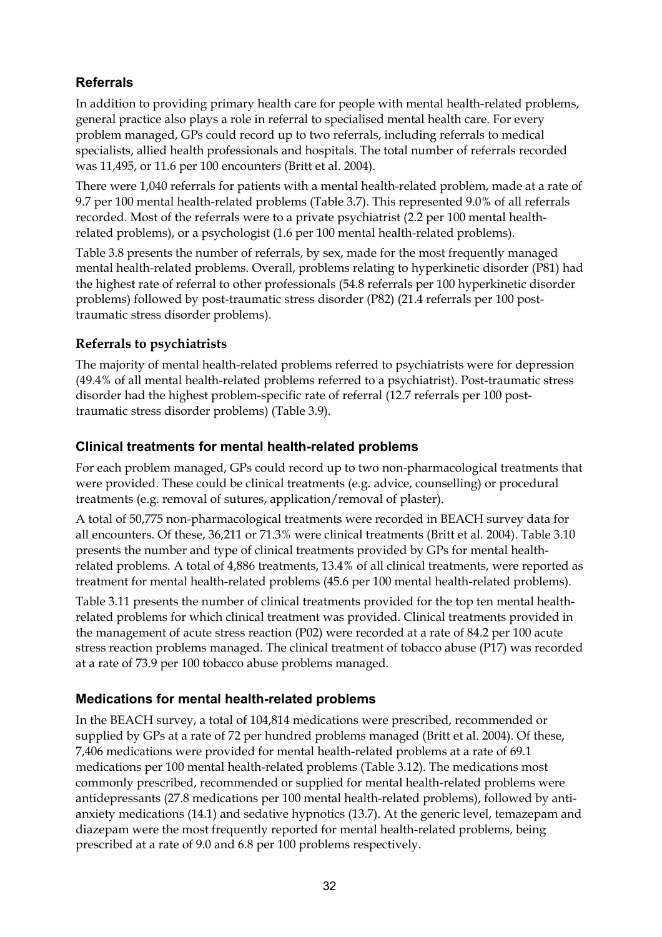### **Referrals**

In addition to providing primary health care for people with mental health-related problems, general practice also plays a role in referral to specialised mental health care. For every problem managed, GPs could record up to two referrals, including referrals to medical specialists, allied health professionals and hospitals. The total number of referrals recorded was 11,495, or 11.6 per 100 encounters (Britt et al. 2004).

There were 1,040 referrals for patients with a mental health-related problem, made at a rate of 9.7 per 100 mental health-related problems (Table 3.7). This represented 9.0% of all referrals recorded. Most of the referrals were to a private psychiatrist (2.2 per 100 mental healthrelated problems), or a psychologist (1.6 per 100 mental health-related problems).

Table 3.8 presents the number of referrals, by sex, made for the most frequently managed mental health-related problems. Overall, problems relating to hyperkinetic disorder (P81) had the highest rate of referral to other professionals (54.8 referrals per 100 hyperkinetic disorder problems) followed by post-traumatic stress disorder (P82) (21.4 referrals per 100 posttraumatic stress disorder problems).

#### **Referrals to psychiatrists**

The majority of mental health-related problems referred to psychiatrists were for depression (49.4% of all mental health-related problems referred to a psychiatrist). Post-traumatic stress disorder had the highest problem-specific rate of referral (12.7 referrals per 100 posttraumatic stress disorder problems) (Table 3.9).

#### **Clinical treatments for mental health-related problems**

For each problem managed, GPs could record up to two non-pharmacological treatments that were provided. These could be clinical treatments (e.g. advice, counselling) or procedural treatments (e.g. removal of sutures, application/removal of plaster).

A total of 50,775 non-pharmacological treatments were recorded in BEACH survey data for all encounters. Of these, 36,211 or 71.3% were clinical treatments (Britt et al. 2004). Table 3.10 presents the number and type of clinical treatments provided by GPs for mental healthrelated problems. A total of 4,886 treatments, 13.4% of all clinical treatments, were reported as treatment for mental health-related problems (45.6 per 100 mental health-related problems).

Table 3.11 presents the number of clinical treatments provided for the top ten mental healthrelated problems for which clinical treatment was provided. Clinical treatments provided in the management of acute stress reaction (P02) were recorded at a rate of 84.2 per 100 acute stress reaction problems managed. The clinical treatment of tobacco abuse (P17) was recorded at a rate of 73.9 per 100 tobacco abuse problems managed.

#### **Medications for mental health-related problems**

In the BEACH survey, a total of 104,814 medications were prescribed, recommended or supplied by GPs at a rate of 72 per hundred problems managed (Britt et al. 2004). Of these, 7,406 medications were provided for mental health-related problems at a rate of 69.1 medications per 100 mental health-related problems (Table 3.12). The medications most commonly prescribed, recommended or supplied for mental health-related problems were antidepressants (27.8 medications per 100 mental health-related problems), followed by antianxiety medications (14.1) and sedative hypnotics (13.7). At the generic level, temazepam and diazepam were the most frequently reported for mental health-related problems, being prescribed at a rate of 9.0 and 6.8 per 100 problems respectively.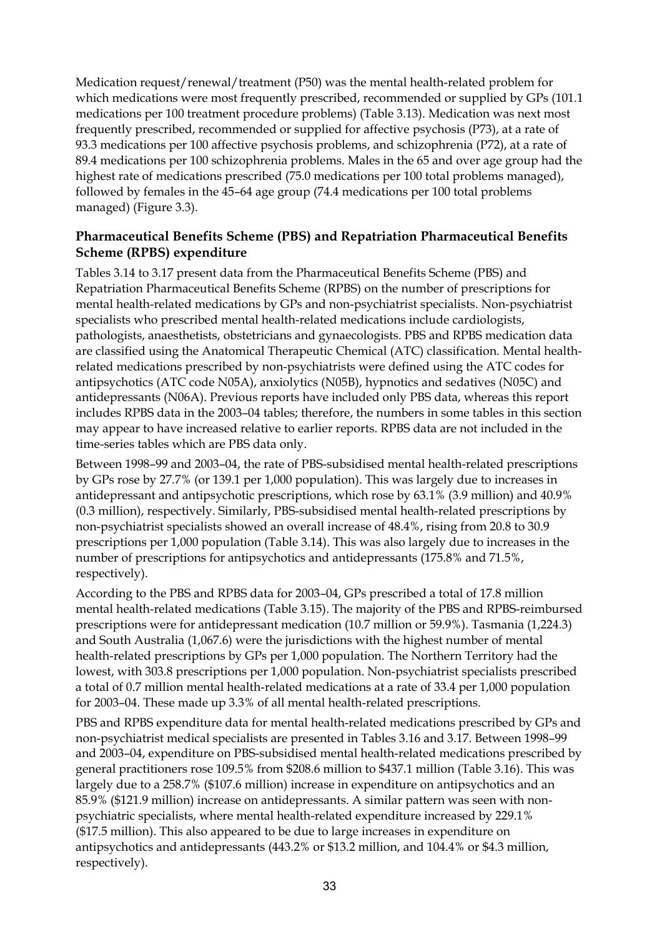Medication request/renewal/treatment (P50) was the mental health-related problem for which medications were most frequently prescribed, recommended or supplied by GPs (101.1 medications per 100 treatment procedure problems) (Table 3.13). Medication was next most frequently prescribed, recommended or supplied for affective psychosis (P73), at a rate of 93.3 medications per 100 affective psychosis problems, and schizophrenia (P72), at a rate of 89.4 medications per 100 schizophrenia problems. Males in the 65 and over age group had the highest rate of medications prescribed (75.0 medications per 100 total problems managed), followed by females in the 45–64 age group (74.4 medications per 100 total problems managed) (Figure 3.3).

#### **Pharmaceutical Benefits Scheme (PBS) and Repatriation Pharmaceutical Benefits Scheme (RPBS) expenditure**

Tables 3.14 to 3.17 present data from the Pharmaceutical Benefits Scheme (PBS) and Repatriation Pharmaceutical Benefits Scheme (RPBS) on the number of prescriptions for mental health-related medications by GPs and non-psychiatrist specialists. Non-psychiatrist specialists who prescribed mental health-related medications include cardiologists, pathologists, anaesthetists, obstetricians and gynaecologists. PBS and RPBS medication data are classified using the Anatomical Therapeutic Chemical (ATC) classification. Mental healthrelated medications prescribed by non-psychiatrists were defined using the ATC codes for antipsychotics (ATC code N05A), anxiolytics (N05B), hypnotics and sedatives (N05C) and antidepressants (N06A). Previous reports have included only PBS data, whereas this report includes RPBS data in the 2003–04 tables; therefore, the numbers in some tables in this section may appear to have increased relative to earlier reports. RPBS data are not included in the time-series tables which are PBS data only.

Between 1998–99 and 2003–04, the rate of PBS-subsidised mental health-related prescriptions by GPs rose by 27.7% (or 139.1 per 1,000 population). This was largely due to increases in antidepressant and antipsychotic prescriptions, which rose by 63.1% (3.9 million) and 40.9% (0.3 million), respectively. Similarly, PBS-subsidised mental health-related prescriptions by non-psychiatrist specialists showed an overall increase of 48.4%, rising from 20.8 to 30.9 prescriptions per 1,000 population (Table 3.14). This was also largely due to increases in the number of prescriptions for antipsychotics and antidepressants (175.8% and 71.5%, respectively).

According to the PBS and RPBS data for 2003–04, GPs prescribed a total of 17.8 million mental health-related medications (Table 3.15). The majority of the PBS and RPBS-reimbursed prescriptions were for antidepressant medication (10.7 million or 59.9%). Tasmania (1,224.3) and South Australia (1,067.6) were the jurisdictions with the highest number of mental health-related prescriptions by GPs per 1,000 population. The Northern Territory had the lowest, with 303.8 prescriptions per 1,000 population. Non-psychiatrist specialists prescribed a total of 0.7 million mental health-related medications at a rate of 33.4 per 1,000 population for 2003–04. These made up 3.3% of all mental health-related prescriptions.

PBS and RPBS expenditure data for mental health-related medications prescribed by GPs and non-psychiatrist medical specialists are presented in Tables 3.16 and 3.17. Between 1998–99 and 2003–04, expenditure on PBS-subsidised mental health-related medications prescribed by general practitioners rose 109.5% from \$208.6 million to \$437.1 million (Table 3.16). This was largely due to a 258.7% (\$107.6 million) increase in expenditure on antipsychotics and an 85.9% (\$121.9 million) increase on antidepressants. A similar pattern was seen with nonpsychiatric specialists, where mental health-related expenditure increased by 229.1% (\$17.5 million). This also appeared to be due to large increases in expenditure on antipsychotics and antidepressants (443.2% or \$13.2 million, and 104.4% or \$4.3 million, respectively).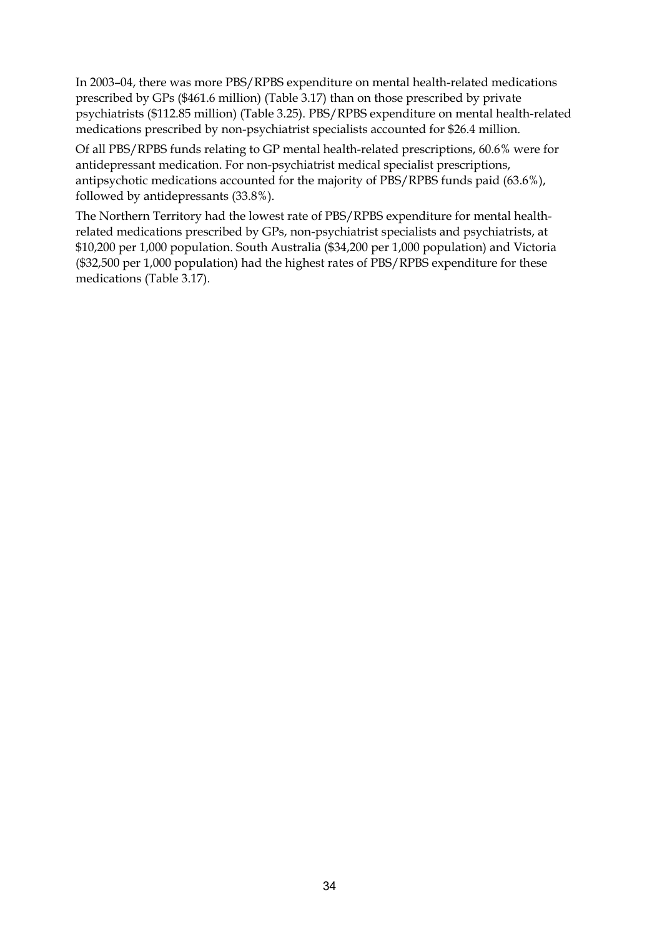In 2003–04, there was more PBS/RPBS expenditure on mental health-related medications prescribed by GPs (\$461.6 million) (Table 3.17) than on those prescribed by private psychiatrists (\$112.85 million) (Table 3.25). PBS/RPBS expenditure on mental health-related medications prescribed by non-psychiatrist specialists accounted for \$26.4 million.

Of all PBS/RPBS funds relating to GP mental health-related prescriptions, 60.6% were for antidepressant medication. For non-psychiatrist medical specialist prescriptions, antipsychotic medications accounted for the majority of PBS/RPBS funds paid (63.6%), followed by antidepressants (33.8%).

The Northern Territory had the lowest rate of PBS/RPBS expenditure for mental healthrelated medications prescribed by GPs, non-psychiatrist specialists and psychiatrists, at \$10,200 per 1,000 population. South Australia (\$34,200 per 1,000 population) and Victoria (\$32,500 per 1,000 population) had the highest rates of PBS/RPBS expenditure for these medications (Table 3.17).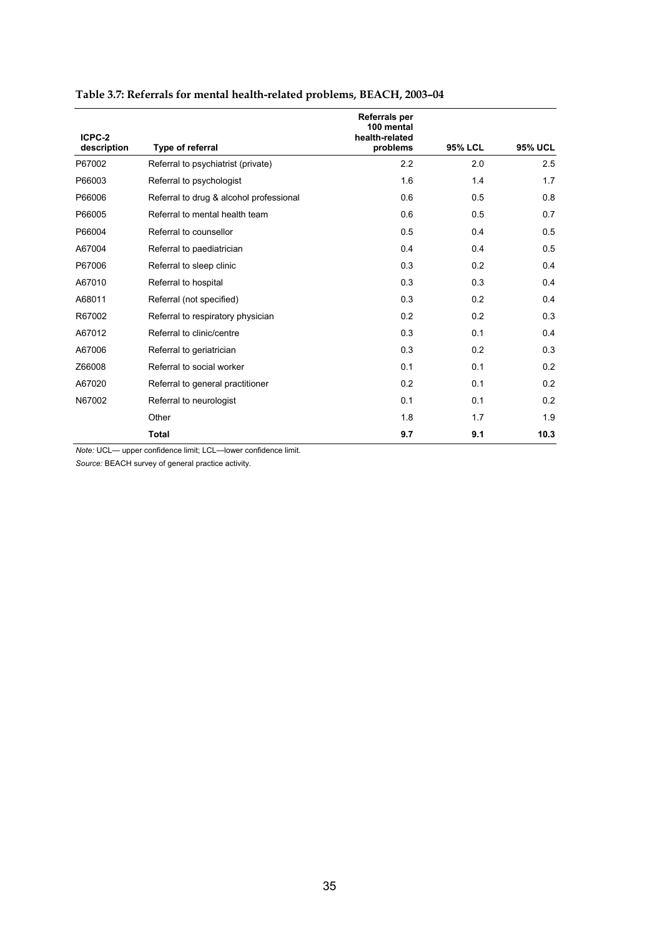| ICPC-2      |                                         | Referrals per<br>100 mental<br>health-related |                |                |
|-------------|-----------------------------------------|-----------------------------------------------|----------------|----------------|
| description | Type of referral                        | problems                                      | <b>95% LCL</b> | <b>95% UCL</b> |
| P67002      | Referral to psychiatrist (private)      | 2.2                                           | 2.0            | 2.5            |
| P66003      | Referral to psychologist                | 1.6                                           | 1.4            | 1.7            |
| P66006      | Referral to drug & alcohol professional | 0.6                                           | 0.5            | 0.8            |
| P66005      | Referral to mental health team          | 0.6                                           | 0.5            | 0.7            |
| P66004      | Referral to counsellor                  | 0.5                                           | 0.4            | 0.5            |
| A67004      | Referral to paediatrician               | 0.4                                           | 0.4            | 0.5            |
| P67006      | Referral to sleep clinic                | 0.3                                           | 0.2            | 0.4            |
| A67010      | Referral to hospital                    | 0.3                                           | 0.3            | 0.4            |
| A68011      | Referral (not specified)                | 0.3                                           | 0.2            | 0.4            |
| R67002      | Referral to respiratory physician       | 0.2                                           | 0.2            | 0.3            |
| A67012      | Referral to clinic/centre               | 0.3                                           | 0.1            | 0.4            |
| A67006      | Referral to geriatrician                | 0.3                                           | 0.2            | 0.3            |
| Z66008      | Referral to social worker               | 0.1                                           | 0.1            | 0.2            |
| A67020      | Referral to general practitioner        | 0.2                                           | 0.1            | 0.2            |
| N67002      | Referral to neurologist                 | 0.1                                           | 0.1            | 0.2            |
|             | Other                                   | 1.8                                           | 1.7            | 1.9            |
|             | <b>Total</b>                            | 9.7                                           | 9.1            | 10.3           |

### **Table 3.7: Referrals for mental health-related problems, BEACH, 2003–04**

*Note:* UCL— upper confidence limit; LCL—lower confidence limit.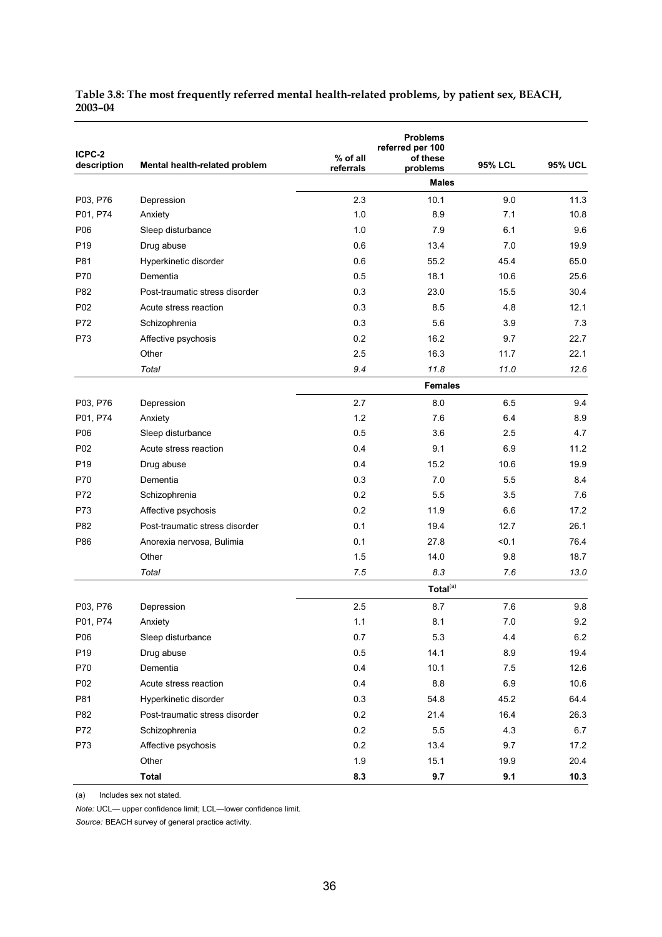| Table 3.8: The most frequently referred mental health-related problems, by patient sex, BEACH, |  |
|------------------------------------------------------------------------------------------------|--|
| 2003-04                                                                                        |  |

| ICPC-2<br>description | Mental health-related problem  | % of all<br>referrals | <b>Problems</b><br>referred per 100<br>of these<br>problems | <b>95% LCL</b> | <b>95% UCL</b> |
|-----------------------|--------------------------------|-----------------------|-------------------------------------------------------------|----------------|----------------|
|                       |                                |                       | <b>Males</b>                                                |                |                |
| P03, P76              | Depression                     | 2.3                   | 10.1                                                        | 9.0            | 11.3           |
| P01, P74              | Anxiety                        | 1.0                   | 8.9                                                         | 7.1            | 10.8           |
| P06                   | Sleep disturbance              | 1.0                   | 7.9                                                         | 6.1            | 9.6            |
| P <sub>19</sub>       | Drug abuse                     | 0.6                   | 13.4                                                        | 7.0            | 19.9           |
| P81                   | Hyperkinetic disorder          | 0.6                   | 55.2                                                        | 45.4           | 65.0           |
| P70                   | Dementia                       | 0.5                   | 18.1                                                        | 10.6           | 25.6           |
| P82                   | Post-traumatic stress disorder | 0.3                   | 23.0                                                        | 15.5           | 30.4           |
| P02                   | Acute stress reaction          | 0.3                   | 8.5                                                         | 4.8            | 12.1           |
| P72                   | Schizophrenia                  | 0.3                   | 5.6                                                         | 3.9            | 7.3            |
| P73                   | Affective psychosis            | 0.2                   | 16.2                                                        | 9.7            | 22.7           |
|                       | Other                          | 2.5                   | 16.3                                                        | 11.7           | 22.1           |
|                       | Total                          | 9.4                   | 11.8                                                        | 11.0           | 12.6           |
|                       |                                |                       | <b>Females</b>                                              |                |                |
| P03, P76              | Depression                     | 2.7                   | 8.0                                                         | 6.5            | 9.4            |
| P01, P74              | Anxiety                        | 1.2                   | 7.6                                                         | 6.4            | 8.9            |
| P06                   | Sleep disturbance              | 0.5                   | 3.6                                                         | 2.5            | 4.7            |
| P02                   | Acute stress reaction          | 0.4                   | 9.1                                                         | 6.9            | 11.2           |
| P <sub>19</sub>       | Drug abuse                     | 0.4                   | 15.2                                                        | 10.6           | 19.9           |
| P70                   | Dementia                       | 0.3                   | 7.0                                                         | 5.5            | 8.4            |
| P72                   | Schizophrenia                  | 0.2                   | 5.5                                                         | 3.5            | 7.6            |
| P73                   | Affective psychosis            | 0.2                   | 11.9                                                        | 6.6            | 17.2           |
| P82                   | Post-traumatic stress disorder | 0.1                   | 19.4                                                        | 12.7           | 26.1           |
| P86                   | Anorexia nervosa, Bulimia      | 0.1                   | 27.8                                                        | < 0.1          | 76.4           |
|                       | Other                          | 1.5                   | 14.0                                                        | 9.8            | 18.7           |
|                       | Total                          | 7.5                   | 8.3                                                         | 7.6            | 13.0           |
|                       |                                |                       | Total <sup>(a)</sup>                                        |                |                |
| P03, P76              | Depression                     | 2.5                   | 8.7                                                         | 7.6            | 9.8            |
| P01, P74              | Anxiety                        | $1.1$                 | 8.1                                                         | $7.0\,$        | 9.2            |
| P06                   | Sleep disturbance              | 0.7                   | 5.3                                                         | 4.4            | $6.2\,$        |
| P <sub>19</sub>       | Drug abuse                     | 0.5                   | 14.1                                                        | 8.9            | 19.4           |
| P70                   | Dementia                       | 0.4                   | 10.1                                                        | 7.5            | 12.6           |
| P02                   | Acute stress reaction          | 0.4                   | 8.8                                                         | 6.9            | 10.6           |
| P81                   | Hyperkinetic disorder          | 0.3                   | 54.8                                                        | 45.2           | 64.4           |
| P82                   | Post-traumatic stress disorder | 0.2                   | 21.4                                                        | 16.4           | 26.3           |
| P72                   | Schizophrenia                  | 0.2                   | 5.5                                                         | 4.3            | 6.7            |
| P73                   | Affective psychosis            | 0.2                   | 13.4                                                        | 9.7            | 17.2           |
|                       | Other                          | 1.9                   | 15.1                                                        | 19.9           | 20.4           |
|                       | <b>Total</b>                   | 8.3                   | 9.7                                                         | 9.1            | 10.3           |
|                       |                                |                       |                                                             |                |                |

(a) Includes sex not stated.

*Note:* UCL— upper confidence limit; LCL—lower confidence limit.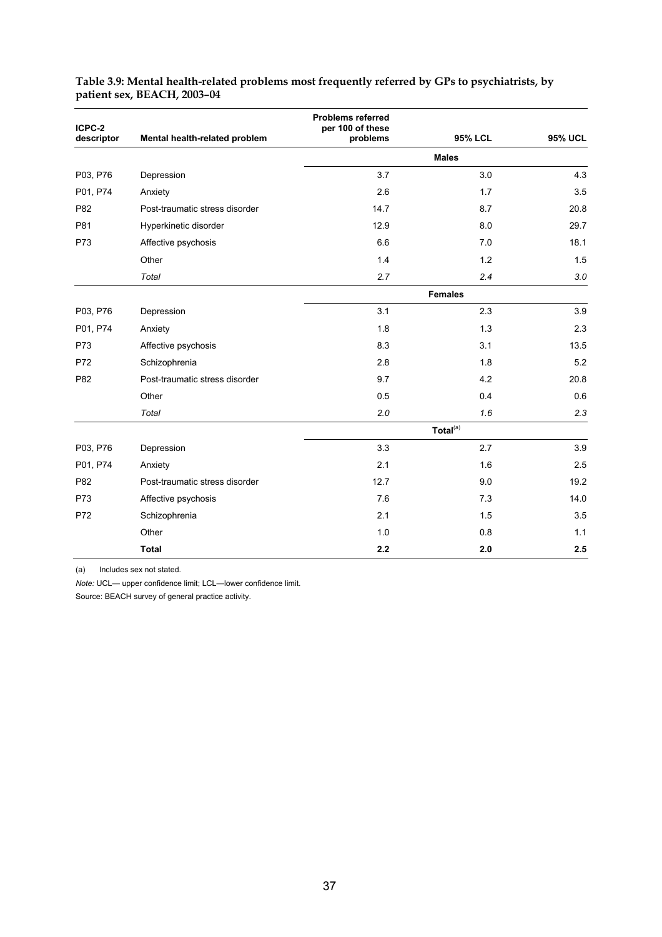| ICPC-2     |                                | <b>Problems referred</b><br>per 100 of these |                      |                |  |  |  |  |
|------------|--------------------------------|----------------------------------------------|----------------------|----------------|--|--|--|--|
| descriptor | Mental health-related problem  | problems                                     | <b>95% LCL</b>       | <b>95% UCL</b> |  |  |  |  |
|            |                                |                                              | <b>Males</b>         |                |  |  |  |  |
| P03, P76   | Depression                     | 3.7                                          | 3.0                  | 4.3            |  |  |  |  |
| P01, P74   | Anxiety                        | 2.6                                          | 1.7                  | 3.5            |  |  |  |  |
| P82        | Post-traumatic stress disorder | 14.7                                         | 8.7                  | 20.8           |  |  |  |  |
| P81        | Hyperkinetic disorder          | 12.9                                         | 8.0                  | 29.7           |  |  |  |  |
| P73        | Affective psychosis            | 6.6                                          | 7.0                  | 18.1           |  |  |  |  |
|            | Other                          | 1.4                                          | 1.2                  | 1.5            |  |  |  |  |
|            | Total                          | 2.7                                          | 2.4                  | 3.0            |  |  |  |  |
|            |                                |                                              | <b>Females</b>       |                |  |  |  |  |
| P03, P76   | Depression                     | 3.1                                          | 2.3                  | 3.9            |  |  |  |  |
| P01, P74   | Anxiety                        | 1.8                                          | 1.3                  | 2.3            |  |  |  |  |
| P73        | Affective psychosis            | 8.3                                          | 3.1                  | 13.5           |  |  |  |  |
| P72        | Schizophrenia                  | 2.8                                          | 1.8                  | 5.2            |  |  |  |  |
| P82        | Post-traumatic stress disorder | 9.7                                          | 4.2                  | 20.8           |  |  |  |  |
|            | Other                          | 0.5                                          | 0.4                  | 0.6            |  |  |  |  |
|            | Total                          | 2.0                                          | 1.6                  | 2.3            |  |  |  |  |
|            |                                |                                              | Total <sup>(a)</sup> |                |  |  |  |  |
| P03, P76   | Depression                     | 3.3                                          | 2.7                  | 3.9            |  |  |  |  |
| P01, P74   | Anxiety                        | 2.1                                          | 1.6                  | 2.5            |  |  |  |  |
| P82        | Post-traumatic stress disorder | 12.7                                         | 9.0                  | 19.2           |  |  |  |  |
| P73        | Affective psychosis            | 7.6                                          | 7.3                  | 14.0           |  |  |  |  |
| P72        | Schizophrenia                  | 2.1                                          | 1.5                  | 3.5            |  |  |  |  |
|            | Other                          | 1.0                                          | 0.8                  | 1.1            |  |  |  |  |
|            | <b>Total</b>                   | 2.2                                          | 2.0                  | 2.5            |  |  |  |  |

#### **Table 3.9: Mental health-related problems most frequently referred by GPs to psychiatrists, by patient sex, BEACH, 2003–04**

(a) Includes sex not stated.

*Note:* UCL— upper confidence limit; LCL—lower confidence limit.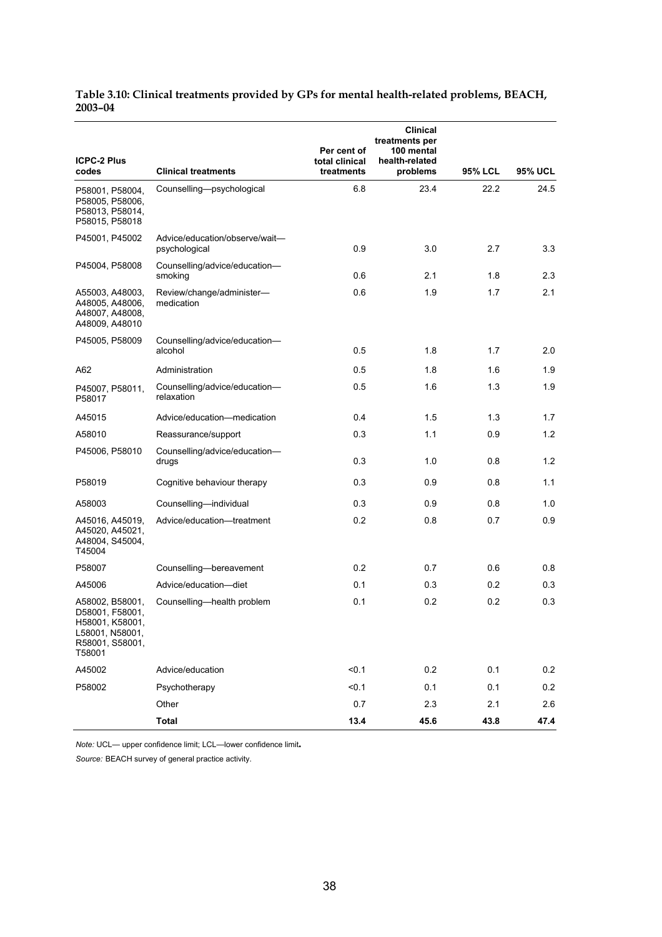#### **Table 3.10: Clinical treatments provided by GPs for mental health-related problems, BEACH, 2003–04**

| <b>ICPC-2 Plus</b><br>codes                                                                           | <b>Clinical treatments</b>                      | Per cent of<br>total clinical<br>treatments | <b>Clinical</b><br>treatments per<br>100 mental<br>health-related<br>problems | <b>95% LCL</b> | <b>95% UCL</b> |
|-------------------------------------------------------------------------------------------------------|-------------------------------------------------|---------------------------------------------|-------------------------------------------------------------------------------|----------------|----------------|
| P58001, P58004,<br>P58005, P58006,<br>P58013, P58014,<br>P58015, P58018                               | Counselling-psychological                       | 6.8                                         | 23.4                                                                          | 22.2           | 24.5           |
| P45001, P45002                                                                                        | Advice/education/observe/wait-<br>psychological | 0.9                                         | 3.0                                                                           | 2.7            | 3.3            |
| P45004, P58008                                                                                        | Counselling/advice/education-<br>smoking        | 0.6                                         | 2.1                                                                           | 1.8            | 2.3            |
| A55003, A48003,<br>A48005, A48006,<br>A48007, A48008,<br>A48009, A48010                               | Review/change/administer-<br>medication         | 0.6                                         | 1.9                                                                           | 1.7            | 2.1            |
| P45005, P58009                                                                                        | Counselling/advice/education-<br>alcohol        | 0.5                                         | 1.8                                                                           | 1.7            | 2.0            |
| A62                                                                                                   | Administration                                  | 0.5                                         | 1.8                                                                           | 1.6            | 1.9            |
| P45007, P58011,<br>P58017                                                                             | Counselling/advice/education-<br>relaxation     | 0.5                                         | 1.6                                                                           | 1.3            | 1.9            |
| A45015                                                                                                | Advice/education-medication                     | 0.4                                         | 1.5                                                                           | 1.3            | 1.7            |
| A58010                                                                                                | Reassurance/support                             | 0.3                                         | 1.1                                                                           | 0.9            | 1.2            |
| P45006, P58010                                                                                        | Counselling/advice/education-<br>drugs          | 0.3                                         | 1.0                                                                           | 0.8            | 1.2            |
| P58019                                                                                                | Cognitive behaviour therapy                     | 0.3                                         | 0.9                                                                           | 0.8            | 1.1            |
| A58003                                                                                                | Counselling-individual                          | 0.3                                         | 0.9                                                                           | 0.8            | 1.0            |
| A45016, A45019,<br>A45020, A45021,<br>A48004, S45004,<br>T45004                                       | Advice/education-treatment                      | 0.2                                         | 0.8                                                                           | 0.7            | 0.9            |
| P58007                                                                                                | Counselling-bereavement                         | 0.2                                         | 0.7                                                                           | 0.6            | 0.8            |
| A45006                                                                                                | Advice/education-diet                           | 0.1                                         | 0.3                                                                           | 0.2            | 0.3            |
| A58002, B58001,<br>D58001, F58001,<br>H58001, K58001,<br>L58001, N58001,<br>R58001, S58001,<br>T58001 | Counselling—health problem                      | 0.1                                         | 0.2                                                                           | 0.2            | 0.3            |
| A45002                                                                                                | Advice/education                                | < 0.1                                       | 0.2                                                                           | 0.1            | 0.2            |
| P58002                                                                                                | Psychotherapy                                   | < 0.1                                       | 0.1                                                                           | 0.1            | 0.2            |
|                                                                                                       | Other                                           | 0.7                                         | 2.3                                                                           | 2.1            | 2.6            |
|                                                                                                       | <b>Total</b>                                    | 13.4                                        | 45.6                                                                          | 43.8           | 47.4           |

*Note:* UCL— upper confidence limit; LCL—lower confidence limit**.**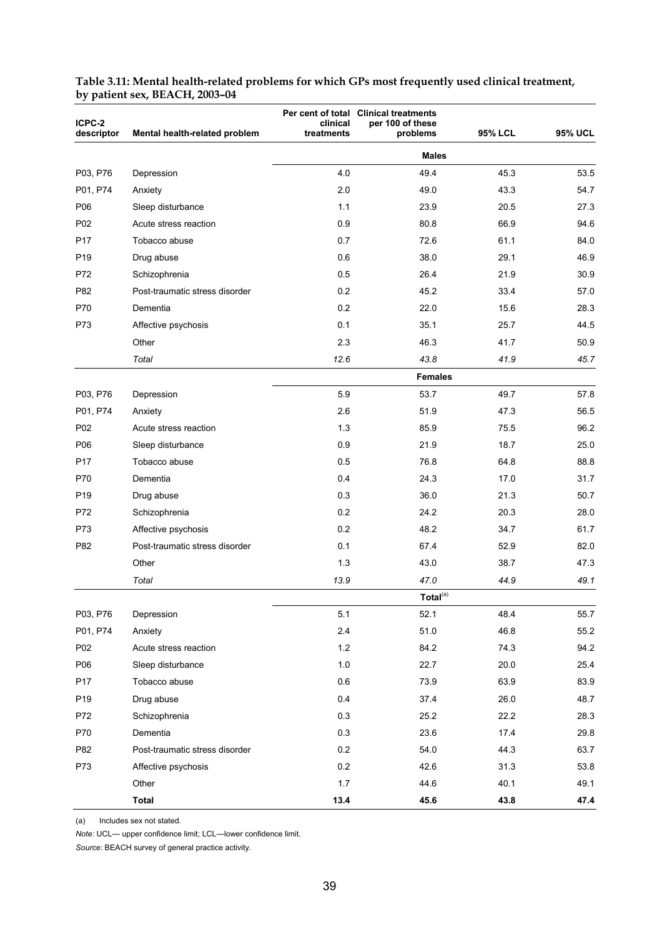| ICPC-2<br>descriptor | Mental health-related problem  | clinical<br>treatments | Per cent of total Clinical treatments<br>per 100 of these<br>problems | <b>95% LCL</b> | <b>95% UCL</b> |
|----------------------|--------------------------------|------------------------|-----------------------------------------------------------------------|----------------|----------------|
|                      |                                |                        | <b>Males</b>                                                          |                |                |
| P03, P76             | Depression                     | 4.0                    | 49.4                                                                  | 45.3           | 53.5           |
| P01, P74             | Anxiety                        | 2.0                    | 49.0                                                                  | 43.3           | 54.7           |
| P06                  | Sleep disturbance              | 1.1                    | 23.9                                                                  | 20.5           | 27.3           |
| P02                  | Acute stress reaction          | 0.9                    | 80.8                                                                  | 66.9           | 94.6           |
| P <sub>17</sub>      | Tobacco abuse                  | 0.7                    | 72.6                                                                  | 61.1           | 84.0           |
| P <sub>19</sub>      | Drug abuse                     | 0.6                    | 38.0                                                                  | 29.1           | 46.9           |
| P72                  | Schizophrenia                  | 0.5                    | 26.4                                                                  | 21.9           | 30.9           |
| P82                  | Post-traumatic stress disorder | 0.2                    | 45.2                                                                  | 33.4           | 57.0           |
| P70                  | Dementia                       | 0.2                    | 22.0                                                                  | 15.6           | 28.3           |
| P73                  | Affective psychosis            | 0.1                    | 35.1                                                                  | 25.7           | 44.5           |
|                      | Other                          | 2.3                    | 46.3                                                                  | 41.7           | 50.9           |
|                      | Total                          | 12.6                   | 43.8                                                                  | 41.9           | 45.7           |
|                      |                                |                        | <b>Females</b>                                                        |                |                |
| P03, P76             | Depression                     | 5.9                    | 53.7                                                                  | 49.7           | 57.8           |
| P01, P74             | Anxiety                        | 2.6                    | 51.9                                                                  | 47.3           | 56.5           |
| P <sub>02</sub>      | Acute stress reaction          | 1.3                    | 85.9                                                                  | 75.5           | 96.2           |
| P06                  | Sleep disturbance              | 0.9                    | 21.9                                                                  | 18.7           | 25.0           |
| P <sub>17</sub>      | Tobacco abuse                  | 0.5                    | 76.8                                                                  | 64.8           | 88.8           |
| P70                  | Dementia                       | 0.4                    | 24.3                                                                  | 17.0           | 31.7           |
| P <sub>19</sub>      | Drug abuse                     | 0.3                    | 36.0                                                                  | 21.3           | 50.7           |
| P72                  | Schizophrenia                  | 0.2                    | 24.2                                                                  | 20.3           | 28.0           |
| P73                  | Affective psychosis            | 0.2                    | 48.2                                                                  | 34.7           | 61.7           |
| P82                  | Post-traumatic stress disorder | 0.1                    | 67.4                                                                  | 52.9           | 82.0           |
|                      | Other                          | 1.3                    | 43.0                                                                  | 38.7           | 47.3           |
|                      | Total                          | 13.9                   | 47.0                                                                  | 44.9           | 49.1           |
|                      |                                |                        | Total <sup>(a)</sup>                                                  |                |                |
| P03, P76             | Depression                     | 5.1                    | 52.1                                                                  | 48.4           | 55.7           |
| P01, P74             | Anxiety                        | 2.4                    | 51.0                                                                  | 46.8           | 55.2           |
| P02                  | Acute stress reaction          | $1.2$                  | 84.2                                                                  | 74.3           | 94.2           |
| P06                  | Sleep disturbance              | 1.0                    | 22.7                                                                  | 20.0           | 25.4           |
| P17                  | Tobacco abuse                  | 0.6                    | 73.9                                                                  | 63.9           | 83.9           |
| P19                  | Drug abuse                     | 0.4                    | 37.4                                                                  | 26.0           | 48.7           |
| P72                  | Schizophrenia                  | 0.3                    | 25.2                                                                  | 22.2           | 28.3           |
| P70                  | Dementia                       | 0.3                    | 23.6                                                                  | 17.4           | 29.8           |
| P82                  | Post-traumatic stress disorder | 0.2                    | 54.0                                                                  | 44.3           | 63.7           |
| P73                  | Affective psychosis            | 0.2                    | 42.6                                                                  | 31.3           | 53.8           |
|                      | Other                          | 1.7                    | 44.6                                                                  | 40.1           | 49.1           |
|                      | <b>Total</b>                   | 13.4                   | 45.6                                                                  | 43.8           | 47.4           |

#### **Table 3.11: Mental health-related problems for which GPs most frequently used clinical treatment, by patient sex, BEACH, 2003–04**

(a) Includes sex not stated.

*Note:* UCL— upper confidence limit; LCL—lower confidence limit.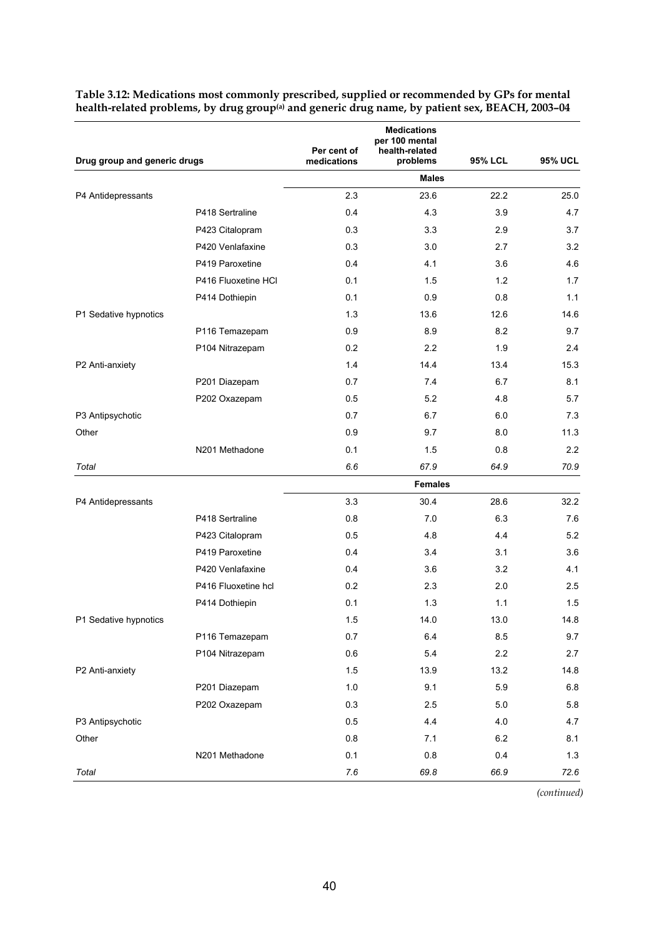| Drug group and generic drugs |                     | Per cent of | <b>Medications</b><br>per 100 mental<br>health-related |         |                |
|------------------------------|---------------------|-------------|--------------------------------------------------------|---------|----------------|
|                              |                     | medications | problems                                               | 95% LCL | <b>95% UCL</b> |
|                              |                     |             | <b>Males</b>                                           |         |                |
| P4 Antidepressants           |                     | 2.3         | 23.6                                                   | 22.2    | 25.0           |
|                              | P418 Sertraline     | 0.4         | 4.3                                                    | 3.9     | 4.7            |
|                              | P423 Citalopram     | 0.3         | 3.3                                                    | 2.9     | 3.7            |
|                              | P420 Venlafaxine    | 0.3         | 3.0                                                    | 2.7     | 3.2            |
|                              | P419 Paroxetine     | 0.4         | 4.1                                                    | 3.6     | 4.6            |
|                              | P416 Fluoxetine HCl | 0.1         | 1.5                                                    | 1.2     | 1.7            |
|                              | P414 Dothiepin      | 0.1         | 0.9                                                    | 0.8     | 1.1            |
| P1 Sedative hypnotics        |                     | 1.3         | 13.6                                                   | 12.6    | 14.6           |
|                              | P116 Temazepam      | 0.9         | 8.9                                                    | 8.2     | 9.7            |
|                              | P104 Nitrazepam     | 0.2         | 2.2                                                    | 1.9     | 2.4            |
| P2 Anti-anxiety              |                     | 1.4         | 14.4                                                   | 13.4    | 15.3           |
|                              | P201 Diazepam       | 0.7         | 7.4                                                    | 6.7     | 8.1            |
|                              | P202 Oxazepam       | 0.5         | 5.2                                                    | 4.8     | 5.7            |
| P3 Antipsychotic             |                     | 0.7         | 6.7                                                    | 6.0     | 7.3            |
| Other                        |                     | 0.9         | 9.7                                                    | 8.0     | 11.3           |
|                              | N201 Methadone      | 0.1         | 1.5                                                    | 0.8     | 2.2            |
| Total                        |                     | 6.6         | 67.9                                                   | 64.9    | 70.9           |
|                              |                     |             | <b>Females</b>                                         |         |                |
| P4 Antidepressants           |                     | 3.3         | 30.4                                                   | 28.6    | 32.2           |
|                              | P418 Sertraline     | 0.8         | 7.0                                                    | 6.3     | 7.6            |
|                              | P423 Citalopram     | 0.5         | 4.8                                                    | 4.4     | 5.2            |
|                              | P419 Paroxetine     | 0.4         | 3.4                                                    | 3.1     | 3.6            |
|                              | P420 Venlafaxine    | 0.4         | 3.6                                                    | 3.2     | 4.1            |
|                              | P416 Fluoxetine hcl | 0.2         | 2.3                                                    | 2.0     | 2.5            |
|                              | P414 Dothiepin      | 0.1         | 1.3                                                    | 1.1     | 1.5            |
| P1 Sedative hypnotics        |                     | 1.5         | 14.0                                                   | 13.0    | 14.8           |
|                              | P116 Temazepam      | 0.7         | 6.4                                                    | 8.5     | 9.7            |
|                              | P104 Nitrazepam     | 0.6         | 5.4                                                    | 2.2     | 2.7            |
| P2 Anti-anxiety              |                     | 1.5         | 13.9                                                   | 13.2    | 14.8           |
|                              | P201 Diazepam       | 1.0         | 9.1                                                    | 5.9     | $6.8\,$        |
|                              | P202 Oxazepam       | 0.3         | 2.5                                                    | 5.0     | 5.8            |
| P3 Antipsychotic             |                     | 0.5         | 4.4                                                    | 4.0     | 4.7            |
| Other                        |                     | 0.8         | 7.1                                                    | 6.2     | 8.1            |
|                              | N201 Methadone      | 0.1         | 0.8                                                    | 0.4     | $1.3$          |
| Total                        |                     | 7.6         | 69.8                                                   | 66.9    | 72.6           |
|                              |                     |             |                                                        |         |                |

**Table 3.12: Medications most commonly prescribed, supplied or recommended by GPs for mental health-related problems, by drug group(a) and generic drug name, by patient sex, BEACH, 2003–04** 

*(continued)*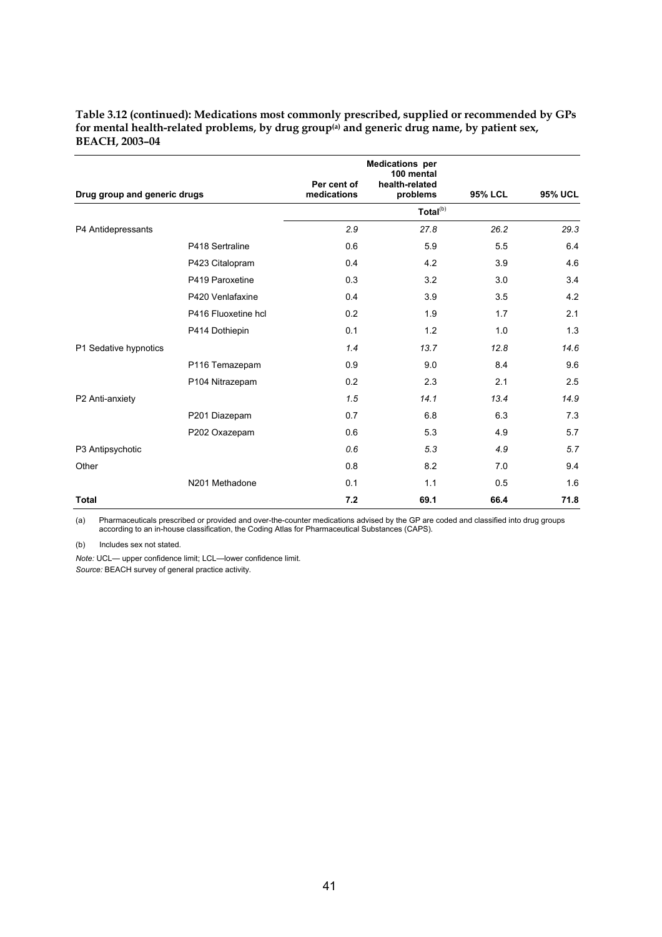| Table 3.12 (continued): Medications most commonly prescribed, supplied or recommended by GPs            |  |
|---------------------------------------------------------------------------------------------------------|--|
| for mental health-related problems, by drug group <sup>(a)</sup> and generic drug name, by patient sex, |  |
| <b>BEACH. 2003–04</b>                                                                                   |  |

|                              |                     | Per cent of | <b>Medications per</b><br>100 mental<br>health-related |                |                |
|------------------------------|---------------------|-------------|--------------------------------------------------------|----------------|----------------|
| Drug group and generic drugs |                     | medications | problems                                               | <b>95% LCL</b> | <b>95% UCL</b> |
|                              |                     |             | Total <sup>(b)</sup>                                   |                |                |
| P4 Antidepressants           |                     | 2.9         | 27.8                                                   | 26.2           | 29.3           |
|                              | P418 Sertraline     | 0.6         | 5.9                                                    | 5.5            | 6.4            |
|                              | P423 Citalopram     | 0.4         | 4.2                                                    | 3.9            | 4.6            |
|                              | P419 Paroxetine     | 0.3         | 3.2                                                    | 3.0            | 3.4            |
|                              | P420 Venlafaxine    | 0.4         | 3.9                                                    | 3.5            | 4.2            |
|                              | P416 Fluoxetine hcl | 0.2         | 1.9                                                    | 1.7            | 2.1            |
|                              | P414 Dothiepin      | 0.1         | 1.2                                                    | 1.0            | 1.3            |
| P1 Sedative hypnotics        |                     | 1.4         | 13.7                                                   | 12.8           | 14.6           |
|                              | P116 Temazepam      | 0.9         | 9.0                                                    | 8.4            | 9.6            |
|                              | P104 Nitrazepam     | 0.2         | 2.3                                                    | 2.1            | 2.5            |
| P2 Anti-anxiety              |                     | 1.5         | 14.1                                                   | 13.4           | 14.9           |
|                              | P201 Diazepam       | 0.7         | 6.8                                                    | 6.3            | 7.3            |
|                              | P202 Oxazepam       | 0.6         | 5.3                                                    | 4.9            | 5.7            |
| P3 Antipsychotic             |                     | 0.6         | 5.3                                                    | 4.9            | 5.7            |
| Other                        |                     | 0.8         | 8.2                                                    | 7.0            | 9.4            |
|                              | N201 Methadone      | 0.1         | 1.1                                                    | 0.5            | 1.6            |
| <b>Total</b>                 |                     | 7.2         | 69.1                                                   | 66.4           | 71.8           |

(a) Pharmaceuticals prescribed or provided and over-the-counter medications advised by the GP are coded and classified into drug groups according to an in-house classification, the Coding Atlas for Pharmaceutical Substances (CAPS).

(b) Includes sex not stated.

*Note:* UCL— upper confidence limit; LCL—lower confidence limit.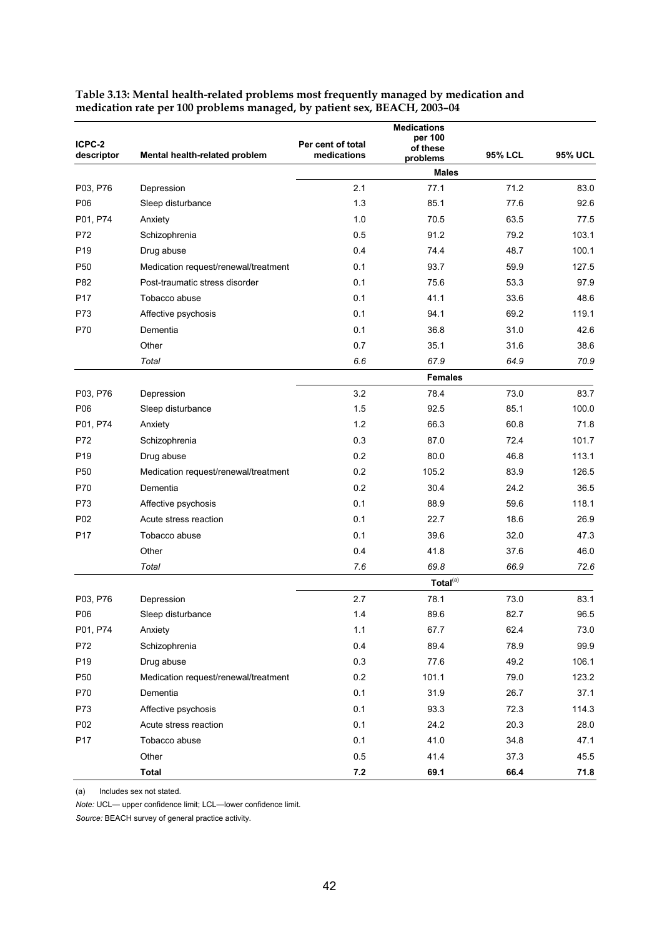| ICPC-2<br>descriptor | Mental health-related problem        | Per cent of total<br>medications | <b>Medications</b><br>per 100<br>of these<br>problems | <b>95% LCL</b> | <b>95% UCL</b> |
|----------------------|--------------------------------------|----------------------------------|-------------------------------------------------------|----------------|----------------|
|                      |                                      |                                  | <b>Males</b>                                          |                |                |
| P03, P76             | Depression                           | 2.1                              | 77.1                                                  | 71.2           | 83.0           |
| P06                  | Sleep disturbance                    | 1.3                              | 85.1                                                  | 77.6           | 92.6           |
| P01, P74             | Anxiety                              | 1.0                              | 70.5                                                  | 63.5           | 77.5           |
| P72                  | Schizophrenia                        | 0.5                              | 91.2                                                  | 79.2           | 103.1          |
| P <sub>19</sub>      | Drug abuse                           | 0.4                              | 74.4                                                  | 48.7           | 100.1          |
| P <sub>50</sub>      | Medication request/renewal/treatment | 0.1                              | 93.7                                                  | 59.9           | 127.5          |
| P82                  | Post-traumatic stress disorder       | 0.1                              | 75.6                                                  | 53.3           | 97.9           |
| P <sub>17</sub>      | Tobacco abuse                        | 0.1                              | 41.1                                                  | 33.6           | 48.6           |
| P73                  | Affective psychosis                  | 0.1                              | 94.1                                                  | 69.2           | 119.1          |
| P70                  | Dementia                             | 0.1                              | 36.8                                                  | 31.0           | 42.6           |
|                      | Other                                | 0.7                              | 35.1                                                  | 31.6           | 38.6           |
|                      | Total                                | 6.6                              | 67.9                                                  | 64.9           | 70.9           |
|                      |                                      |                                  | <b>Females</b>                                        |                |                |
| P03, P76             | Depression                           | 3.2                              | 78.4                                                  | 73.0           | 83.7           |
| P06                  | Sleep disturbance                    | 1.5                              | 92.5                                                  | 85.1           | 100.0          |
| P01, P74             | Anxiety                              | 1.2                              | 66.3                                                  | 60.8           | 71.8           |
| P72                  | Schizophrenia                        | 0.3                              | 87.0                                                  | 72.4           | 101.7          |
| P <sub>19</sub>      | Drug abuse                           | 0.2                              | 80.0                                                  | 46.8           | 113.1          |
| P <sub>50</sub>      | Medication request/renewal/treatment | 0.2                              | 105.2                                                 | 83.9           | 126.5          |
| P70                  | Dementia                             | 0.2                              | 30.4                                                  | 24.2           | 36.5           |
| P73                  | Affective psychosis                  | 0.1                              | 88.9                                                  | 59.6           | 118.1          |
| P02                  | Acute stress reaction                | 0.1                              | 22.7                                                  | 18.6           | 26.9           |
| P <sub>17</sub>      | Tobacco abuse                        | 0.1                              | 39.6                                                  | 32.0           | 47.3           |
|                      | Other                                | 0.4                              | 41.8                                                  | 37.6           | 46.0           |
|                      | Total                                | 7.6                              | 69.8                                                  | 66.9           | 72.6           |
|                      |                                      |                                  | Total <sup>(a)</sup>                                  |                |                |
| P03, P76             | Depression                           | 2.7                              | 78.1                                                  | 73.0           | 83.1           |
| P06                  | Sleep disturbance                    | 1.4                              | 89.6                                                  | 82.7           | 96.5           |
| P01, P74             | Anxiety                              | 1.1                              | 67.7                                                  | 62.4           | 73.0           |
| P72                  | Schizophrenia                        | 0.4                              | 89.4                                                  | 78.9           | 99.9           |
| P <sub>19</sub>      | Drug abuse                           | 0.3                              | 77.6                                                  | 49.2           | 106.1          |
| P <sub>50</sub>      | Medication request/renewal/treatment | 0.2                              | 101.1                                                 | 79.0           | 123.2          |
| P70                  | Dementia                             | 0.1                              | 31.9                                                  | 26.7           | 37.1           |
| P73                  | Affective psychosis                  | 0.1                              | 93.3                                                  | 72.3           | 114.3          |
| P02                  | Acute stress reaction                | 0.1                              | 24.2                                                  | 20.3           | 28.0           |
| P17                  | Tobacco abuse                        | 0.1                              | 41.0                                                  | 34.8           | 47.1           |
|                      | Other                                | 0.5                              | 41.4                                                  | 37.3           | 45.5           |
|                      | <b>Total</b>                         | $7.2$                            | 69.1                                                  | 66.4           | 71.8           |

**Table 3.13: Mental health-related problems most frequently managed by medication and medication rate per 100 problems managed, by patient sex, BEACH, 2003–04** 

(a) Includes sex not stated.

*Note:* UCL— upper confidence limit; LCL—lower confidence limit.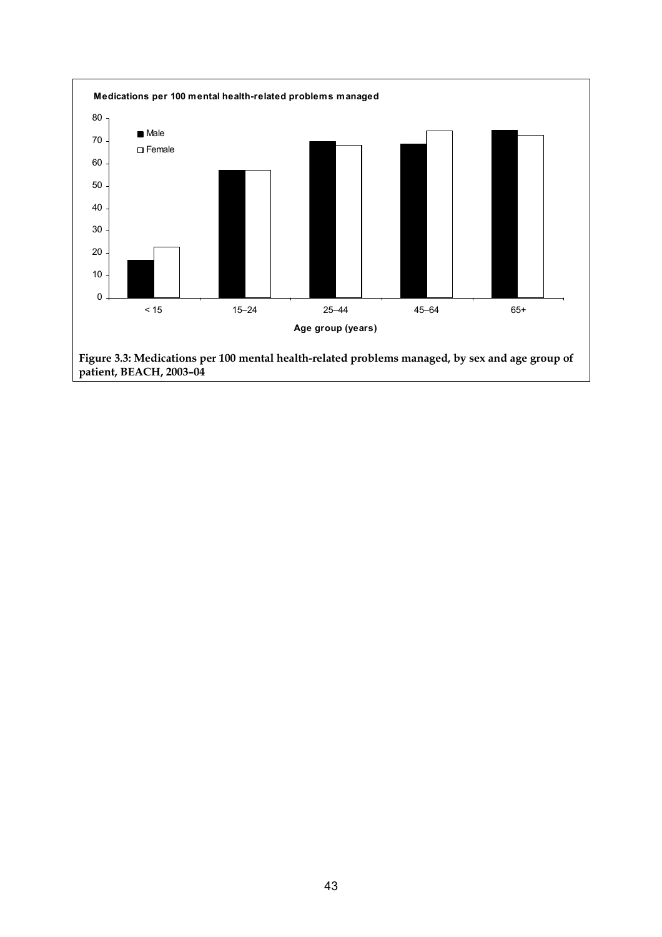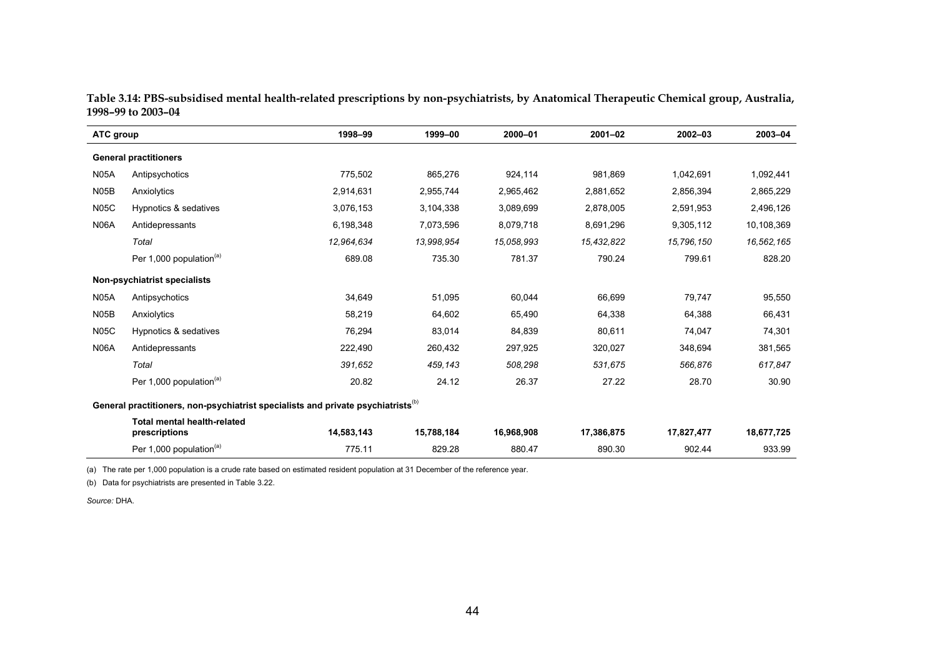| ATC group         |                                                                                              | 1998-99    | 1999-00    | 2000-01    | $2001 - 02$ | $2002 - 03$ | 2003-04    |
|-------------------|----------------------------------------------------------------------------------------------|------------|------------|------------|-------------|-------------|------------|
|                   | <b>General practitioners</b>                                                                 |            |            |            |             |             |            |
| <b>N05A</b>       | Antipsychotics                                                                               | 775,502    | 865,276    | 924,114    | 981.869     | 1,042,691   | 1,092,441  |
| N <sub>05</sub> B | Anxiolytics                                                                                  | 2,914,631  | 2,955,744  | 2,965,462  | 2,881,652   | 2,856,394   | 2,865,229  |
| <b>N05C</b>       | Hypnotics & sedatives                                                                        | 3,076,153  | 3,104,338  | 3,089,699  | 2,878,005   | 2,591,953   | 2,496,126  |
| <b>N06A</b>       | Antidepressants                                                                              | 6,198,348  | 7,073,596  | 8,079,718  | 8,691,296   | 9,305,112   | 10,108,369 |
|                   | Total                                                                                        | 12,964,634 | 13,998,954 | 15,058,993 | 15,432,822  | 15,796,150  | 16,562,165 |
|                   | Per 1,000 population <sup>(a)</sup>                                                          | 689.08     | 735.30     | 781.37     | 790.24      | 799.61      | 828.20     |
|                   | Non-psychiatrist specialists                                                                 |            |            |            |             |             |            |
| <b>N05A</b>       | Antipsychotics                                                                               | 34.649     | 51,095     | 60,044     | 66,699      | 79.747      | 95,550     |
| N <sub>05</sub> B | Anxiolytics                                                                                  | 58,219     | 64,602     | 65,490     | 64,338      | 64,388      | 66,431     |
| <b>N05C</b>       | Hypnotics & sedatives                                                                        | 76,294     | 83,014     | 84,839     | 80,611      | 74,047      | 74,301     |
| <b>N06A</b>       | Antidepressants                                                                              | 222,490    | 260,432    | 297,925    | 320,027     | 348,694     | 381,565    |
|                   | Total                                                                                        | 391.652    | 459.143    | 508.298    | 531,675     | 566.876     | 617,847    |
|                   | Per 1,000 population <sup>(a)</sup>                                                          | 20.82      | 24.12      | 26.37      | 27.22       | 28.70       | 30.90      |
|                   | General practitioners, non-psychiatrist specialists and private psychiatrists <sup>(b)</sup> |            |            |            |             |             |            |
|                   | <b>Total mental health-related</b><br>prescriptions                                          | 14,583,143 | 15,788,184 | 16,968,908 | 17,386,875  | 17,827,477  | 18,677,725 |
|                   | Per 1,000 population <sup>(a)</sup>                                                          | 775.11     | 829.28     | 880.47     | 890.30      | 902.44      | 933.99     |

**Table 3.14: PBS-subsidised mental health-related prescriptions by non-psychiatrists, by Anatomical Therapeutic Chemical group, Australia, 1998–99 to 2003–04** 

(a) The rate per 1,000 population is a crude rate based on estimated resident population at 31 December of the reference year.

(b) Data for psychiatrists are presented in Table 3.22.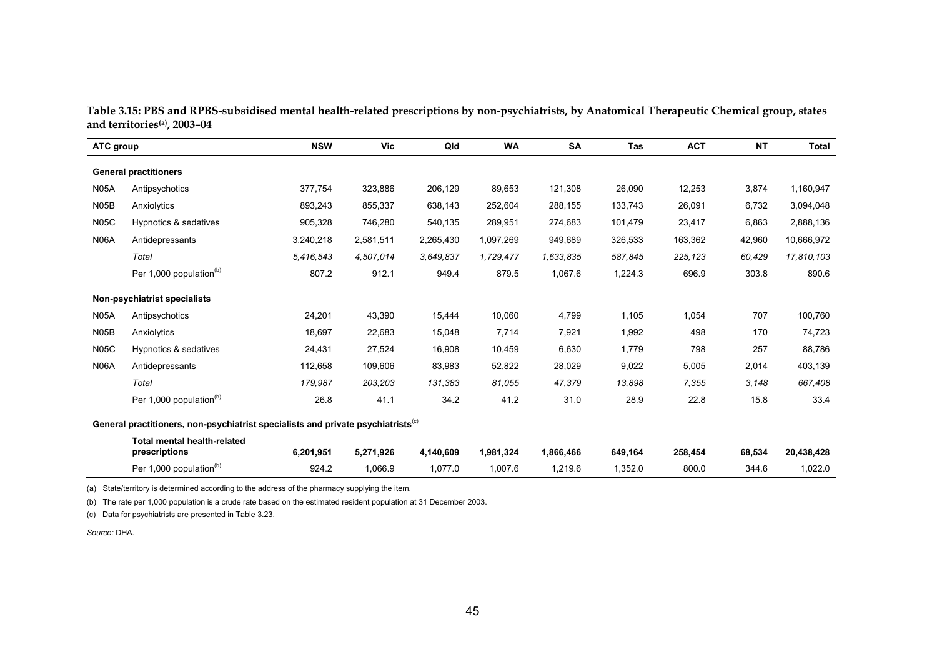| Table 3.15: PBS and RPBS-subsidised mental health-related prescriptions by non-psychiatrists, by Anatomical Therapeutic Chemical group, states |  |  |
|------------------------------------------------------------------------------------------------------------------------------------------------|--|--|
| and territories <sup>(a)</sup> , 2003–04                                                                                                       |  |  |

| ATC group         |                                                                                              | <b>NSW</b> | <b>Vic</b> | Qld       | <b>WA</b> | <b>SA</b> | Tas     | <b>ACT</b> | <b>NT</b> | <b>Total</b> |
|-------------------|----------------------------------------------------------------------------------------------|------------|------------|-----------|-----------|-----------|---------|------------|-----------|--------------|
|                   | <b>General practitioners</b>                                                                 |            |            |           |           |           |         |            |           |              |
| <b>N05A</b>       | Antipsychotics                                                                               | 377,754    | 323,886    | 206,129   | 89,653    | 121,308   | 26,090  | 12,253     | 3,874     | 1,160,947    |
| N <sub>05</sub> B | Anxiolytics                                                                                  | 893,243    | 855,337    | 638,143   | 252,604   | 288,155   | 133,743 | 26,091     | 6,732     | 3,094,048    |
| <b>N05C</b>       | Hypnotics & sedatives                                                                        | 905,328    | 746,280    | 540,135   | 289,951   | 274.683   | 101.479 | 23,417     | 6,863     | 2,888,136    |
| <b>N06A</b>       | Antidepressants                                                                              | 3,240,218  | 2,581,511  | 2,265,430 | 1,097,269 | 949,689   | 326,533 | 163,362    | 42,960    | 10,666,972   |
|                   | Total                                                                                        | 5,416,543  | 4,507,014  | 3.649.837 | 1,729,477 | 1,633,835 | 587,845 | 225,123    | 60,429    | 17,810,103   |
|                   | Per 1,000 population <sup>(b)</sup>                                                          | 807.2      | 912.1      | 949.4     | 879.5     | 1,067.6   | 1,224.3 | 696.9      | 303.8     | 890.6        |
|                   | Non-psychiatrist specialists                                                                 |            |            |           |           |           |         |            |           |              |
| <b>N05A</b>       | Antipsychotics                                                                               | 24,201     | 43,390     | 15,444    | 10,060    | 4,799     | 1,105   | 1,054      | 707       | 100,760      |
| N05B              | Anxiolytics                                                                                  | 18,697     | 22,683     | 15,048    | 7,714     | 7,921     | 1,992   | 498        | 170       | 74,723       |
| <b>N05C</b>       | Hypnotics & sedatives                                                                        | 24,431     | 27,524     | 16,908    | 10,459    | 6,630     | 1,779   | 798        | 257       | 88,786       |
| <b>N06A</b>       | Antidepressants                                                                              | 112,658    | 109,606    | 83,983    | 52,822    | 28,029    | 9,022   | 5,005      | 2,014     | 403,139      |
|                   | Total                                                                                        | 179,987    | 203,203    | 131,383   | 81,055    | 47,379    | 13,898  | 7,355      | 3,148     | 667,408      |
|                   | Per 1,000 population <sup>(b)</sup>                                                          | 26.8       | 41.1       | 34.2      | 41.2      | 31.0      | 28.9    | 22.8       | 15.8      | 33.4         |
|                   | General practitioners, non-psychiatrist specialists and private psychiatrists <sup>(c)</sup> |            |            |           |           |           |         |            |           |              |
|                   | <b>Total mental health-related</b><br>prescriptions                                          | 6,201,951  | 5,271,926  | 4,140,609 | 1,981,324 | 1,866,466 | 649,164 | 258,454    | 68,534    | 20,438,428   |
|                   | Per 1,000 population <sup>(b)</sup>                                                          | 924.2      | 1,066.9    | 1,077.0   | 1,007.6   | 1,219.6   | 1,352.0 | 800.0      | 344.6     | 1,022.0      |

(a) State/territory is determined according to the address of the pharmacy supplying the item.

(b) The rate per 1,000 population is a crude rate based on the estimated resident population at 31 December 2003.

(c) Data for psychiatrists are presented in Table 3.23.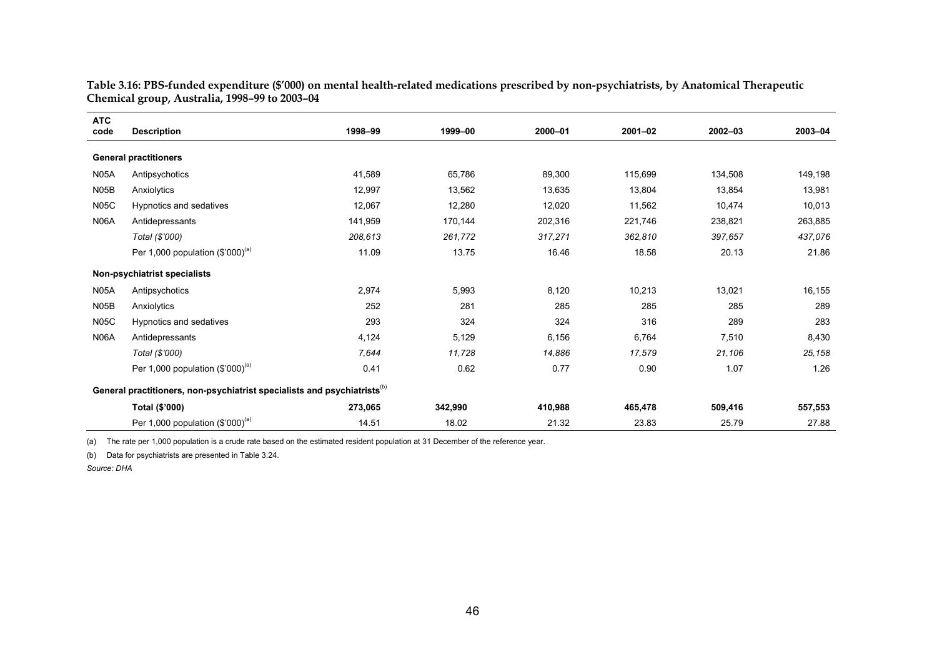| <b>ATC</b>        |                                                                                      | 1998-99 | 1999-00 | 2000-01 | $2001 - 02$ | $2002 - 03$ | 2003-04 |
|-------------------|--------------------------------------------------------------------------------------|---------|---------|---------|-------------|-------------|---------|
| code              | <b>Description</b>                                                                   |         |         |         |             |             |         |
|                   | <b>General practitioners</b>                                                         |         |         |         |             |             |         |
| <b>N05A</b>       | Antipsychotics                                                                       | 41,589  | 65,786  | 89,300  | 115,699     | 134,508     | 149,198 |
| N <sub>05</sub> B | Anxiolytics                                                                          | 12,997  | 13,562  | 13,635  | 13,804      | 13,854      | 13,981  |
| <b>N05C</b>       | Hypnotics and sedatives                                                              | 12,067  | 12,280  | 12,020  | 11,562      | 10,474      | 10,013  |
| <b>N06A</b>       | Antidepressants                                                                      | 141,959 | 170,144 | 202,316 | 221,746     | 238,821     | 263,885 |
|                   | Total (\$'000)                                                                       | 208,613 | 261,772 | 317,271 | 362,810     | 397,657     | 437,076 |
|                   | Per 1,000 population $(\$'000)^{(a)}$                                                | 11.09   | 13.75   | 16.46   | 18.58       | 20.13       | 21.86   |
|                   | Non-psychiatrist specialists                                                         |         |         |         |             |             |         |
| <b>N05A</b>       | Antipsychotics                                                                       | 2,974   | 5,993   | 8,120   | 10,213      | 13,021      | 16,155  |
| N <sub>05</sub> B | Anxiolytics                                                                          | 252     | 281     | 285     | 285         | 285         | 289     |
| <b>N05C</b>       | Hypnotics and sedatives                                                              | 293     | 324     | 324     | 316         | 289         | 283     |
| <b>N06A</b>       | Antidepressants                                                                      | 4,124   | 5,129   | 6,156   | 6,764       | 7,510       | 8,430   |
|                   | Total (\$'000)                                                                       | 7,644   | 11,728  | 14,886  | 17,579      | 21,106      | 25,158  |
|                   | Per 1,000 population $(\$'000)^{(a)}$                                                | 0.41    | 0.62    | 0.77    | 0.90        | 1.07        | 1.26    |
|                   | General practitioners, non-psychiatrist specialists and psychiatrists <sup>(b)</sup> |         |         |         |             |             |         |
|                   | Total (\$'000)                                                                       | 273,065 | 342,990 | 410,988 | 465,478     | 509,416     | 557,553 |
|                   | Per 1,000 population $(\$'000)^{(a)}$                                                | 14.51   | 18.02   | 21.32   | 23.83       | 25.79       | 27.88   |

**Table 3.16: PBS-funded expenditure (\$'000) on mental health-related medications prescribed by non-psychiatrists, by Anatomical Therapeutic Chemical group, Australia, 1998–99 to 2003–04** 

(a) The rate per 1,000 population is a crude rate based on the estimated resident population at 31 December of the reference year.

(b) Data for psychiatrists are presented in Table 3.24.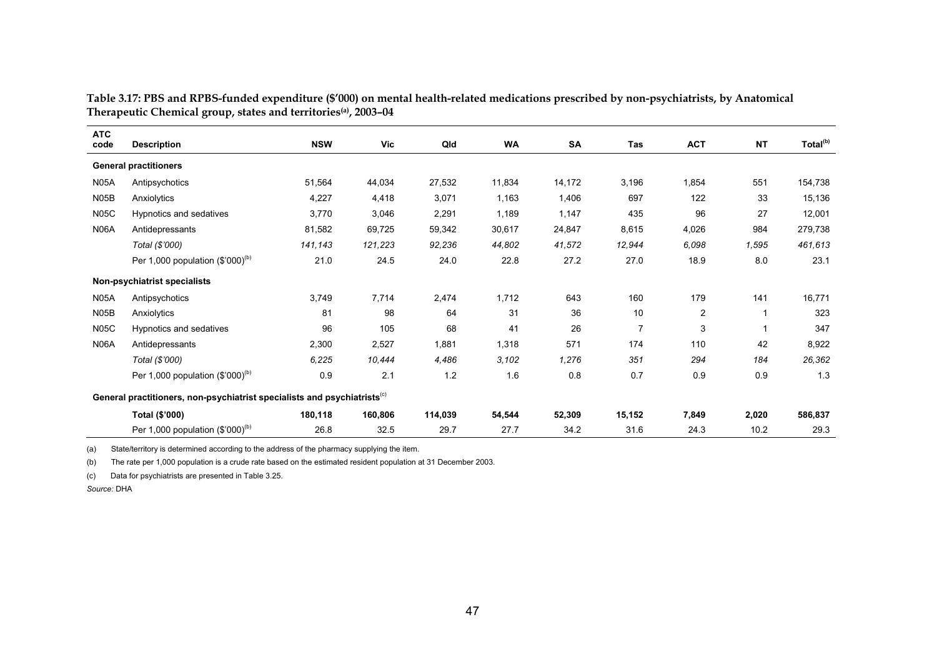| <b>ATC</b><br>code | <b>Description</b>                                                                   | <b>NSW</b> | <b>Vic</b> | Qld     | <b>WA</b> | <b>SA</b> | Tas            | <b>ACT</b> | <b>NT</b>   | Total <sup>(b)</sup> |
|--------------------|--------------------------------------------------------------------------------------|------------|------------|---------|-----------|-----------|----------------|------------|-------------|----------------------|
|                    | <b>General practitioners</b>                                                         |            |            |         |           |           |                |            |             |                      |
| <b>N05A</b>        | Antipsychotics                                                                       | 51,564     | 44,034     | 27,532  | 11,834    | 14,172    | 3,196          | 1,854      | 551         | 154,738              |
| <b>N05B</b>        | Anxiolytics                                                                          | 4,227      | 4,418      | 3,071   | 1,163     | 1,406     | 697            | 122        | 33          | 15,136               |
| <b>N05C</b>        | Hypnotics and sedatives                                                              | 3,770      | 3,046      | 2,291   | 1,189     | 1,147     | 435            | 96         | 27          | 12,001               |
| <b>N06A</b>        | Antidepressants                                                                      | 81,582     | 69,725     | 59,342  | 30,617    | 24,847    | 8,615          | 4,026      | 984         | 279,738              |
|                    | Total (\$'000)                                                                       | 141,143    | 121,223    | 92,236  | 44,802    | 41,572    | 12,944         | 6,098      | 1,595       | 461,613              |
|                    | Per 1,000 population $(\$'000)^{(b)}$                                                | 21.0       | 24.5       | 24.0    | 22.8      | 27.2      | 27.0           | 18.9       | 8.0         | 23.1                 |
|                    | Non-psychiatrist specialists                                                         |            |            |         |           |           |                |            |             |                      |
| <b>N05A</b>        | Antipsychotics                                                                       | 3,749      | 7,714      | 2,474   | 1,712     | 643       | 160            | 179        | 141         | 16,771               |
| <b>N05B</b>        | Anxiolytics                                                                          | 81         | 98         | 64      | 31        | 36        | 10             | 2          | $\mathbf 1$ | 323                  |
| <b>N05C</b>        | Hypnotics and sedatives                                                              | 96         | 105        | 68      | 41        | 26        | $\overline{7}$ | 3          | 1           | 347                  |
| <b>N06A</b>        | Antidepressants                                                                      | 2,300      | 2,527      | 1,881   | 1,318     | 571       | 174            | 110        | 42          | 8,922                |
|                    | Total (\$'000)                                                                       | 6,225      | 10,444     | 4,486   | 3,102     | 1,276     | 351            | 294        | 184         | 26,362               |
|                    | Per 1,000 population $(\$'000)^{(b)}$                                                | 0.9        | 2.1        | 1.2     | 1.6       | 0.8       | 0.7            | 0.9        | 0.9         | 1.3                  |
|                    | General practitioners, non-psychiatrist specialists and psychiatrists <sup>(c)</sup> |            |            |         |           |           |                |            |             |                      |
|                    | Total (\$'000)                                                                       | 180,118    | 160,806    | 114,039 | 54,544    | 52,309    | 15,152         | 7,849      | 2,020       | 586,837              |
|                    | Per 1,000 population $(\$'000)^{(b)}$                                                | 26.8       | 32.5       | 29.7    | 27.7      | 34.2      | 31.6           | 24.3       | 10.2        | 29.3                 |

**Table 3.17: PBS and RPBS-funded expenditure (\$'000) on mental health-related medications prescribed by non-psychiatrists, by Anatomical Therapeutic Chemical group, states and territories(a), 2003–04** 

(a) State/territory is determined according to the address of the pharmacy supplying the item.

(b) The rate per 1,000 population is a crude rate based on the estimated resident population at 31 December 2003.

(c) Data for psychiatrists are presented in Table 3.25.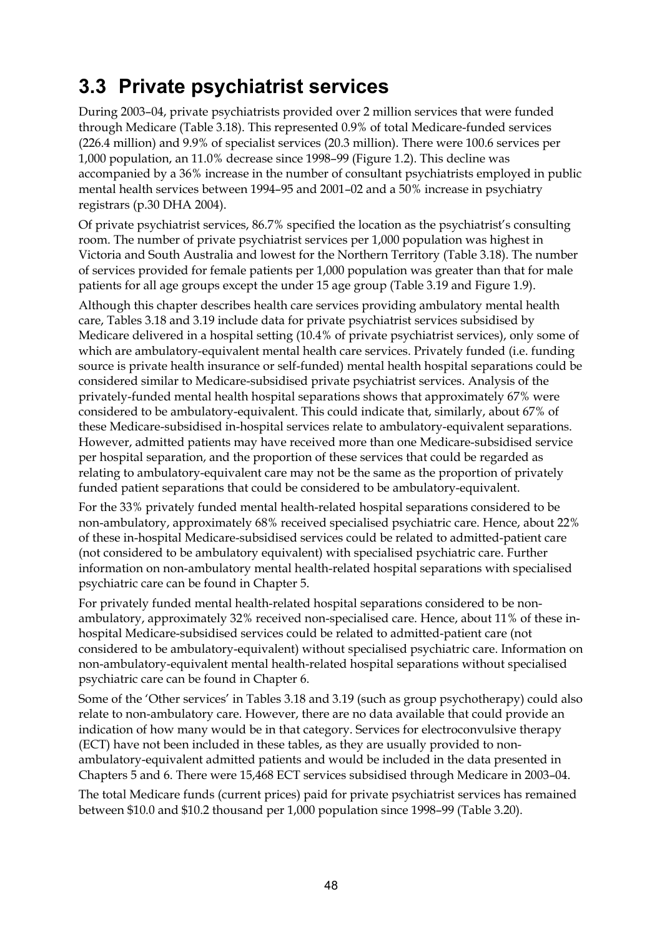## **3.3 Private psychiatrist services**

During 2003–04, private psychiatrists provided over 2 million services that were funded through Medicare (Table 3.18). This represented 0.9% of total Medicare-funded services (226.4 million) and 9.9% of specialist services (20.3 million). There were 100.6 services per 1,000 population, an 11.0% decrease since 1998–99 (Figure 1.2). This decline was accompanied by a 36% increase in the number of consultant psychiatrists employed in public mental health services between 1994–95 and 2001–02 and a 50% increase in psychiatry registrars (p.30 DHA 2004).

Of private psychiatrist services, 86.7% specified the location as the psychiatrist's consulting room. The number of private psychiatrist services per 1,000 population was highest in Victoria and South Australia and lowest for the Northern Territory (Table 3.18). The number of services provided for female patients per 1,000 population was greater than that for male patients for all age groups except the under 15 age group (Table 3.19 and Figure 1.9).

Although this chapter describes health care services providing ambulatory mental health care, Tables 3.18 and 3.19 include data for private psychiatrist services subsidised by Medicare delivered in a hospital setting (10.4% of private psychiatrist services), only some of which are ambulatory-equivalent mental health care services. Privately funded (i.e. funding source is private health insurance or self-funded) mental health hospital separations could be considered similar to Medicare-subsidised private psychiatrist services. Analysis of the privately-funded mental health hospital separations shows that approximately 67% were considered to be ambulatory-equivalent. This could indicate that, similarly, about 67% of these Medicare-subsidised in-hospital services relate to ambulatory-equivalent separations. However, admitted patients may have received more than one Medicare-subsidised service per hospital separation, and the proportion of these services that could be regarded as relating to ambulatory-equivalent care may not be the same as the proportion of privately funded patient separations that could be considered to be ambulatory-equivalent.

For the 33% privately funded mental health-related hospital separations considered to be non-ambulatory, approximately 68% received specialised psychiatric care. Hence, about 22% of these in-hospital Medicare-subsidised services could be related to admitted-patient care (not considered to be ambulatory equivalent) with specialised psychiatric care. Further information on non-ambulatory mental health-related hospital separations with specialised psychiatric care can be found in Chapter 5.

For privately funded mental health-related hospital separations considered to be nonambulatory, approximately 32% received non-specialised care. Hence, about 11% of these inhospital Medicare-subsidised services could be related to admitted-patient care (not considered to be ambulatory-equivalent) without specialised psychiatric care. Information on non-ambulatory-equivalent mental health-related hospital separations without specialised psychiatric care can be found in Chapter 6.

Some of the 'Other services' in Tables 3.18 and 3.19 (such as group psychotherapy) could also relate to non-ambulatory care. However, there are no data available that could provide an indication of how many would be in that category. Services for electroconvulsive therapy (ECT) have not been included in these tables, as they are usually provided to nonambulatory-equivalent admitted patients and would be included in the data presented in Chapters 5 and 6. There were 15,468 ECT services subsidised through Medicare in 2003–04.

The total Medicare funds (current prices) paid for private psychiatrist services has remained between \$10.0 and \$10.2 thousand per 1,000 population since 1998–99 (Table 3.20).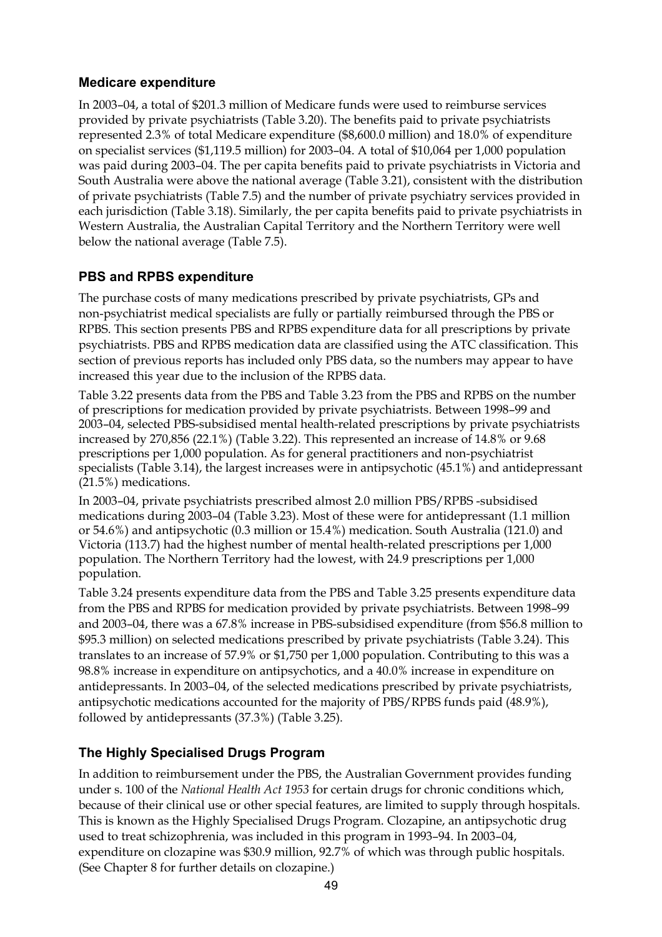#### **Medicare expenditure**

In 2003–04, a total of \$201.3 million of Medicare funds were used to reimburse services provided by private psychiatrists (Table 3.20). The benefits paid to private psychiatrists represented 2.3% of total Medicare expenditure (\$8,600.0 million) and 18.0% of expenditure on specialist services (\$1,119.5 million) for 2003–04. A total of \$10,064 per 1,000 population was paid during 2003–04. The per capita benefits paid to private psychiatrists in Victoria and South Australia were above the national average (Table 3.21), consistent with the distribution of private psychiatrists (Table 7.5) and the number of private psychiatry services provided in each jurisdiction (Table 3.18). Similarly, the per capita benefits paid to private psychiatrists in Western Australia, the Australian Capital Territory and the Northern Territory were well below the national average (Table 7.5).

#### **PBS and RPBS expenditure**

The purchase costs of many medications prescribed by private psychiatrists, GPs and non-psychiatrist medical specialists are fully or partially reimbursed through the PBS or RPBS. This section presents PBS and RPBS expenditure data for all prescriptions by private psychiatrists. PBS and RPBS medication data are classified using the ATC classification. This section of previous reports has included only PBS data, so the numbers may appear to have increased this year due to the inclusion of the RPBS data.

Table 3.22 presents data from the PBS and Table 3.23 from the PBS and RPBS on the number of prescriptions for medication provided by private psychiatrists. Between 1998–99 and 2003–04, selected PBS-subsidised mental health-related prescriptions by private psychiatrists increased by 270,856 (22.1%) (Table 3.22). This represented an increase of 14.8% or 9.68 prescriptions per 1,000 population. As for general practitioners and non-psychiatrist specialists (Table 3.14), the largest increases were in antipsychotic (45.1%) and antidepressant (21.5%) medications.

In 2003–04, private psychiatrists prescribed almost 2.0 million PBS/RPBS -subsidised medications during 2003–04 (Table 3.23). Most of these were for antidepressant (1.1 million or 54.6%) and antipsychotic (0.3 million or 15.4%) medication. South Australia (121.0) and Victoria (113.7) had the highest number of mental health-related prescriptions per 1,000 population. The Northern Territory had the lowest, with 24.9 prescriptions per 1,000 population.

Table 3.24 presents expenditure data from the PBS and Table 3.25 presents expenditure data from the PBS and RPBS for medication provided by private psychiatrists. Between 1998–99 and 2003–04, there was a 67.8% increase in PBS-subsidised expenditure (from \$56.8 million to \$95.3 million) on selected medications prescribed by private psychiatrists (Table 3.24). This translates to an increase of 57.9% or \$1,750 per 1,000 population. Contributing to this was a 98.8% increase in expenditure on antipsychotics, and a 40.0% increase in expenditure on antidepressants. In 2003–04, of the selected medications prescribed by private psychiatrists, antipsychotic medications accounted for the majority of PBS/RPBS funds paid (48.9%), followed by antidepressants (37.3%) (Table 3.25).

### **The Highly Specialised Drugs Program**

In addition to reimbursement under the PBS, the Australian Government provides funding under s. 100 of the *National Health Act 1953* for certain drugs for chronic conditions which, because of their clinical use or other special features, are limited to supply through hospitals. This is known as the Highly Specialised Drugs Program. Clozapine, an antipsychotic drug used to treat schizophrenia, was included in this program in 1993–94. In 2003–04, expenditure on clozapine was \$30.9 million, 92.7% of which was through public hospitals. (See Chapter 8 for further details on clozapine.)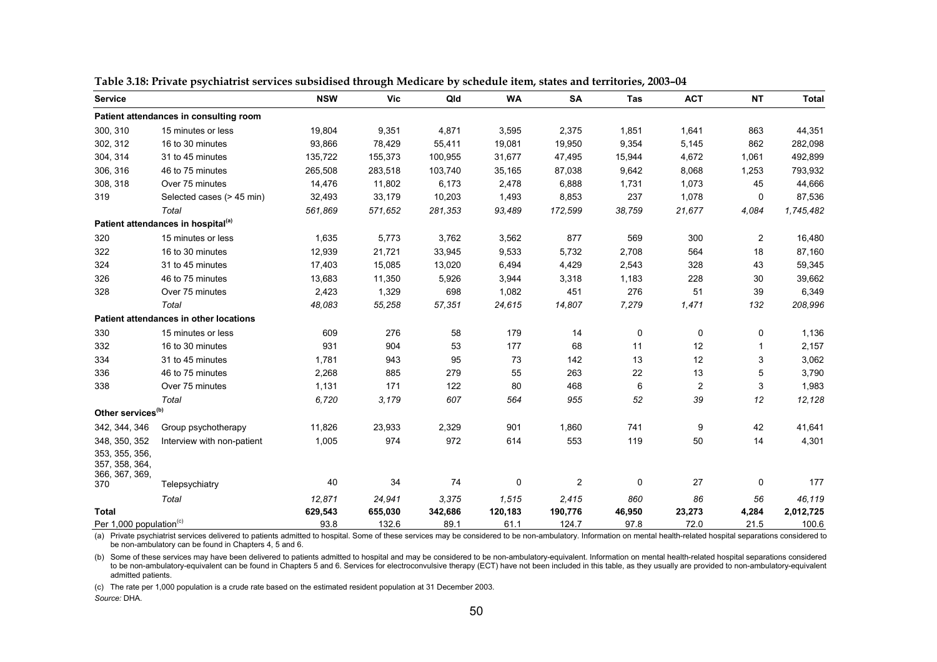| <b>Service</b>                                     |                                                | <b>NSW</b> | <b>Vic</b> | Qld     | <b>WA</b> | <b>SA</b>               | Tas    | <b>ACT</b>     | <b>NT</b>      | <b>Total</b> |
|----------------------------------------------------|------------------------------------------------|------------|------------|---------|-----------|-------------------------|--------|----------------|----------------|--------------|
|                                                    | Patient attendances in consulting room         |            |            |         |           |                         |        |                |                |              |
| 300, 310                                           | 15 minutes or less                             | 19,804     | 9,351      | 4,871   | 3,595     | 2,375                   | 1,851  | 1,641          | 863            | 44,351       |
| 302, 312                                           | 16 to 30 minutes                               | 93,866     | 78,429     | 55,411  | 19,081    | 19,950                  | 9,354  | 5,145          | 862            | 282,098      |
| 304, 314                                           | 31 to 45 minutes                               | 135,722    | 155,373    | 100,955 | 31,677    | 47,495                  | 15,944 | 4,672          | 1,061          | 492,899      |
| 306, 316                                           | 46 to 75 minutes                               | 265,508    | 283,518    | 103,740 | 35,165    | 87,038                  | 9,642  | 8,068          | 1,253          | 793,932      |
| 308, 318                                           | Over 75 minutes                                | 14,476     | 11,802     | 6,173   | 2,478     | 6,888                   | 1,731  | 1,073          | 45             | 44,666       |
| 319                                                | Selected cases (> 45 min)                      | 32,493     | 33,179     | 10,203  | 1,493     | 8,853                   | 237    | 1,078          | 0              | 87,536       |
|                                                    | Total                                          | 561,869    | 571,652    | 281,353 | 93,489    | 172,599                 | 38,759 | 21,677         | 4,084          | 1,745,482    |
|                                                    | Patient attendances in hospital <sup>(a)</sup> |            |            |         |           |                         |        |                |                |              |
| 320                                                | 15 minutes or less                             | 1,635      | 5,773      | 3,762   | 3,562     | 877                     | 569    | 300            | $\overline{2}$ | 16,480       |
| 322                                                | 16 to 30 minutes                               | 12,939     | 21,721     | 33,945  | 9,533     | 5,732                   | 2,708  | 564            | 18             | 87,160       |
| 324                                                | 31 to 45 minutes                               | 17,403     | 15,085     | 13,020  | 6,494     | 4,429                   | 2,543  | 328            | 43             | 59,345       |
| 326                                                | 46 to 75 minutes                               | 13,683     | 11,350     | 5,926   | 3,944     | 3,318                   | 1,183  | 228            | 30             | 39,662       |
| 328                                                | Over 75 minutes                                | 2,423      | 1,329      | 698     | 1,082     | 451                     | 276    | 51             | 39             | 6,349        |
|                                                    | Total                                          | 48,083     | 55,258     | 57,351  | 24,615    | 14,807                  | 7,279  | 1,471          | 132            | 208,996      |
|                                                    | Patient attendances in other locations         |            |            |         |           |                         |        |                |                |              |
| 330                                                | 15 minutes or less                             | 609        | 276        | 58      | 179       | 14                      | 0      | 0              | 0              | 1,136        |
| 332                                                | 16 to 30 minutes                               | 931        | 904        | 53      | 177       | 68                      | 11     | 12             |                | 2,157        |
| 334                                                | 31 to 45 minutes                               | 1,781      | 943        | 95      | 73        | 142                     | 13     | 12             | 3              | 3,062        |
| 336                                                | 46 to 75 minutes                               | 2,268      | 885        | 279     | 55        | 263                     | 22     | 13             | 5              | 3,790        |
| 338                                                | Over 75 minutes                                | 1,131      | 171        | 122     | 80        | 468                     | 6      | $\overline{2}$ | 3              | 1,983        |
|                                                    | Total                                          | 6,720      | 3,179      | 607     | 564       | 955                     | 52     | 39             | 12             | 12,128       |
| Other services <sup>(b)</sup>                      |                                                |            |            |         |           |                         |        |                |                |              |
| 342, 344, 346                                      | Group psychotherapy                            | 11,826     | 23,933     | 2,329   | 901       | 1,860                   | 741    | 9              | 42             | 41,641       |
| 348, 350, 352                                      | Interview with non-patient                     | 1,005      | 974        | 972     | 614       | 553                     | 119    | 50             | 14             | 4,301        |
| 353, 355, 356,<br>357, 358, 364,<br>366, 367, 369, |                                                |            |            |         |           |                         |        |                |                |              |
| 370                                                | Telepsychiatry                                 | 40         | 34         | 74      | 0         | $\overline{\mathbf{c}}$ | 0      | 27             | 0              | 177          |
|                                                    | Total                                          | 12.871     | 24,941     | 3,375   | 1,515     | 2,415                   | 860    | 86             | 56             | 46,119       |
| <b>Total</b>                                       |                                                | 629,543    | 655,030    | 342,686 | 120,183   | 190,776                 | 46,950 | 23,273         | 4,284          | 2,012,725    |
| Per 1,000 population <sup>(c)</sup>                |                                                | 93.8       | 132.6      | 89.1    | 61.1      | 124.7                   | 97.8   | 72.0           | 21.5           | 100.6        |

**Table 3.18: Private psychiatrist services subsidised through Medicare by schedule item, states and territories, 2003–04** 

(a) Private psychiatrist services delivered to patients admitted to hospital. Some of these services may be considered to be non-ambulatory. Information on mental health-related hospital separations considered to be non-ambulatory can be found in Chapters 4, 5 and 6.

(b) Some of these services may have been delivered to patients admitted to hospital and may be considered to be non-ambulatory-equivalent. Information on mental health-related hospital separations considered to be non-ambulatory-equivalent can be found in Chapters 5 and 6. Services for electroconvulsive therapy (ECT) have not been included in this table, as they usually are provided to non-ambulatory-equivalent admitted patients.

(c) The rate per 1,000 population is a crude rate based on the estimated resident population at 31 December 2003.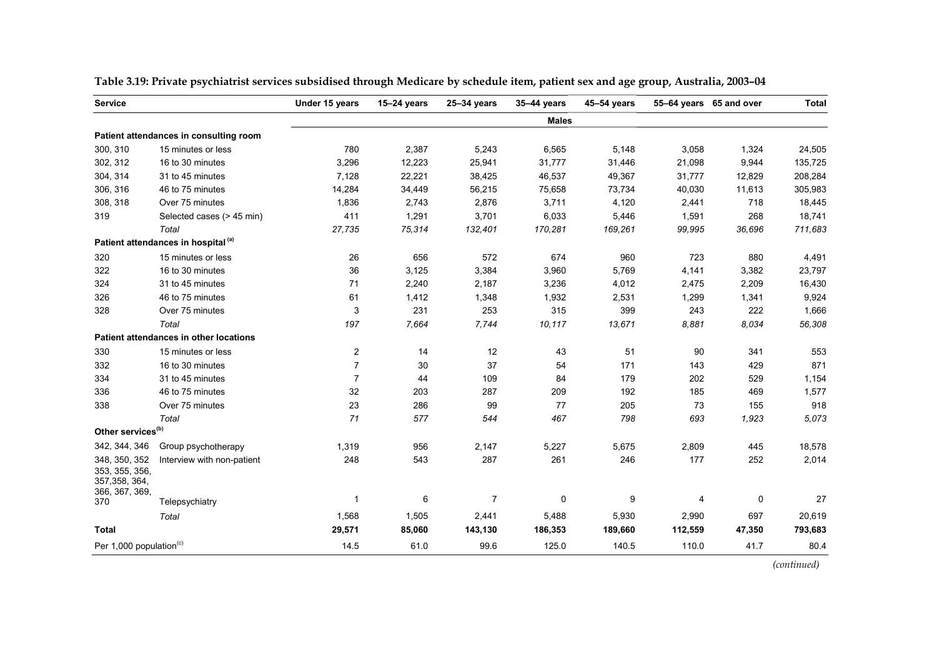| <b>Service</b>                                                      |                                                | Under 15 years | $15-24$ years | 25-34 years    | 35-44 years  | 45-54 years |         | 55-64 years 65 and over | <b>Total</b> |
|---------------------------------------------------------------------|------------------------------------------------|----------------|---------------|----------------|--------------|-------------|---------|-------------------------|--------------|
|                                                                     |                                                |                |               |                | <b>Males</b> |             |         |                         |              |
|                                                                     | Patient attendances in consulting room         |                |               |                |              |             |         |                         |              |
| 300, 310                                                            | 15 minutes or less                             | 780            | 2,387         | 5,243          | 6,565        | 5,148       | 3,058   | 1,324                   | 24,505       |
| 302, 312                                                            | 16 to 30 minutes                               | 3,296          | 12,223        | 25,941         | 31,777       | 31,446      | 21,098  | 9,944                   | 135,725      |
| 304, 314                                                            | 31 to 45 minutes                               | 7,128          | 22,221        | 38,425         | 46,537       | 49,367      | 31,777  | 12,829                  | 208,284      |
| 306, 316                                                            | 46 to 75 minutes                               | 14,284         | 34,449        | 56,215         | 75,658       | 73,734      | 40,030  | 11,613                  | 305,983      |
| 308, 318                                                            | Over 75 minutes                                | 1,836          | 2,743         | 2,876          | 3,711        | 4,120       | 2,441   | 718                     | 18,445       |
| 319                                                                 | Selected cases (> 45 min)                      | 411            | 1,291         | 3,701          | 6,033        | 5,446       | 1,591   | 268                     | 18,741       |
|                                                                     | Total                                          | 27,735         | 75,314        | 132,401        | 170,281      | 169,261     | 99,995  | 36,696                  | 711,683      |
|                                                                     | Patient attendances in hospital <sup>(a)</sup> |                |               |                |              |             |         |                         |              |
| 320                                                                 | 15 minutes or less                             | 26             | 656           | 572            | 674          | 960         | 723     | 880                     | 4,491        |
| 322                                                                 | 16 to 30 minutes                               | 36             | 3,125         | 3,384          | 3,960        | 5,769       | 4,141   | 3,382                   | 23,797       |
| 324                                                                 | 31 to 45 minutes                               | 71             | 2,240         | 2,187          | 3,236        | 4,012       | 2,475   | 2,209                   | 16,430       |
| 326                                                                 | 46 to 75 minutes                               | 61             | 1,412         | 1,348          | 1,932        | 2,531       | 1,299   | 1,341                   | 9,924        |
| 328                                                                 | Over 75 minutes                                | 3              | 231           | 253            | 315          | 399         | 243     | 222                     | 1,666        |
|                                                                     | Total                                          | 197            | 7,664         | 7,744          | 10,117       | 13,671      | 8.881   | 8.034                   | 56,308       |
|                                                                     | Patient attendances in other locations         |                |               |                |              |             |         |                         |              |
| 330                                                                 | 15 minutes or less                             | $\overline{c}$ | 14            | 12             | 43           | 51          | 90      | 341                     | 553          |
| 332                                                                 | 16 to 30 minutes                               | $\overline{7}$ | 30            | 37             | 54           | 171         | 143     | 429                     | 871          |
| 334                                                                 | 31 to 45 minutes                               | $\overline{7}$ | 44            | 109            | 84           | 179         | 202     | 529                     | 1,154        |
| 336                                                                 | 46 to 75 minutes                               | 32             | 203           | 287            | 209          | 192         | 185     | 469                     | 1,577        |
| 338                                                                 | Over 75 minutes                                | 23             | 286           | 99             | 77           | 205         | 73      | 155                     | 918          |
|                                                                     | Total                                          | 71             | 577           | 544            | 467          | 798         | 693     | 1,923                   | 5,073        |
| Other services <sup>(b)</sup>                                       |                                                |                |               |                |              |             |         |                         |              |
| 342, 344, 346                                                       | Group psychotherapy                            | 1,319          | 956           | 2,147          | 5,227        | 5,675       | 2,809   | 445                     | 18,578       |
| 348, 350, 352<br>353, 355, 356,<br>357, 358, 364,<br>366, 367, 369, | Interview with non-patient                     | 248            | 543           | 287            | 261          | 246         | 177     | 252                     | 2,014        |
| 370                                                                 | Telepsychiatry                                 | 1              | 6             | $\overline{7}$ | 0            | 9           | 4       | 0                       | 27           |
|                                                                     | Total                                          | 1,568          | 1,505         | 2,441          | 5,488        | 5,930       | 2,990   | 697                     | 20,619       |
| <b>Total</b>                                                        |                                                | 29,571         | 85,060        | 143,130        | 186,353      | 189,660     | 112,559 | 47,350                  | 793,683      |
| Per 1,000 population <sup>(c)</sup>                                 |                                                | 14.5           | 61.0          | 99.6           | 125.0        | 140.5       | 110.0   | 41.7                    | 80.4         |

**Table 3.19: Private psychiatrist services subsidised through Medicare by schedule item, patient sex and age group, Australia, 2003–04** 

 *(continued)*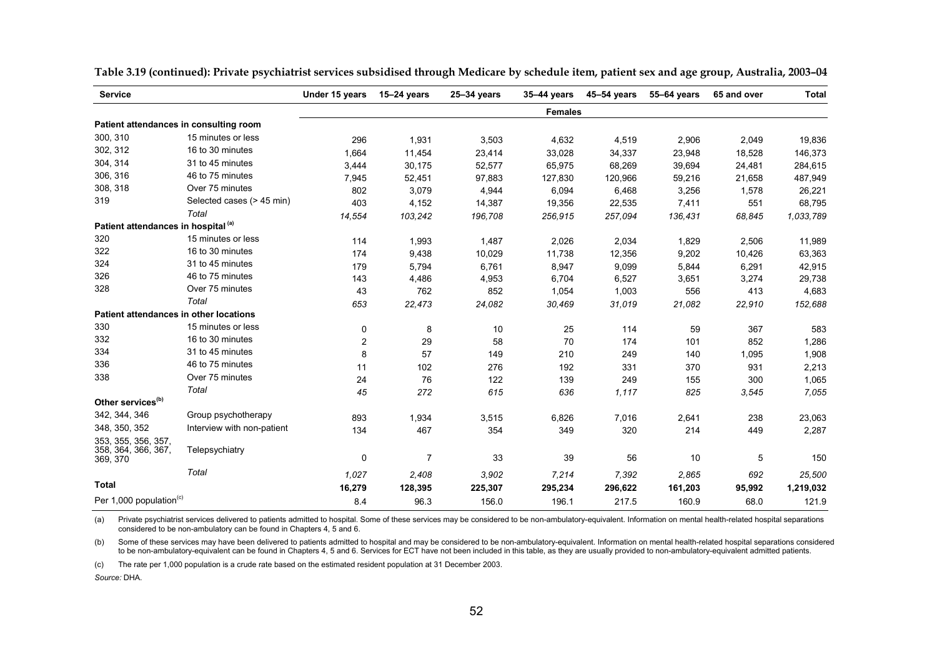| <b>Service</b>                                         |                            | Under 15 years          | $15-24$ years  | $25 - 34$ years | 35-44 years    | 45-54 years | 55-64 years | 65 and over | <b>Total</b> |
|--------------------------------------------------------|----------------------------|-------------------------|----------------|-----------------|----------------|-------------|-------------|-------------|--------------|
|                                                        |                            |                         |                |                 | <b>Females</b> |             |             |             |              |
| Patient attendances in consulting room                 |                            |                         |                |                 |                |             |             |             |              |
| 300, 310                                               | 15 minutes or less         | 296                     | 1,931          | 3,503           | 4,632          | 4,519       | 2,906       | 2,049       | 19,836       |
| 302, 312                                               | 16 to 30 minutes           | 1,664                   | 11,454         | 23,414          | 33,028         | 34,337      | 23,948      | 18,528      | 146,373      |
| 304, 314                                               | 31 to 45 minutes           | 3,444                   | 30,175         | 52,577          | 65,975         | 68,269      | 39,694      | 24,481      | 284,615      |
| 306, 316                                               | 46 to 75 minutes           | 7,945                   | 52,451         | 97,883          | 127,830        | 120,966     | 59,216      | 21,658      | 487,949      |
| 308, 318                                               | Over 75 minutes            | 802                     | 3,079          | 4,944           | 6,094          | 6,468       | 3,256       | 1,578       | 26,221       |
| 319                                                    | Selected cases (> 45 min)  | 403                     | 4,152          | 14,387          | 19,356         | 22,535      | 7,411       | 551         | 68,795       |
|                                                        | Total                      | 14,554                  | 103,242        | 196,708         | 256,915        | 257,094     | 136,431     | 68,845      | 1,033,789    |
| Patient attendances in hospital <sup>(a)</sup>         |                            |                         |                |                 |                |             |             |             |              |
| 320                                                    | 15 minutes or less         | 114                     | 1,993          | 1,487           | 2,026          | 2,034       | 1,829       | 2,506       | 11,989       |
| 322                                                    | 16 to 30 minutes           | 174                     | 9,438          | 10,029          | 11,738         | 12,356      | 9,202       | 10,426      | 63,363       |
| 324                                                    | 31 to 45 minutes           | 179                     | 5,794          | 6,761           | 8,947          | 9,099       | 5,844       | 6,291       | 42,915       |
| 326                                                    | 46 to 75 minutes           | 143                     | 4,486          | 4,953           | 6,704          | 6,527       | 3,651       | 3,274       | 29,738       |
| 328                                                    | Over 75 minutes            | 43                      | 762            | 852             | 1,054          | 1,003       | 556         | 413         | 4,683        |
|                                                        | Total                      | 653                     | 22,473         | 24,082          | 30,469         | 31,019      | 21,082      | 22,910      | 152,688      |
| Patient attendances in other locations                 |                            |                         |                |                 |                |             |             |             |              |
| 330                                                    | 15 minutes or less         | 0                       | 8              | 10              | 25             | 114         | 59          | 367         | 583          |
| 332                                                    | 16 to 30 minutes           | $\overline{\mathbf{c}}$ | 29             | 58              | 70             | 174         | 101         | 852         | 1,286        |
| 334                                                    | 31 to 45 minutes           | 8                       | 57             | 149             | 210            | 249         | 140         | 1,095       | 1,908        |
| 336                                                    | 46 to 75 minutes           | 11                      | 102            | 276             | 192            | 331         | 370         | 931         | 2,213        |
| 338                                                    | Over 75 minutes            | 24                      | 76             | 122             | 139            | 249         | 155         | 300         | 1,065        |
|                                                        | Total                      | 45                      | 272            | 615             | 636            | 1,117       | 825         | 3,545       | 7,055        |
| Other services <sup>(b)</sup>                          |                            |                         |                |                 |                |             |             |             |              |
| 342, 344, 346                                          | Group psychotherapy        | 893                     | 1,934          | 3,515           | 6,826          | 7,016       | 2,641       | 238         | 23,063       |
| 348, 350, 352                                          | Interview with non-patient | 134                     | 467            | 354             | 349            | 320         | 214         | 449         | 2,287        |
| 353, 355, 356, 357,<br>358, 364, 366, 367,<br>369, 370 | Telepsychiatry             | 0                       | $\overline{7}$ | 33              | 39             | 56          | 10          | 5           | 150          |
|                                                        | Total                      |                         |                |                 |                |             |             |             |              |
| <b>Total</b>                                           |                            | 1,027                   | 2,408          | 3,902           | 7,214          | 7,392       | 2,865       | 692         | 25,500       |
|                                                        |                            | 16,279                  | 128,395        | 225,307         | 295,234        | 296,622     | 161,203     | 95,992      | 1,219,032    |
| Per 1,000 population <sup>(c)</sup>                    |                            | 8.4                     | 96.3           | 156.0           | 196.1          | 217.5       | 160.9       | 68.0        | 121.9        |

**Table 3.19 (continued): Private psychiatrist services subsidised through Medicare by schedule item, patient sex and age group, Australia, 2003–04** 

(a) Private psychiatrist services delivered to patients admitted to hospital. Some of these services may be considered to be non-ambulatory-equivalent. Information on mental health-related hospital separations considered to be non-ambulatory can be found in Chapters 4, 5 and 6.

(b) Some of these services may have been delivered to patients admitted to hospital and may be considered to be non-ambulatory-equivalent. Information on mental health-related hospital separations considered to be non-ambulatory-equivalent can be found in Chapters 4, 5 and 6. Services for ECT have not been included in this table, as they are usually provided to non-ambulatory-equivalent admitted patients.

(c) The rate per 1,000 population is a crude rate based on the estimated resident population at 31 December 2003.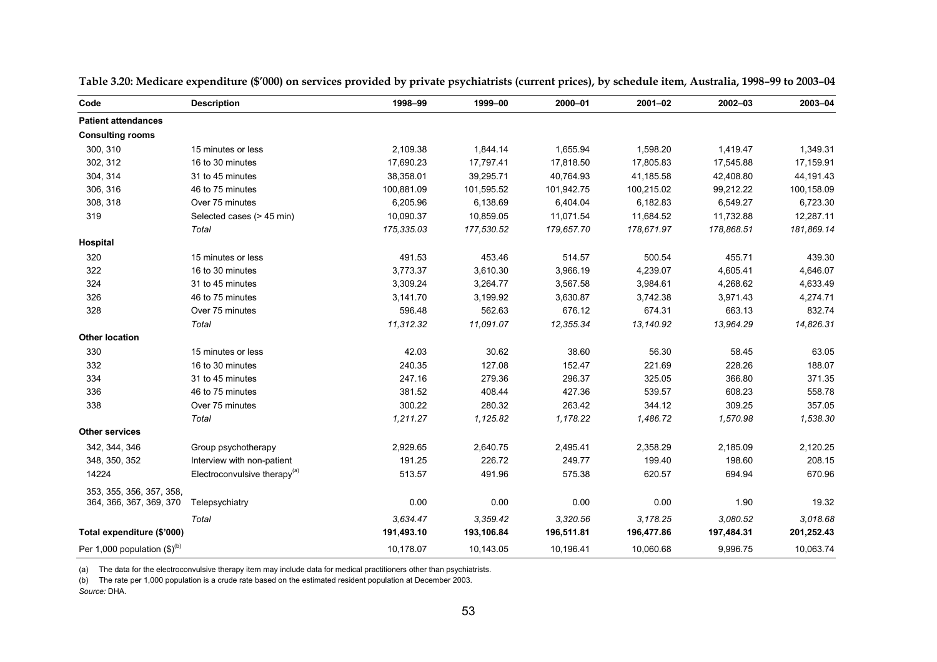| Code                                      | <b>Description</b>                       | 1998-99    | 1999-00    | 2000-01    | $2001 - 02$ | 2002-03    | 2003-04    |
|-------------------------------------------|------------------------------------------|------------|------------|------------|-------------|------------|------------|
| <b>Patient attendances</b>                |                                          |            |            |            |             |            |            |
| <b>Consulting rooms</b>                   |                                          |            |            |            |             |            |            |
| 300, 310                                  | 15 minutes or less                       | 2,109.38   | 1,844.14   | 1,655.94   | 1,598.20    | 1,419.47   | 1,349.31   |
| 302, 312                                  | 16 to 30 minutes                         | 17,690.23  | 17,797.41  | 17,818.50  | 17,805.83   | 17,545.88  | 17,159.91  |
| 304, 314                                  | 31 to 45 minutes                         | 38,358.01  | 39,295.71  | 40,764.93  | 41,185.58   | 42,408.80  | 44,191.43  |
| 306, 316                                  | 46 to 75 minutes                         | 100,881.09 | 101,595.52 | 101,942.75 | 100,215.02  | 99,212.22  | 100,158.09 |
| 308, 318                                  | Over 75 minutes                          | 6,205.96   | 6,138.69   | 6,404.04   | 6,182.83    | 6,549.27   | 6,723.30   |
| 319                                       | Selected cases (> 45 min)                | 10,090.37  | 10,859.05  | 11,071.54  | 11,684.52   | 11,732.88  | 12,287.11  |
|                                           | Total                                    | 175,335.03 | 177,530.52 | 179,657.70 | 178,671.97  | 178,868.51 | 181,869.14 |
| Hospital                                  |                                          |            |            |            |             |            |            |
| 320                                       | 15 minutes or less                       | 491.53     | 453.46     | 514.57     | 500.54      | 455.71     | 439.30     |
| 322                                       | 16 to 30 minutes                         | 3,773.37   | 3,610.30   | 3,966.19   | 4,239.07    | 4,605.41   | 4,646.07   |
| 324                                       | 31 to 45 minutes                         | 3,309.24   | 3,264.77   | 3,567.58   | 3,984.61    | 4,268.62   | 4,633.49   |
| 326                                       | 46 to 75 minutes                         | 3,141.70   | 3,199.92   | 3,630.87   | 3,742.38    | 3,971.43   | 4,274.71   |
| 328                                       | Over 75 minutes                          | 596.48     | 562.63     | 676.12     | 674.31      | 663.13     | 832.74     |
|                                           | Total                                    | 11,312.32  | 11,091.07  | 12,355.34  | 13,140.92   | 13,964.29  | 14,826.31  |
| <b>Other location</b>                     |                                          |            |            |            |             |            |            |
| 330                                       | 15 minutes or less                       | 42.03      | 30.62      | 38.60      | 56.30       | 58.45      | 63.05      |
| 332                                       | 16 to 30 minutes                         | 240.35     | 127.08     | 152.47     | 221.69      | 228.26     | 188.07     |
| 334                                       | 31 to 45 minutes                         | 247.16     | 279.36     | 296.37     | 325.05      | 366.80     | 371.35     |
| 336                                       | 46 to 75 minutes                         | 381.52     | 408.44     | 427.36     | 539.57      | 608.23     | 558.78     |
| 338                                       | Over 75 minutes                          | 300.22     | 280.32     | 263.42     | 344.12      | 309.25     | 357.05     |
|                                           | Total                                    | 1,211.27   | 1,125.82   | 1,178.22   | 1,486.72    | 1,570.98   | 1,538.30   |
| <b>Other services</b>                     |                                          |            |            |            |             |            |            |
| 342, 344, 346                             | Group psychotherapy                      | 2,929.65   | 2,640.75   | 2,495.41   | 2,358.29    | 2,185.09   | 2,120.25   |
| 348, 350, 352                             | Interview with non-patient               | 191.25     | 226.72     | 249.77     | 199.40      | 198.60     | 208.15     |
| 14224                                     | Electroconvulsive therapy <sup>(a)</sup> | 513.57     | 491.96     | 575.38     | 620.57      | 694.94     | 670.96     |
| 353, 355, 356, 357, 358,                  |                                          |            |            |            |             |            |            |
| 364, 366, 367, 369, 370                   | Telepsychiatry                           | 0.00       | 0.00       | 0.00       | 0.00        | 1.90       | 19.32      |
|                                           | Total                                    | 3,634.47   | 3,359.42   | 3,320.56   | 3,178.25    | 3.080.52   | 3.018.68   |
| Total expenditure (\$'000)                |                                          | 191,493.10 | 193,106.84 | 196,511.81 | 196,477.86  | 197,484.31 | 201,252.43 |
| Per 1,000 population $(\text{$\$})^{(b)}$ |                                          | 10,178.07  | 10,143.05  | 10,196.41  | 10,060.68   | 9,996.75   | 10,063.74  |

**Table 3.20: Medicare expenditure (\$'000) on services provided by private psychiatrists (current prices), by schedule item, Australia, 1998–99 to 2003–04**

(a) The data for the electroconvulsive therapy item may include data for medical practitioners other than psychiatrists.

(b) The rate per 1,000 population is a crude rate based on the estimated resident population at December 2003. *Source:* DHA.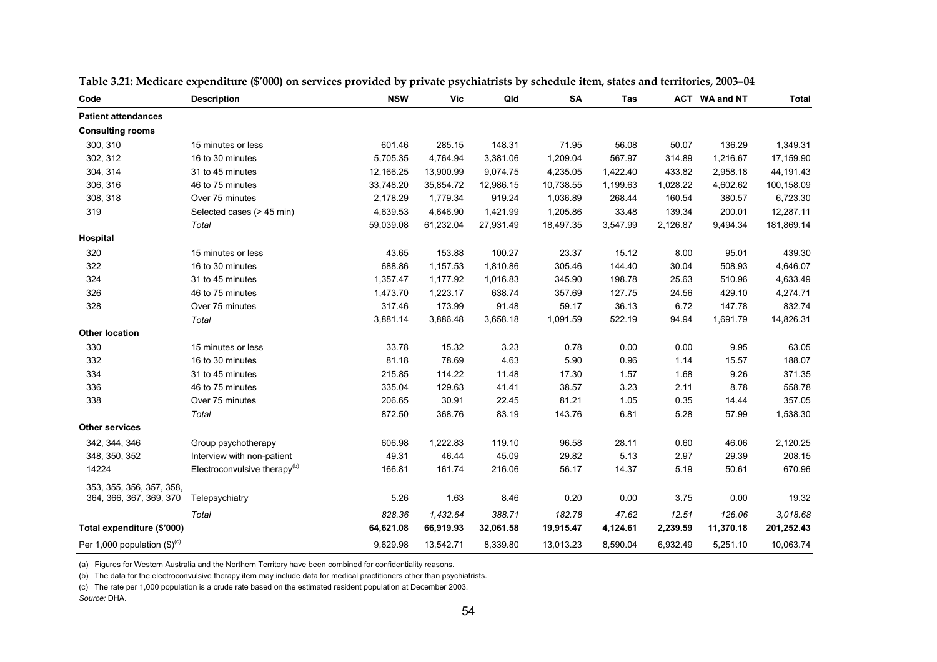| Code                                      | <b>Description</b>                       | <b>NSW</b> | Vic       | Qld       | SA        | Tas      |          | ACT WA and NT | <b>Total</b> |
|-------------------------------------------|------------------------------------------|------------|-----------|-----------|-----------|----------|----------|---------------|--------------|
| <b>Patient attendances</b>                |                                          |            |           |           |           |          |          |               |              |
| <b>Consulting rooms</b>                   |                                          |            |           |           |           |          |          |               |              |
| 300, 310                                  | 15 minutes or less                       | 601.46     | 285.15    | 148.31    | 71.95     | 56.08    | 50.07    | 136.29        | 1,349.31     |
| 302, 312                                  | 16 to 30 minutes                         | 5,705.35   | 4,764.94  | 3,381.06  | 1,209.04  | 567.97   | 314.89   | 1,216.67      | 17,159.90    |
| 304, 314                                  | 31 to 45 minutes                         | 12,166.25  | 13,900.99 | 9,074.75  | 4,235.05  | 1,422.40 | 433.82   | 2,958.18      | 44,191.43    |
| 306, 316                                  | 46 to 75 minutes                         | 33,748.20  | 35,854.72 | 12,986.15 | 10,738.55 | 1,199.63 | 1,028.22 | 4,602.62      | 100,158.09   |
| 308, 318                                  | Over 75 minutes                          | 2,178.29   | 1,779.34  | 919.24    | 1,036.89  | 268.44   | 160.54   | 380.57        | 6,723.30     |
| 319                                       | Selected cases (> 45 min)                | 4,639.53   | 4,646.90  | 1,421.99  | 1,205.86  | 33.48    | 139.34   | 200.01        | 12,287.11    |
|                                           | Total                                    | 59,039.08  | 61,232.04 | 27,931.49 | 18,497.35 | 3,547.99 | 2,126.87 | 9,494.34      | 181,869.14   |
| Hospital                                  |                                          |            |           |           |           |          |          |               |              |
| 320                                       | 15 minutes or less                       | 43.65      | 153.88    | 100.27    | 23.37     | 15.12    | 8.00     | 95.01         | 439.30       |
| 322                                       | 16 to 30 minutes                         | 688.86     | 1,157.53  | 1,810.86  | 305.46    | 144.40   | 30.04    | 508.93        | 4,646.07     |
| 324                                       | 31 to 45 minutes                         | 1,357.47   | 1,177.92  | 1,016.83  | 345.90    | 198.78   | 25.63    | 510.96        | 4,633.49     |
| 326                                       | 46 to 75 minutes                         | 1,473.70   | 1,223.17  | 638.74    | 357.69    | 127.75   | 24.56    | 429.10        | 4,274.71     |
| 328                                       | Over 75 minutes                          | 317.46     | 173.99    | 91.48     | 59.17     | 36.13    | 6.72     | 147.78        | 832.74       |
|                                           | Total                                    | 3,881.14   | 3,886.48  | 3,658.18  | 1,091.59  | 522.19   | 94.94    | 1,691.79      | 14,826.31    |
| <b>Other location</b>                     |                                          |            |           |           |           |          |          |               |              |
| 330                                       | 15 minutes or less                       | 33.78      | 15.32     | 3.23      | 0.78      | 0.00     | 0.00     | 9.95          | 63.05        |
| 332                                       | 16 to 30 minutes                         | 81.18      | 78.69     | 4.63      | 5.90      | 0.96     | 1.14     | 15.57         | 188.07       |
| 334                                       | 31 to 45 minutes                         | 215.85     | 114.22    | 11.48     | 17.30     | 1.57     | 1.68     | 9.26          | 371.35       |
| 336                                       | 46 to 75 minutes                         | 335.04     | 129.63    | 41.41     | 38.57     | 3.23     | 2.11     | 8.78          | 558.78       |
| 338                                       | Over 75 minutes                          | 206.65     | 30.91     | 22.45     | 81.21     | 1.05     | 0.35     | 14.44         | 357.05       |
|                                           | Total                                    | 872.50     | 368.76    | 83.19     | 143.76    | 6.81     | 5.28     | 57.99         | 1,538.30     |
| <b>Other services</b>                     |                                          |            |           |           |           |          |          |               |              |
| 342, 344, 346                             | Group psychotherapy                      | 606.98     | 1,222.83  | 119.10    | 96.58     | 28.11    | 0.60     | 46.06         | 2,120.25     |
| 348, 350, 352                             | Interview with non-patient               | 49.31      | 46.44     | 45.09     | 29.82     | 5.13     | 2.97     | 29.39         | 208.15       |
| 14224                                     | Electroconvulsive therapy <sup>(b)</sup> | 166.81     | 161.74    | 216.06    | 56.17     | 14.37    | 5.19     | 50.61         | 670.96       |
| 353, 355, 356, 357, 358,                  |                                          |            |           |           |           |          |          |               |              |
| 364, 366, 367, 369, 370                   | Telepsychiatry                           | 5.26       | 1.63      | 8.46      | 0.20      | 0.00     | 3.75     | 0.00          | 19.32        |
|                                           | Total                                    | 828.36     | 1,432.64  | 388.71    | 182.78    | 47.62    | 12.51    | 126.06        | 3,018.68     |
| Total expenditure (\$'000)                |                                          | 64,621.08  | 66,919.93 | 32,061.58 | 19,915.47 | 4,124.61 | 2,239.59 | 11,370.18     | 201,252.43   |
| Per 1,000 population $(\text{$\$})^{(c)}$ |                                          | 9,629.98   | 13,542.71 | 8,339.80  | 13,013.23 | 8,590.04 | 6,932.49 | 5,251.10      | 10,063.74    |

|  | Table 3.21: Medicare expenditure (\$'000) on services provided by private psychiatrists by schedule item, states and territories, 2003–04 |  |  |  |  |  |
|--|-------------------------------------------------------------------------------------------------------------------------------------------|--|--|--|--|--|
|--|-------------------------------------------------------------------------------------------------------------------------------------------|--|--|--|--|--|

(a) Figures for Western Australia and the Northern Territory have been combined for confidentiality reasons.

(b) The data for the electroconvulsive therapy item may include data for medical practitioners other than psychiatrists.

(c) The rate per 1,000 population is a crude rate based on the estimated resident population at December 2003. *Source:* DHA.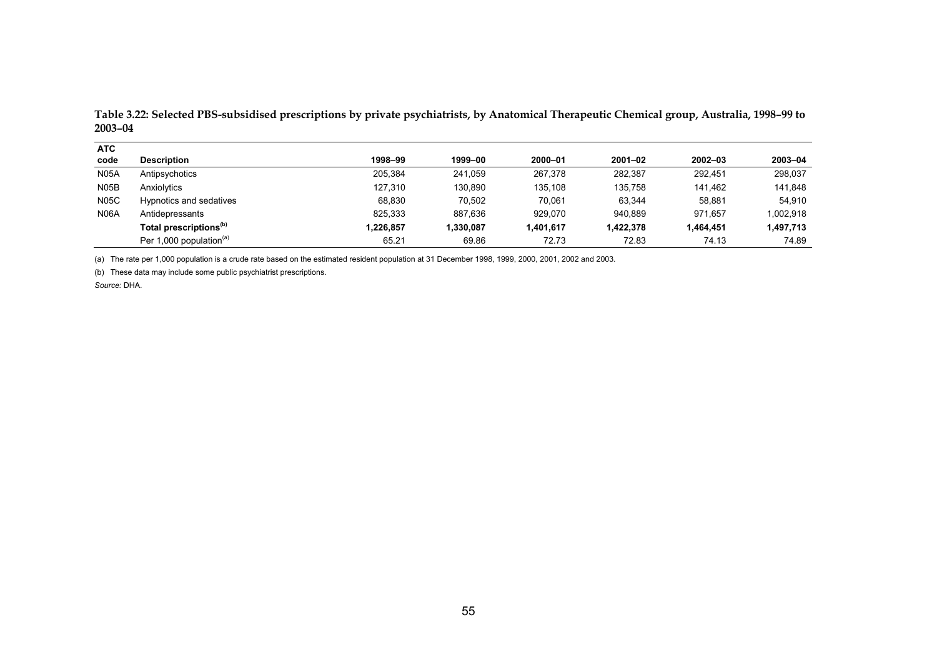| <b>ATC</b>  |                                     |           |           |           |             |             |           |
|-------------|-------------------------------------|-----------|-----------|-----------|-------------|-------------|-----------|
| code        | <b>Description</b>                  | 1998-99   | 1999-00   | 2000-01   | $2001 - 02$ | $2002 - 03$ | 2003-04   |
| <b>N05A</b> | Antipsychotics                      | 205.384   | 241.059   | 267,378   | 282.387     | 292.451     | 298,037   |
| N05B        | Anxiolytics                         | 127,310   | 130,890   | 135,108   | 135,758     | 141,462     | 141,848   |
| <b>N05C</b> | Hypnotics and sedatives             | 68.830    | 70.502    | 70.061    | 63.344      | 58.881      | 54.910    |
| <b>N06A</b> | Antidepressants                     | 825,333   | 887.636   | 929.070   | 940.889     | 971.657     | 1,002,918 |
|             | Total prescriptions <sup>(b)</sup>  | 1,226,857 | 1,330,087 | 1.401.617 | 1,422,378   | 1,464,451   | 1,497,713 |
|             | Per 1,000 population <sup>(a)</sup> | 65.21     | 69.86     | 72.73     | 72.83       | 74.13       | 74.89     |

**Table 3.22: Selected PBS-subsidised prescriptions by private psychiatrists, by Anatomical Therapeutic Chemical group, Australia, 1998–99 to 2003–04** 

(a) The rate per 1,000 population is a crude rate based on the estimated resident population at 31 December 1998, 1999, 2000, 2001, 2002 and 2003.

(b) These data may include some public psychiatrist prescriptions.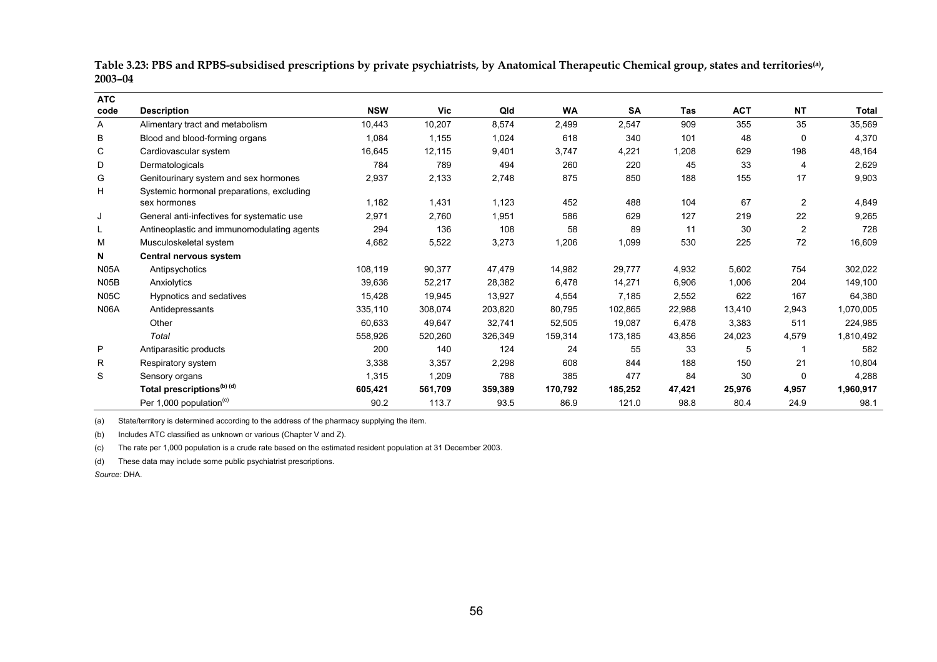**Table 3.23: PBS and RPBS-subsidised prescriptions by private psychiatrists, by Anatomical Therapeutic Chemical group, states and territories(a), 2003–04** 

| <b>ATC</b>        |                                            |            |            |         |           |           |        |            |                |           |
|-------------------|--------------------------------------------|------------|------------|---------|-----------|-----------|--------|------------|----------------|-----------|
| code              | <b>Description</b>                         | <b>NSW</b> | <b>Vic</b> | Qld     | <b>WA</b> | <b>SA</b> | Tas    | <b>ACT</b> | <b>NT</b>      | Total     |
| Α                 | Alimentary tract and metabolism            | 10,443     | 10,207     | 8,574   | 2,499     | 2,547     | 909    | 355        | 35             | 35,569    |
| В                 | Blood and blood-forming organs             | 1,084      | 1,155      | 1,024   | 618       | 340       | 101    | 48         | 0              | 4,370     |
| C                 | Cardiovascular system                      | 16,645     | 12,115     | 9,401   | 3,747     | 4,221     | 1,208  | 629        | 198            | 48,164    |
| D                 | Dermatologicals                            | 784        | 789        | 494     | 260       | 220       | 45     | 33         | 4              | 2,629     |
| G                 | Genitourinary system and sex hormones      | 2,937      | 2,133      | 2,748   | 875       | 850       | 188    | 155        | 17             | 9,903     |
| Н                 | Systemic hormonal preparations, excluding  |            |            |         |           |           |        |            |                |           |
|                   | sex hormones                               | 1,182      | 1,431      | 1,123   | 452       | 488       | 104    | 67         | $\overline{2}$ | 4,849     |
| J                 | General anti-infectives for systematic use | 2,971      | 2,760      | 1,951   | 586       | 629       | 127    | 219        | 22             | 9,265     |
| L                 | Antineoplastic and immunomodulating agents | 294        | 136        | 108     | 58        | 89        | 11     | 30         | $\overline{2}$ | 728       |
| M                 | Musculoskeletal system                     | 4,682      | 5,522      | 3,273   | 1,206     | 1,099     | 530    | 225        | 72             | 16,609    |
| N                 | Central nervous system                     |            |            |         |           |           |        |            |                |           |
| <b>N05A</b>       | Antipsychotics                             | 108,119    | 90,377     | 47,479  | 14,982    | 29,777    | 4,932  | 5,602      | 754            | 302,022   |
| N <sub>05</sub> B | Anxiolytics                                | 39,636     | 52,217     | 28,382  | 6,478     | 14,271    | 6,906  | 1,006      | 204            | 149,100   |
| <b>N05C</b>       | Hypnotics and sedatives                    | 15,428     | 19,945     | 13,927  | 4,554     | 7,185     | 2,552  | 622        | 167            | 64,380    |
| N06A              | Antidepressants                            | 335,110    | 308,074    | 203,820 | 80,795    | 102,865   | 22,988 | 13,410     | 2,943          | 1,070,005 |
|                   | Other                                      | 60,633     | 49,647     | 32,741  | 52,505    | 19,087    | 6,478  | 3,383      | 511            | 224,985   |
|                   | Total                                      | 558,926    | 520,260    | 326,349 | 159,314   | 173,185   | 43,856 | 24,023     | 4,579          | 1,810,492 |
| P                 | Antiparasitic products                     | 200        | 140        | 124     | 24        | 55        | 33     | 5          |                | 582       |
| R                 | Respiratory system                         | 3,338      | 3,357      | 2,298   | 608       | 844       | 188    | 150        | 21             | 10,804    |
| S                 | Sensory organs                             | 1,315      | 1,209      | 788     | 385       | 477       | 84     | 30         | 0              | 4,288     |
|                   | Total prescriptions <sup>(b) (d)</sup>     | 605,421    | 561,709    | 359,389 | 170,792   | 185,252   | 47,421 | 25,976     | 4,957          | 1,960,917 |
|                   | Per 1,000 population <sup>(c)</sup>        | 90.2       | 113.7      | 93.5    | 86.9      | 121.0     | 98.8   | 80.4       | 24.9           | 98.1      |

(a) State/territory is determined according to the address of the pharmacy supplying the item.

(b) Includes ATC classified as unknown or various (Chapter V and Z).

(c) The rate per 1,000 population is a crude rate based on the estimated resident population at 31 December 2003.

(d) These data may include some public psychiatrist prescriptions.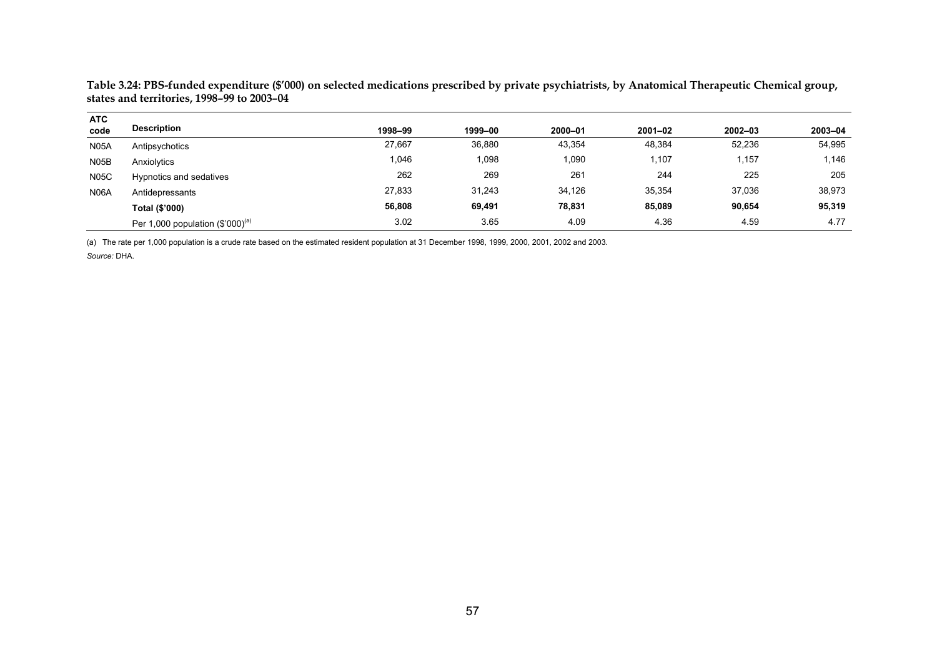**Table 3.24: PBS-funded expenditure (\$'000) on selected medications prescribed by private psychiatrists, by Anatomical Therapeutic Chemical group, states and territories, 1998–99 to 2003–04** 

| <b>ATC</b>  |                                       |         |         |         |             |             |         |
|-------------|---------------------------------------|---------|---------|---------|-------------|-------------|---------|
| code        | <b>Description</b>                    | 1998-99 | 1999-00 | 2000-01 | $2001 - 02$ | $2002 - 03$ | 2003-04 |
| <b>N05A</b> | Antipsychotics                        | 27,667  | 36,880  | 43,354  | 48,384      | 52,236      | 54,995  |
| <b>N05B</b> | Anxiolytics                           | 1,046   | 0.098   | 1,090   | 1,107       | , 157       | 1,146   |
| <b>N05C</b> | Hypnotics and sedatives               | 262     | 269     | 261     | 244         | 225         | 205     |
| <b>N06A</b> | Antidepressants                       | 27,833  | 31.243  | 34.126  | 35,354      | 37,036      | 38,973  |
|             | Total (\$'000)                        | 56,808  | 69,491  | 78,831  | 85,089      | 90,654      | 95,319  |
|             | Per 1,000 population $(\$'000)^{(a)}$ | 3.02    | 3.65    | 4.09    | 4.36        | 4.59        | 4.77    |

(a) The rate per 1,000 population is a crude rate based on the estimated resident population at 31 December 1998, 1999, 2000, 2001, 2002 and 2003.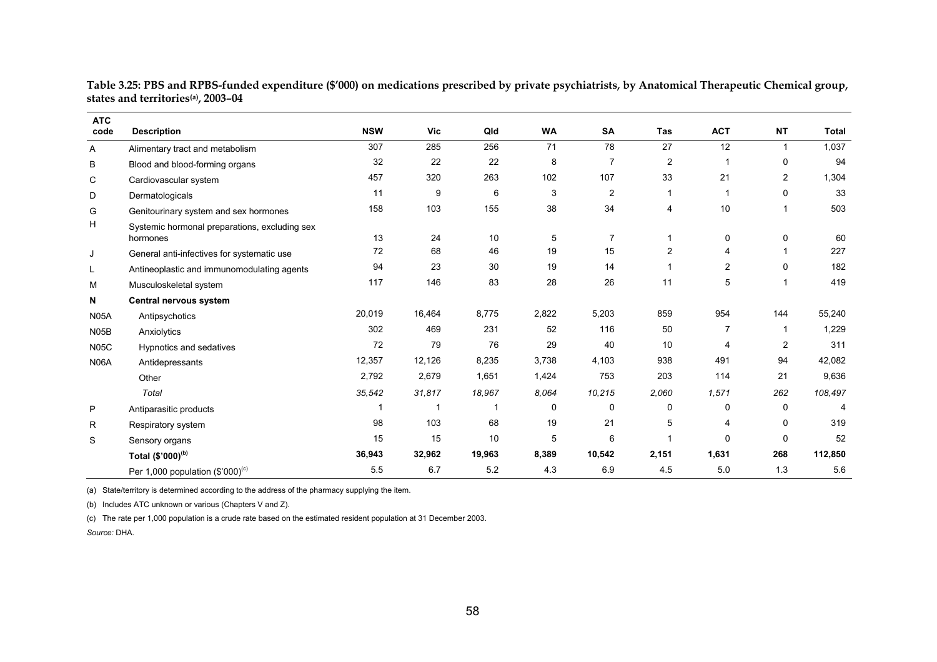| Table 3.25: PBS and RPBS-funded expenditure (\$′000) on medications prescribed by private psychiatrists, by Anatomical Therapeutic Chemical group, |  |
|----------------------------------------------------------------------------------------------------------------------------------------------------|--|
| states and territoriesa), 2003–04                                                                                                                  |  |

| <b>ATC</b><br>code | <b>Description</b>                                        | <b>NSW</b> | <b>Vic</b> | Qld    | <b>WA</b>    | SA             | <b>Tas</b>     | <b>ACT</b>     | <b>NT</b>               | <b>Total</b> |
|--------------------|-----------------------------------------------------------|------------|------------|--------|--------------|----------------|----------------|----------------|-------------------------|--------------|
| A                  | Alimentary tract and metabolism                           | 307        | 285        | 256    | 71           | 78             | 27             | 12             | $\mathbf{1}$            | 1,037        |
| B                  | Blood and blood-forming organs                            | 32         | 22         | 22     | 8            | $\overline{7}$ | $\overline{c}$ |                | 0                       | 94           |
| C                  | Cardiovascular system                                     | 457        | 320        | 263    | 102          | 107            | 33             | 21             | $\overline{\mathbf{c}}$ | 1,304        |
| D                  | Dermatologicals                                           | 11         | 9          | 6      | 3            | $\overline{2}$ |                |                | 0                       | 33           |
| G                  | Genitourinary system and sex hormones                     | 158        | 103        | 155    | 38           | 34             | 4              | 10             | 1                       | 503          |
| H                  | Systemic hormonal preparations, excluding sex<br>hormones | 13         | 24         | 10     | 5            | $\overline{7}$ |                | $\Omega$       | 0                       | 60           |
| J                  | General anti-infectives for systematic use                | 72         | 68         | 46     | 19           | 15             | 2              | 4              | 1                       | 227          |
| L                  | Antineoplastic and immunomodulating agents                | 94         | 23         | 30     | 19           | 14             |                | 2              | 0                       | 182          |
| М                  | Musculoskeletal system                                    | 117        | 146        | 83     | 28           | 26             | 11             | 5              | 1                       | 419          |
| N                  | Central nervous system                                    |            |            |        |              |                |                |                |                         |              |
| <b>N05A</b>        | Antipsychotics                                            | 20,019     | 16,464     | 8,775  | 2,822        | 5,203          | 859            | 954            | 144                     | 55,240       |
| <b>N05B</b>        | Anxiolytics                                               | 302        | 469        | 231    | 52           | 116            | 50             | $\overline{7}$ | 1                       | 1,229        |
| <b>N05C</b>        | Hypnotics and sedatives                                   | 72         | 79         | 76     | 29           | 40             | 10             | 4              | $\mathbf{2}^{\prime}$   | 311          |
| <b>N06A</b>        | Antidepressants                                           | 12,357     | 12,126     | 8,235  | 3,738        | 4,103          | 938            | 491            | 94                      | 42,082       |
|                    | Other                                                     | 2,792      | 2,679      | 1,651  | 1,424        | 753            | 203            | 114            | 21                      | 9,636        |
|                    | Total                                                     | 35,542     | 31,817     | 18,967 | 8.064        | 10,215         | 2,060          | 1,571          | 262                     | 108,497      |
| P                  | Antiparasitic products                                    |            |            | -1     | $\mathbf{0}$ | 0              | 0              | $\Omega$       | 0                       | 4            |
| R                  | Respiratory system                                        | 98         | 103        | 68     | 19           | 21             | 5              | 4              | 0                       | 319          |
| S                  | Sensory organs                                            | 15         | 15         | 10     | 5            | 6              | 1              | $\Omega$       | 0                       | 52           |
|                    | Total (\$'000) <sup>(b)</sup>                             | 36,943     | 32,962     | 19,963 | 8,389        | 10,542         | 2,151          | 1,631          | 268                     | 112,850      |
|                    | Per 1,000 population (\$'000) <sup>(c)</sup>              | 5.5        | 6.7        | 5.2    | 4.3          | 6.9            | 4.5            | 5.0            | 1.3                     | 5.6          |

(a) State/territory is determined according to the address of the pharmacy supplying the item.

(b) Includes ATC unknown or various (Chapters V and Z).

(c) The rate per 1,000 population is a crude rate based on the estimated resident population at 31 December 2003.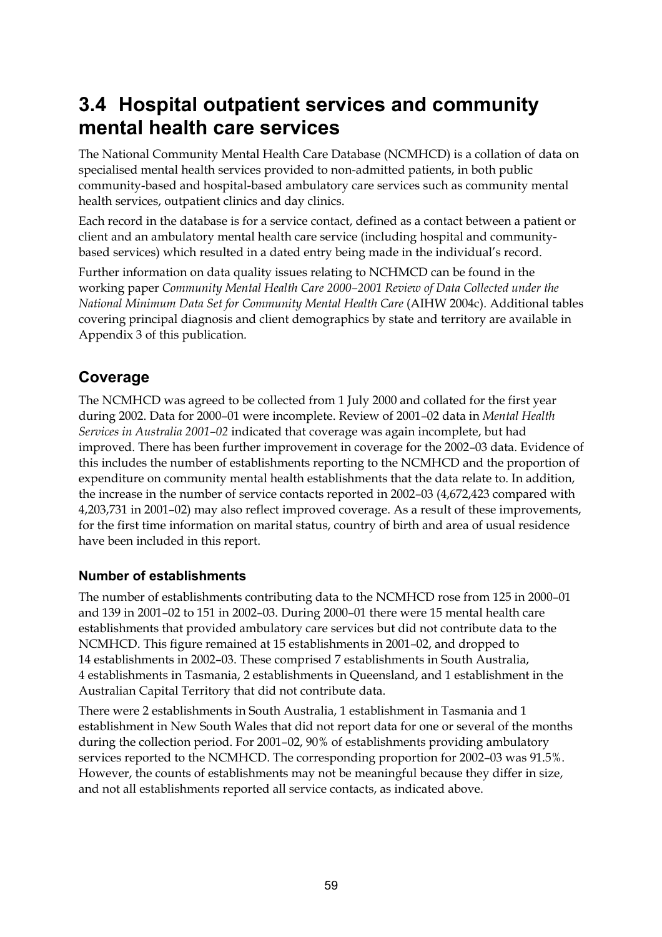## **3.4 Hospital outpatient services and community mental health care services**

The National Community Mental Health Care Database (NCMHCD) is a collation of data on specialised mental health services provided to non-admitted patients, in both public community-based and hospital-based ambulatory care services such as community mental health services, outpatient clinics and day clinics.

Each record in the database is for a service contact, defined as a contact between a patient or client and an ambulatory mental health care service (including hospital and communitybased services) which resulted in a dated entry being made in the individual's record.

Further information on data quality issues relating to NCHMCD can be found in the working paper *Community Mental Health Care 2000–2001 Review of Data Collected under the National Minimum Data Set for Community Mental Health Care* (AIHW 2004c). Additional tables covering principal diagnosis and client demographics by state and territory are available in Appendix 3 of this publication.

## **Coverage**

The NCMHCD was agreed to be collected from 1 July 2000 and collated for the first year during 2002. Data for 2000–01 were incomplete. Review of 2001–02 data in *Mental Health Services in Australia 2001–02* indicated that coverage was again incomplete, but had improved. There has been further improvement in coverage for the 2002–03 data. Evidence of this includes the number of establishments reporting to the NCMHCD and the proportion of expenditure on community mental health establishments that the data relate to. In addition, the increase in the number of service contacts reported in 2002–03 (4,672,423 compared with 4,203,731 in 2001–02) may also reflect improved coverage. As a result of these improvements, for the first time information on marital status, country of birth and area of usual residence have been included in this report.

#### **Number of establishments**

The number of establishments contributing data to the NCMHCD rose from 125 in 2000–01 and 139 in 2001–02 to 151 in 2002–03. During 2000–01 there were 15 mental health care establishments that provided ambulatory care services but did not contribute data to the NCMHCD. This figure remained at 15 establishments in 2001–02, and dropped to 14 establishments in 2002–03. These comprised 7 establishments in South Australia, 4 establishments in Tasmania, 2 establishments in Queensland, and 1 establishment in the Australian Capital Territory that did not contribute data.

There were 2 establishments in South Australia, 1 establishment in Tasmania and 1 establishment in New South Wales that did not report data for one or several of the months during the collection period. For 2001–02, 90% of establishments providing ambulatory services reported to the NCMHCD. The corresponding proportion for 2002–03 was 91.5%. However, the counts of establishments may not be meaningful because they differ in size, and not all establishments reported all service contacts, as indicated above.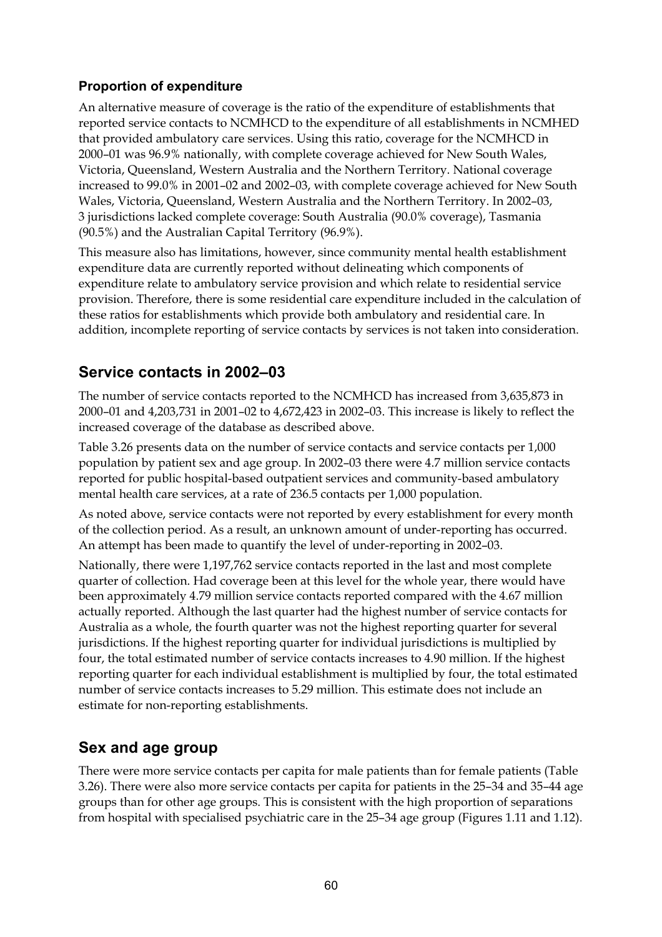#### **Proportion of expenditure**

An alternative measure of coverage is the ratio of the expenditure of establishments that reported service contacts to NCMHCD to the expenditure of all establishments in NCMHED that provided ambulatory care services. Using this ratio, coverage for the NCMHCD in 2000–01 was 96.9% nationally, with complete coverage achieved for New South Wales, Victoria, Queensland, Western Australia and the Northern Territory. National coverage increased to 99.0% in 2001–02 and 2002–03, with complete coverage achieved for New South Wales, Victoria, Queensland, Western Australia and the Northern Territory. In 2002–03, 3 jurisdictions lacked complete coverage: South Australia (90.0% coverage), Tasmania (90.5%) and the Australian Capital Territory (96.9%).

This measure also has limitations, however, since community mental health establishment expenditure data are currently reported without delineating which components of expenditure relate to ambulatory service provision and which relate to residential service provision. Therefore, there is some residential care expenditure included in the calculation of these ratios for establishments which provide both ambulatory and residential care. In addition, incomplete reporting of service contacts by services is not taken into consideration.

### **Service contacts in 2002–03**

The number of service contacts reported to the NCMHCD has increased from 3,635,873 in 2000–01 and 4,203,731 in 2001–02 to 4,672,423 in 2002–03. This increase is likely to reflect the increased coverage of the database as described above.

Table 3.26 presents data on the number of service contacts and service contacts per 1,000 population by patient sex and age group. In 2002–03 there were 4.7 million service contacts reported for public hospital-based outpatient services and community-based ambulatory mental health care services, at a rate of 236.5 contacts per 1,000 population.

As noted above, service contacts were not reported by every establishment for every month of the collection period. As a result, an unknown amount of under-reporting has occurred. An attempt has been made to quantify the level of under-reporting in 2002–03.

Nationally, there were 1,197,762 service contacts reported in the last and most complete quarter of collection. Had coverage been at this level for the whole year, there would have been approximately 4.79 million service contacts reported compared with the 4.67 million actually reported. Although the last quarter had the highest number of service contacts for Australia as a whole, the fourth quarter was not the highest reporting quarter for several jurisdictions. If the highest reporting quarter for individual jurisdictions is multiplied by four, the total estimated number of service contacts increases to 4.90 million. If the highest reporting quarter for each individual establishment is multiplied by four, the total estimated number of service contacts increases to 5.29 million. This estimate does not include an estimate for non-reporting establishments.

## **Sex and age group**

There were more service contacts per capita for male patients than for female patients (Table 3.26). There were also more service contacts per capita for patients in the 25–34 and 35–44 age groups than for other age groups. This is consistent with the high proportion of separations from hospital with specialised psychiatric care in the 25–34 age group (Figures 1.11 and 1.12).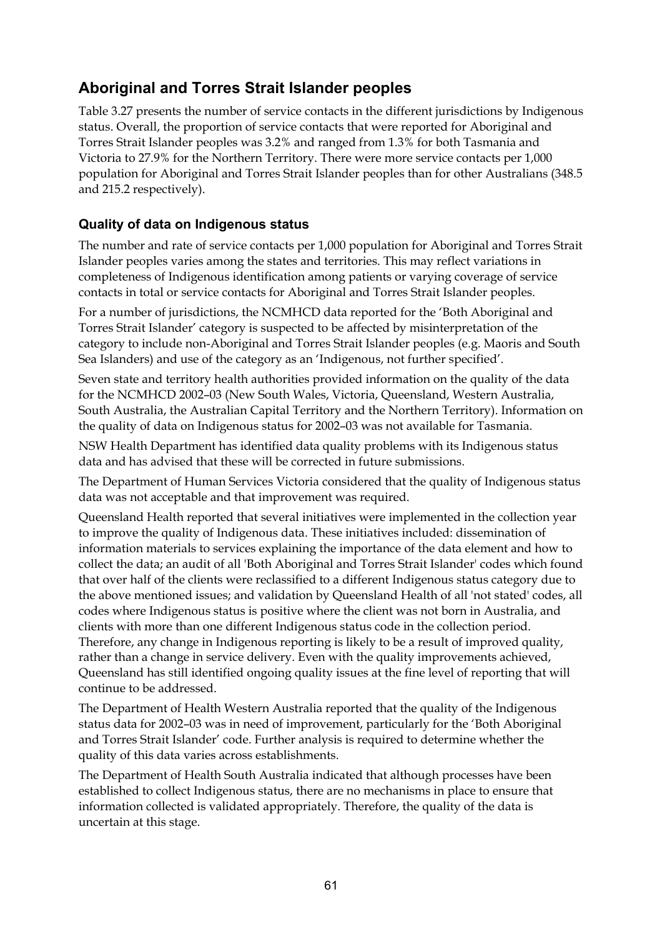## **Aboriginal and Torres Strait Islander peoples**

Table 3.27 presents the number of service contacts in the different jurisdictions by Indigenous status. Overall, the proportion of service contacts that were reported for Aboriginal and Torres Strait Islander peoples was 3.2% and ranged from 1.3% for both Tasmania and Victoria to 27.9% for the Northern Territory. There were more service contacts per 1,000 population for Aboriginal and Torres Strait Islander peoples than for other Australians (348.5 and 215.2 respectively).

#### **Quality of data on Indigenous status**

The number and rate of service contacts per 1,000 population for Aboriginal and Torres Strait Islander peoples varies among the states and territories. This may reflect variations in completeness of Indigenous identification among patients or varying coverage of service contacts in total or service contacts for Aboriginal and Torres Strait Islander peoples.

For a number of jurisdictions, the NCMHCD data reported for the 'Both Aboriginal and Torres Strait Islander' category is suspected to be affected by misinterpretation of the category to include non-Aboriginal and Torres Strait Islander peoples (e.g. Maoris and South Sea Islanders) and use of the category as an 'Indigenous, not further specified'.

Seven state and territory health authorities provided information on the quality of the data for the NCMHCD 2002–03 (New South Wales, Victoria, Queensland, Western Australia, South Australia, the Australian Capital Territory and the Northern Territory). Information on the quality of data on Indigenous status for 2002–03 was not available for Tasmania.

NSW Health Department has identified data quality problems with its Indigenous status data and has advised that these will be corrected in future submissions.

The Department of Human Services Victoria considered that the quality of Indigenous status data was not acceptable and that improvement was required.

Queensland Health reported that several initiatives were implemented in the collection year to improve the quality of Indigenous data. These initiatives included: dissemination of information materials to services explaining the importance of the data element and how to collect the data; an audit of all 'Both Aboriginal and Torres Strait Islander' codes which found that over half of the clients were reclassified to a different Indigenous status category due to the above mentioned issues; and validation by Queensland Health of all 'not stated' codes, all codes where Indigenous status is positive where the client was not born in Australia, and clients with more than one different Indigenous status code in the collection period. Therefore, any change in Indigenous reporting is likely to be a result of improved quality, rather than a change in service delivery. Even with the quality improvements achieved, Queensland has still identified ongoing quality issues at the fine level of reporting that will continue to be addressed.

The Department of Health Western Australia reported that the quality of the Indigenous status data for 2002–03 was in need of improvement, particularly for the 'Both Aboriginal and Torres Strait Islander' code. Further analysis is required to determine whether the quality of this data varies across establishments.

The Department of Health South Australia indicated that although processes have been established to collect Indigenous status, there are no mechanisms in place to ensure that information collected is validated appropriately. Therefore, the quality of the data is uncertain at this stage.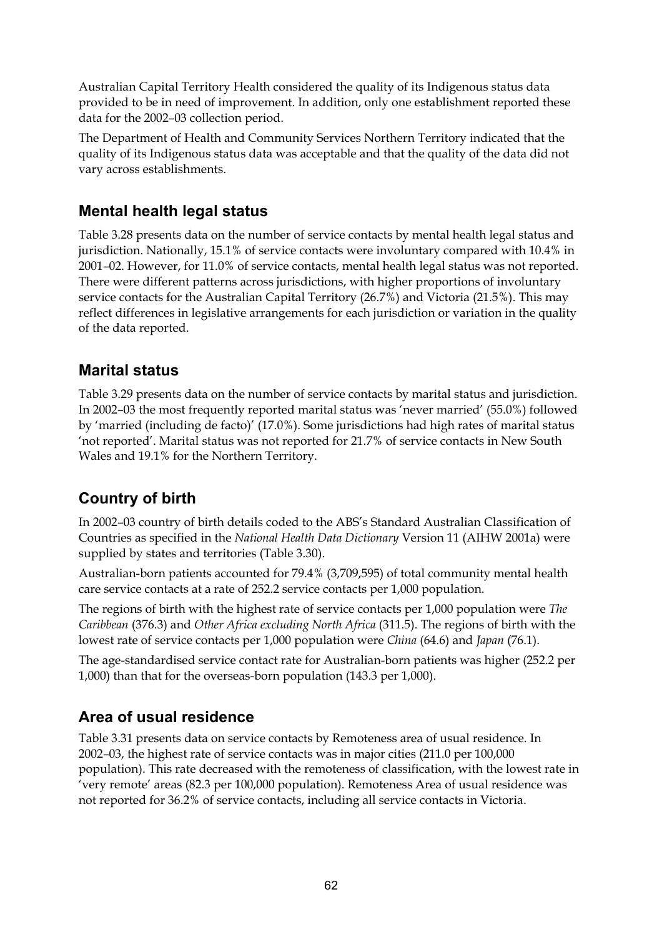Australian Capital Territory Health considered the quality of its Indigenous status data provided to be in need of improvement. In addition, only one establishment reported these data for the 2002–03 collection period.

The Department of Health and Community Services Northern Territory indicated that the quality of its Indigenous status data was acceptable and that the quality of the data did not vary across establishments.

### **Mental health legal status**

Table 3.28 presents data on the number of service contacts by mental health legal status and jurisdiction. Nationally, 15.1% of service contacts were involuntary compared with 10.4% in 2001–02. However, for 11.0% of service contacts, mental health legal status was not reported. There were different patterns across jurisdictions, with higher proportions of involuntary service contacts for the Australian Capital Territory (26.7%) and Victoria (21.5%). This may reflect differences in legislative arrangements for each jurisdiction or variation in the quality of the data reported.

## **Marital status**

Table 3.29 presents data on the number of service contacts by marital status and jurisdiction. In 2002–03 the most frequently reported marital status was 'never married' (55.0%) followed by 'married (including de facto)' (17.0%). Some jurisdictions had high rates of marital status 'not reported'. Marital status was not reported for 21.7% of service contacts in New South Wales and 19.1% for the Northern Territory.

## **Country of birth**

In 2002–03 country of birth details coded to the ABS's Standard Australian Classification of Countries as specified in the *National Health Data Dictionary* Version 11 (AIHW 2001a) were supplied by states and territories (Table 3.30).

Australian-born patients accounted for 79.4% (3,709,595) of total community mental health care service contacts at a rate of 252.2 service contacts per 1,000 population.

The regions of birth with the highest rate of service contacts per 1,000 population were *The Caribbean* (376.3) and *Other Africa excluding North Africa* (311.5). The regions of birth with the lowest rate of service contacts per 1,000 population were *China* (64.6) and *Japan* (76.1).

The age-standardised service contact rate for Australian-born patients was higher (252.2 per 1,000) than that for the overseas-born population (143.3 per 1,000).

## **Area of usual residence**

Table 3.31 presents data on service contacts by Remoteness area of usual residence. In 2002–03, the highest rate of service contacts was in major cities (211.0 per 100,000 population). This rate decreased with the remoteness of classification, with the lowest rate in 'very remote' areas (82.3 per 100,000 population). Remoteness Area of usual residence was not reported for 36.2% of service contacts, including all service contacts in Victoria.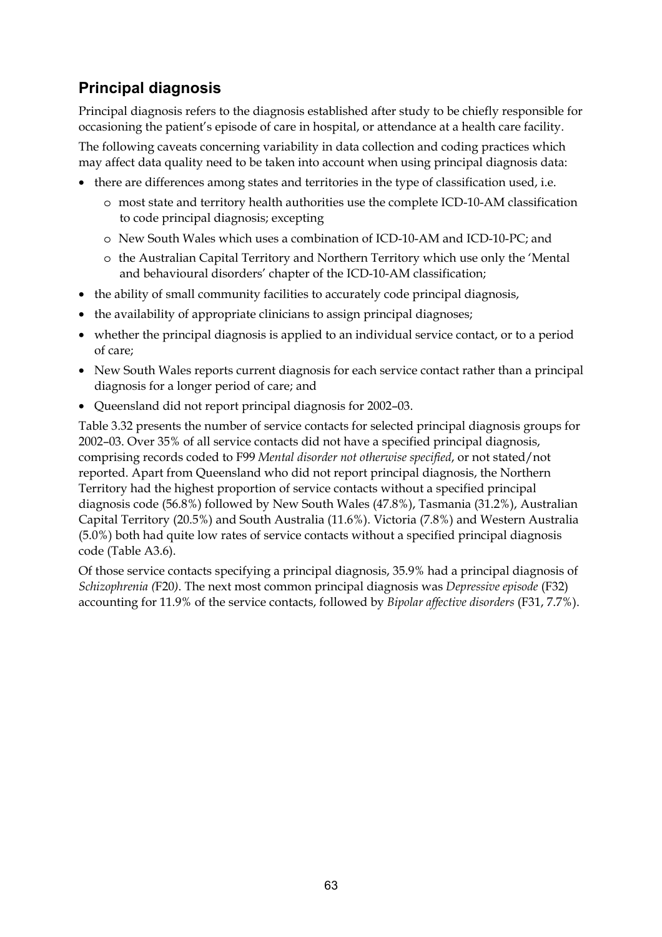## **Principal diagnosis**

Principal diagnosis refers to the diagnosis established after study to be chiefly responsible for occasioning the patient's episode of care in hospital, or attendance at a health care facility.

The following caveats concerning variability in data collection and coding practices which may affect data quality need to be taken into account when using principal diagnosis data:

- there are differences among states and territories in the type of classification used, i.e.
	- o most state and territory health authorities use the complete ICD-10-AM classification to code principal diagnosis; excepting
	- o New South Wales which uses a combination of ICD-10-AM and ICD-10-PC; and
	- o the Australian Capital Territory and Northern Territory which use only the 'Mental and behavioural disorders' chapter of the ICD-10-AM classification;
- the ability of small community facilities to accurately code principal diagnosis,
- the availability of appropriate clinicians to assign principal diagnoses;
- whether the principal diagnosis is applied to an individual service contact, or to a period of care;
- New South Wales reports current diagnosis for each service contact rather than a principal diagnosis for a longer period of care; and
- Queensland did not report principal diagnosis for 2002–03.

Table 3.32 presents the number of service contacts for selected principal diagnosis groups for 2002–03. Over 35% of all service contacts did not have a specified principal diagnosis, comprising records coded to F99 *Mental disorder not otherwise specified*, or not stated/not reported. Apart from Queensland who did not report principal diagnosis, the Northern Territory had the highest proportion of service contacts without a specified principal diagnosis code (56.8%) followed by New South Wales (47.8%), Tasmania (31.2%), Australian Capital Territory (20.5%) and South Australia (11.6%). Victoria (7.8%) and Western Australia (5.0%) both had quite low rates of service contacts without a specified principal diagnosis code (Table A3.6).

Of those service contacts specifying a principal diagnosis, 35.9% had a principal diagnosis of *Schizophrenia (*F20*)*. The next most common principal diagnosis was *Depressive episode* (F32) accounting for 11.9% of the service contacts, followed by *Bipolar affective disorders* (F31, 7.7%).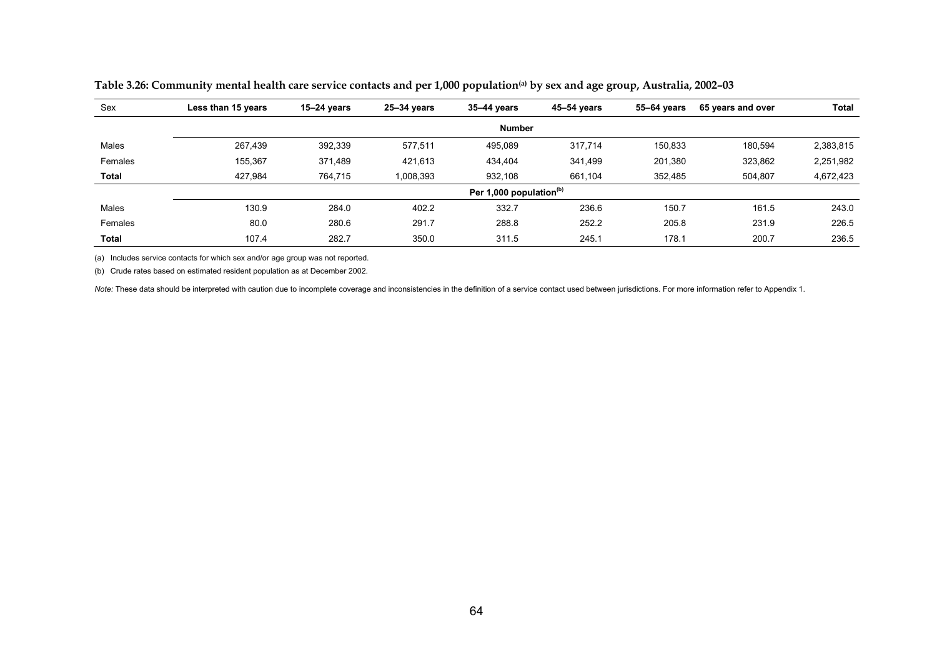| Sex     | Less than 15 years | $15-24$ years | 25-34 vears | $35 - 44$ years                     | 45-54 years | 55–64 vears | 65 years and over | <b>Total</b> |
|---------|--------------------|---------------|-------------|-------------------------------------|-------------|-------------|-------------------|--------------|
|         |                    |               |             | <b>Number</b>                       |             |             |                   |              |
| Males   | 267,439            | 392,339       | 577,511     | 495,089                             | 317,714     | 150,833     | 180,594           | 2,383,815    |
| Females | 155,367            | 371,489       | 421,613     | 434,404                             | 341,499     | 201,380     | 323,862           | 2,251,982    |
| Total   | 427.984            | 764,715       | 1,008,393   | 932,108                             | 661,104     | 352,485     | 504,807           | 4,672,423    |
|         |                    |               |             | Per 1,000 population <sup>(b)</sup> |             |             |                   |              |
| Males   | 130.9              | 284.0         | 402.2       | 332.7                               | 236.6       | 150.7       | 161.5             | 243.0        |
| Females | 80.0               | 280.6         | 291.7       | 288.8                               | 252.2       | 205.8       | 231.9             | 226.5        |
| Total   | 107.4              | 282.7         | 350.0       | 311.5                               | 245.1       | 178.1       | 200.7             | 236.5        |

**Table 3.26: Community mental health care service contacts and per 1,000 population(a) by sex and age group, Australia, 2002–03** 

(a) Includes service contacts for which sex and/or age group was not reported.

(b) Crude rates based on estimated resident population as at December 2002.

Note: These data should be interpreted with caution due to incomplete coverage and inconsistencies in the definition of a service contact used between jurisdictions. For more information refer to Appendix 1.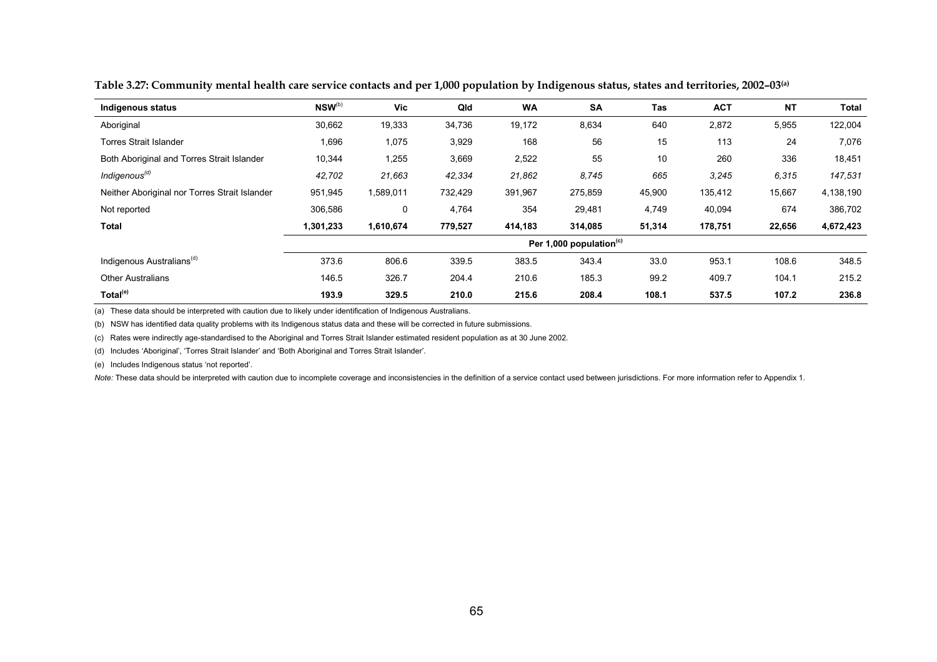| Indigenous status                             | $NSW^{(b)}$ | Vic       | Qld     | <b>WA</b> | <b>SA</b>                           | Tas    | <b>ACT</b> | <b>NT</b> | Total     |
|-----------------------------------------------|-------------|-----------|---------|-----------|-------------------------------------|--------|------------|-----------|-----------|
| Aboriginal                                    | 30,662      | 19,333    | 34,736  | 19,172    | 8,634                               | 640    | 2,872      | 5,955     | 122,004   |
| <b>Torres Strait Islander</b>                 | 1,696       | 1,075     | 3,929   | 168       | 56                                  | 15     | 113        | 24        | 7,076     |
| Both Aboriginal and Torres Strait Islander    | 10,344      | 1,255     | 3,669   | 2,522     | 55                                  | 10     | 260        | 336       | 18,451    |
| Indigenous <sup>(d)</sup>                     | 42,702      | 21,663    | 42,334  | 21,862    | 8,745                               | 665    | 3,245      | 6,315     | 147,531   |
| Neither Aboriginal nor Torres Strait Islander | 951,945     | 1,589,011 | 732,429 | 391,967   | 275,859                             | 45,900 | 135,412    | 15,667    | 4,138,190 |
| Not reported                                  | 306,586     | 0         | 4,764   | 354       | 29,481                              | 4,749  | 40,094     | 674       | 386,702   |
| Total                                         | 1,301,233   | 1,610,674 | 779,527 | 414,183   | 314,085                             | 51,314 | 178,751    | 22,656    | 4,672,423 |
|                                               |             |           |         |           | Per 1,000 population <sup>(c)</sup> |        |            |           |           |
| Indigenous Australians <sup>(d)</sup>         | 373.6       | 806.6     | 339.5   | 383.5     | 343.4                               | 33.0   | 953.1      | 108.6     | 348.5     |
| <b>Other Australians</b>                      | 146.5       | 326.7     | 204.4   | 210.6     | 185.3                               | 99.2   | 409.7      | 104.1     | 215.2     |
| Total <sup>(e)</sup>                          | 193.9       | 329.5     | 210.0   | 215.6     | 208.4                               | 108.1  | 537.5      | 107.2     | 236.8     |

**Table 3.27: Community mental health care service contacts and per 1,000 population by Indigenous status, states and territories, 2002–03(a)**

(a) These data should be interpreted with caution due to likely under identification of Indigenous Australians.

(b) NSW has identified data quality problems with its Indigenous status data and these will be corrected in future submissions.

(c) Rates were indirectly age-standardised to the Aboriginal and Torres Strait Islander estimated resident population as at 30 June 2002.

(d) Includes 'Aboriginal', 'Torres Strait Islander' and 'Both Aboriginal and Torres Strait Islander'.

(e) Includes Indigenous status 'not reported'.

Note: These data should be interpreted with caution due to incomplete coverage and inconsistencies in the definition of a service contact used between jurisdictions. For more information refer to Appendix 1.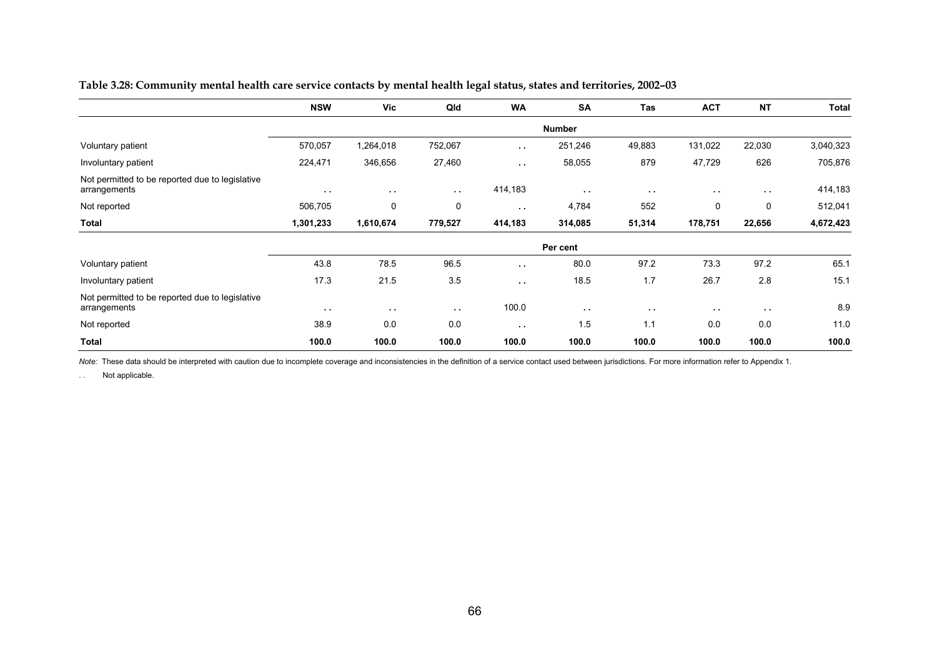|                                                                 | <b>NSW</b>    | <b>Vic</b>    | Qld           | <b>WA</b>     | <b>SA</b>     | <b>Tas</b>    | <b>ACT</b>    | <b>NT</b>     | <b>Total</b> |
|-----------------------------------------------------------------|---------------|---------------|---------------|---------------|---------------|---------------|---------------|---------------|--------------|
|                                                                 |               |               |               |               | <b>Number</b> |               |               |               |              |
| Voluntary patient                                               | 570,057       | 1,264,018     | 752,067       | $\sim$ $\sim$ | 251,246       | 49,883        | 131,022       | 22,030        | 3,040,323    |
| Involuntary patient                                             | 224,471       | 346,656       | 27,460        | $\sim$ $\sim$ | 58,055        | 879           | 47,729        | 626           | 705,876      |
| Not permitted to be reported due to legislative<br>arrangements | $\sim$ $\sim$ | $\sim$ $\sim$ | $\sim$ $\sim$ | 414,183       | $\sim$ $\sim$ | $\sim$ $\sim$ | $\sim$ $\sim$ | $\sim$ $\sim$ | 414,183      |
| Not reported                                                    | 506,705       | 0             | 0             | $\sim$ $\sim$ | 4,784         | 552           | 0             | 0             | 512,041      |
| <b>Total</b>                                                    | 1,301,233     | 1,610,674     | 779,527       | 414,183       | 314,085       | 51,314        | 178,751       | 22,656        | 4,672,423    |
|                                                                 |               |               |               |               | Per cent      |               |               |               |              |
| Voluntary patient                                               | 43.8          | 78.5          | 96.5          | $\sim$ $\sim$ | 80.0          | 97.2          | 73.3          | 97.2          | 65.1         |
| Involuntary patient                                             | 17.3          | 21.5          | 3.5           | $\sim$ $\sim$ | 18.5          | 1.7           | 26.7          | 2.8           | 15.1         |
| Not permitted to be reported due to legislative<br>arrangements | $\sim$ $\sim$ | $\sim$ $\sim$ | $\sim$ $\sim$ | 100.0         | $\sim$ $\sim$ | $\sim$ $\sim$ | $\sim$ $\sim$ | $\sim$ $\sim$ | 8.9          |
| Not reported                                                    | 38.9          | 0.0           | 0.0           | $\sim$ $\sim$ | 1.5           | 1.1           | 0.0           | 0.0           | 11.0         |
| <b>Total</b>                                                    | 100.0         | 100.0         | 100.0         | 100.0         | 100.0         | 100.0         | 100.0         | 100.0         | 100.0        |

#### **Table 3.28: Community mental health care service contacts by mental health legal status, states and territories, 2002–03**

Note: These data should be interpreted with caution due to incomplete coverage and inconsistencies in the definition of a service contact used between jurisdictions. For more information refer to Appendix 1.

. . Not applicable.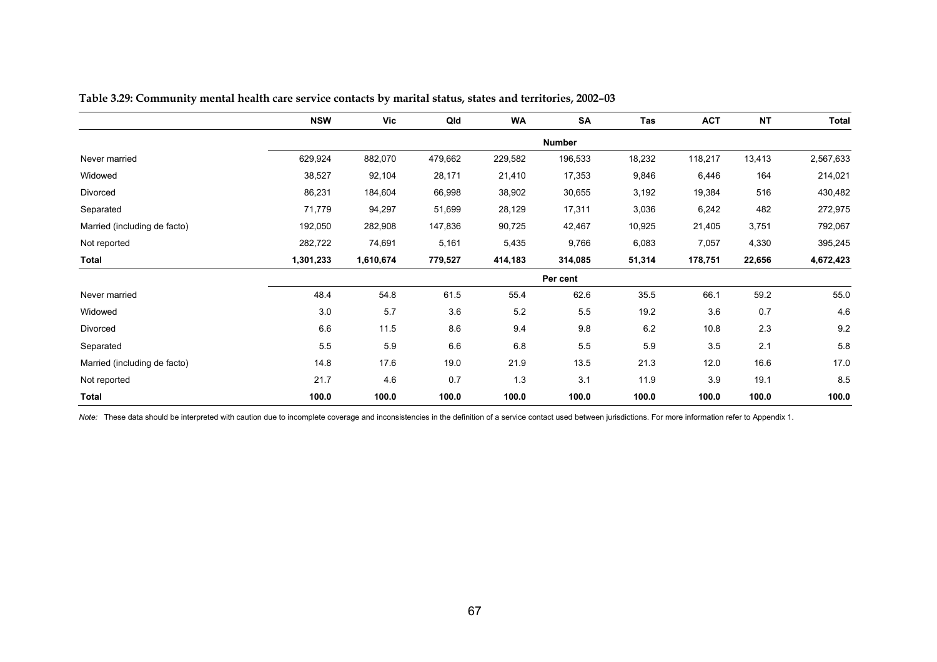|                              | <b>NSW</b> | Vic       | Qld     | <b>WA</b> | <b>SA</b>     | Tas    | <b>ACT</b> | <b>NT</b> | <b>Total</b> |
|------------------------------|------------|-----------|---------|-----------|---------------|--------|------------|-----------|--------------|
|                              |            |           |         |           | <b>Number</b> |        |            |           |              |
| Never married                | 629,924    | 882,070   | 479,662 | 229,582   | 196,533       | 18,232 | 118,217    | 13,413    | 2,567,633    |
| Widowed                      | 38,527     | 92,104    | 28,171  | 21,410    | 17,353        | 9,846  | 6,446      | 164       | 214,021      |
| Divorced                     | 86,231     | 184,604   | 66,998  | 38,902    | 30,655        | 3,192  | 19,384     | 516       | 430,482      |
| Separated                    | 71,779     | 94,297    | 51,699  | 28,129    | 17,311        | 3,036  | 6,242      | 482       | 272,975      |
| Married (including de facto) | 192,050    | 282,908   | 147,836 | 90,725    | 42,467        | 10,925 | 21,405     | 3,751     | 792,067      |
| Not reported                 | 282,722    | 74,691    | 5,161   | 5,435     | 9,766         | 6,083  | 7,057      | 4,330     | 395,245      |
| <b>Total</b>                 | 1,301,233  | 1,610,674 | 779,527 | 414,183   | 314,085       | 51,314 | 178,751    | 22,656    | 4,672,423    |
|                              |            |           |         |           | Per cent      |        |            |           |              |
| Never married                | 48.4       | 54.8      | 61.5    | 55.4      | 62.6          | 35.5   | 66.1       | 59.2      | 55.0         |
| Widowed                      | 3.0        | 5.7       | 3.6     | 5.2       | 5.5           | 19.2   | 3.6        | 0.7       | 4.6          |
| Divorced                     | 6.6        | 11.5      | 8.6     | 9.4       | 9.8           | 6.2    | 10.8       | 2.3       | 9.2          |
| Separated                    | 5.5        | 5.9       | 6.6     | 6.8       | 5.5           | 5.9    | 3.5        | 2.1       | 5.8          |
| Married (including de facto) | 14.8       | 17.6      | 19.0    | 21.9      | 13.5          | 21.3   | 12.0       | 16.6      | 17.0         |
| Not reported                 | 21.7       | 4.6       | 0.7     | 1.3       | 3.1           | 11.9   | 3.9        | 19.1      | 8.5          |
| <b>Total</b>                 | 100.0      | 100.0     | 100.0   | 100.0     | 100.0         | 100.0  | 100.0      | 100.0     | 100.0        |

**Table 3.29: Community mental health care service contacts by marital status, states and territories, 2002–03** 

Note: These data should be interpreted with caution due to incomplete coverage and inconsistencies in the definition of a service contact used between jurisdictions. For more information refer to Appendix 1.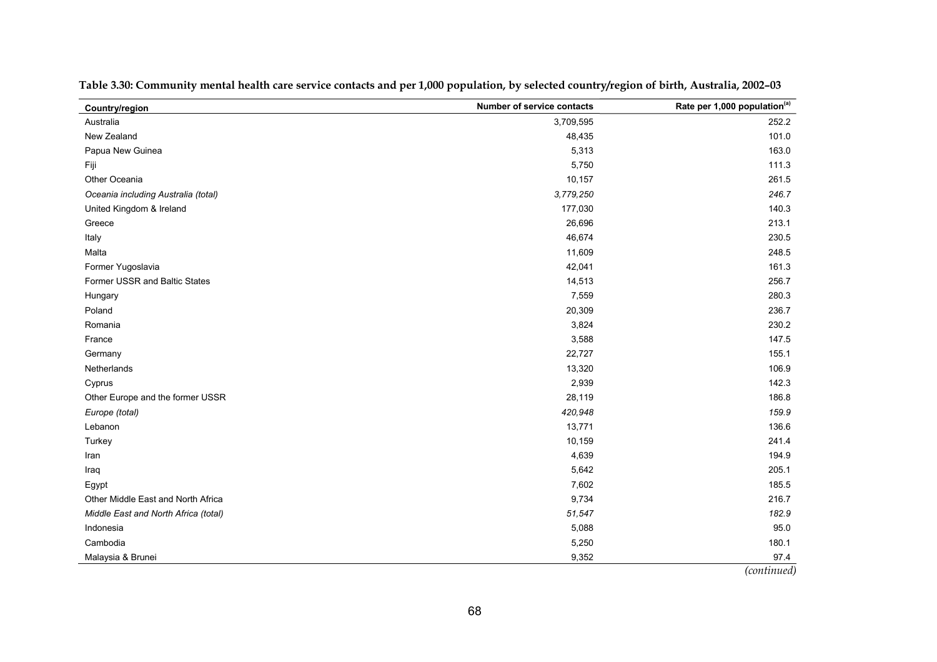| Country/region                       | <b>Number of service contacts</b> | Rate per 1,000 population(a)            |
|--------------------------------------|-----------------------------------|-----------------------------------------|
| Australia                            | 3,709,595                         | 252.2                                   |
| New Zealand                          | 48,435                            | 101.0                                   |
| Papua New Guinea                     | 5,313                             | 163.0                                   |
| Fiji                                 | 5,750                             | 111.3                                   |
| Other Oceania                        | 10,157                            | 261.5                                   |
| Oceania including Australia (total)  | 3,779,250                         | 246.7                                   |
| United Kingdom & Ireland             | 177,030                           | 140.3                                   |
| Greece                               | 26,696                            | 213.1                                   |
| Italy                                | 46,674                            | 230.5                                   |
| Malta                                | 11,609                            | 248.5                                   |
| Former Yugoslavia                    | 42,041                            | 161.3                                   |
| Former USSR and Baltic States        | 14,513                            | 256.7                                   |
| Hungary                              | 7,559                             | 280.3                                   |
| Poland                               | 20,309                            | 236.7                                   |
| Romania                              | 3,824                             | 230.2                                   |
| France                               | 3,588                             | 147.5                                   |
| Germany                              | 22,727                            | 155.1                                   |
| Netherlands                          | 13,320                            | 106.9                                   |
| Cyprus                               | 2,939                             | 142.3                                   |
| Other Europe and the former USSR     | 28,119                            | 186.8                                   |
| Europe (total)                       | 420,948                           | 159.9                                   |
| Lebanon                              | 13,771                            | 136.6                                   |
| Turkey                               | 10,159                            | 241.4                                   |
| Iran                                 | 4,639                             | 194.9                                   |
| Iraq                                 | 5,642                             | 205.1                                   |
| Egypt                                | 7,602                             | 185.5                                   |
| Other Middle East and North Africa   | 9,734                             | 216.7                                   |
| Middle East and North Africa (total) | 51,547                            | 182.9                                   |
| Indonesia                            | 5,088                             | 95.0                                    |
| Cambodia                             | 5,250                             | 180.1                                   |
| Malaysia & Brunei                    | 9,352                             | 97.4<br>$\cdot$ $\cdot$<br>$\mathbf{I}$ |

**Table 3.30: Community mental health care service contacts and per 1,000 population, by selected country/region of birth, Australia, 2002–03** 

*(continued)*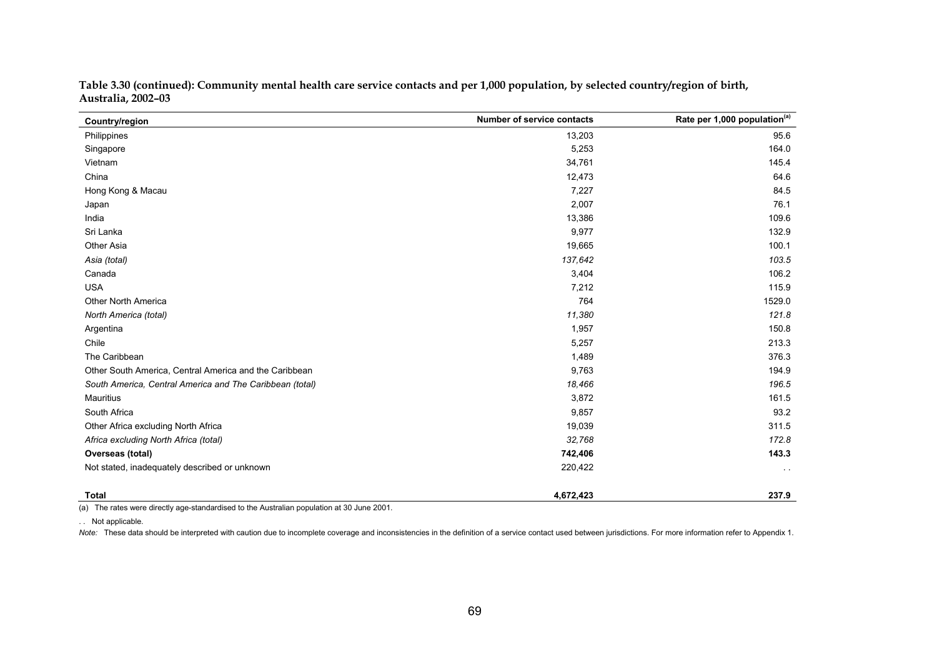| Country/region                                           | <b>Number of service contacts</b> | Rate per 1,000 population(a) |
|----------------------------------------------------------|-----------------------------------|------------------------------|
| Philippines                                              | 13,203                            | 95.6                         |
| Singapore                                                | 5,253                             | 164.0                        |
| Vietnam                                                  | 34,761                            | 145.4                        |
| China                                                    | 12,473                            | 64.6                         |
| Hong Kong & Macau                                        | 7,227                             | 84.5                         |
| Japan                                                    | 2,007                             | 76.1                         |
| India                                                    | 13,386                            | 109.6                        |
| Sri Lanka                                                | 9,977                             | 132.9                        |
| <b>Other Asia</b>                                        | 19,665                            | 100.1                        |
| Asia (total)                                             | 137,642                           | 103.5                        |
| Canada                                                   | 3,404                             | 106.2                        |
| <b>USA</b>                                               | 7,212                             | 115.9                        |
| Other North America                                      | 764                               | 1529.0                       |
| North America (total)                                    | 11,380                            | 121.8                        |
| Argentina                                                | 1,957                             | 150.8                        |
| Chile                                                    | 5,257                             | 213.3                        |
| The Caribbean                                            | 1,489                             | 376.3                        |
| Other South America, Central America and the Caribbean   | 9,763                             | 194.9                        |
| South America, Central America and The Caribbean (total) | 18,466                            | 196.5                        |
| <b>Mauritius</b>                                         | 3,872                             | 161.5                        |
| South Africa                                             | 9,857                             | 93.2                         |
| Other Africa excluding North Africa                      | 19,039                            | 311.5                        |
| Africa excluding North Africa (total)                    | 32,768                            | 172.8                        |
| Overseas (total)                                         | 742,406                           | 143.3                        |
| Not stated, inadequately described or unknown            | 220,422                           | $\sim$                       |
| Total                                                    | 4,672,423                         | 237.9                        |

**Table 3.30 (continued): Community mental health care service contacts and per 1,000 population, by selected country/region of birth, Australia, 2002–03** 

(a) The rates were directly age-standardised to the Australian population at 30 June 2001.

. . Not applicable.

Note: These data should be interpreted with caution due to incomplete coverage and inconsistencies in the definition of a service contact used between jurisdictions. For more information refer to Appendix 1.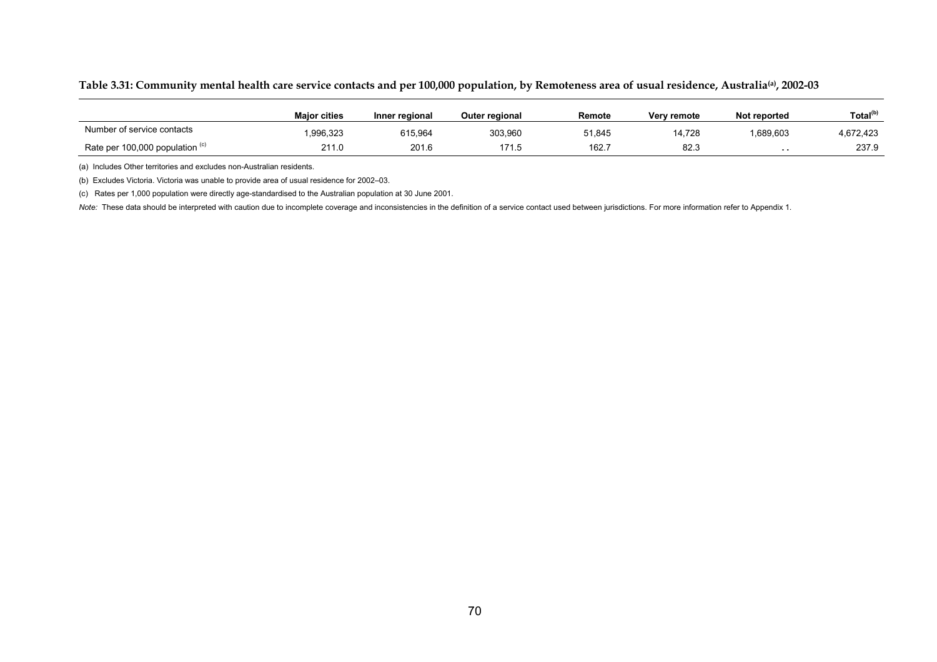|  | Table 3.31: Community mental health care service contacts and per 100,000 population, by Remoteness area of usual residence, Australia, 2002-03 |  |  |  |  |  |
|--|-------------------------------------------------------------------------------------------------------------------------------------------------|--|--|--|--|--|
|--|-------------------------------------------------------------------------------------------------------------------------------------------------|--|--|--|--|--|

|                                            | <b>Maior cities</b> | Inner regional | <b>Outer regional</b> | Remote | Very remote | Not reported | Total <sup>(b)</sup> |
|--------------------------------------------|---------------------|----------------|-----------------------|--------|-------------|--------------|----------------------|
| Number of service contacts                 | .996,323            | 615.964        | 303.960               | 51.845 | 4,728       | .689,603     | 4,672,423            |
| Rate per 100,000 population $\binom{c}{r}$ | 211.0               | 201.6          | 171.5                 | 162.7  | 82.3        | . .          | 237.9                |

(a) Includes Other territories and excludes non-Australian residents.

(b) Excludes Victoria. Victoria was unable to provide area of usual residence for 2002–03.

(c) Rates per 1,000 population were directly age-standardised to the Australian population at 30 June 2001.

Note: These data should be interpreted with caution due to incomplete coverage and inconsistencies in the definition of a service contact used between jurisdictions. For more information refer to Appendix 1.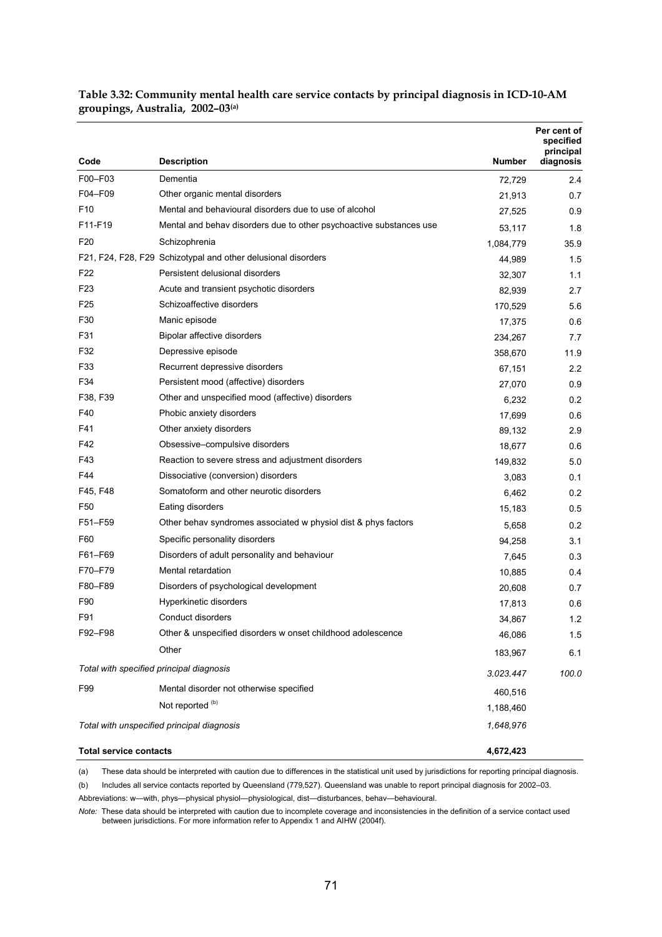|                                          |                                                                     |           | Per cent of<br>specified<br>principal |
|------------------------------------------|---------------------------------------------------------------------|-----------|---------------------------------------|
| Code                                     | <b>Description</b>                                                  | Number    | diagnosis                             |
| F00-F03                                  | Dementia                                                            | 72,729    | 2.4                                   |
| F04-F09                                  | Other organic mental disorders                                      | 21,913    | 0.7                                   |
| F10                                      | Mental and behavioural disorders due to use of alcohol              | 27,525    | 0.9                                   |
| F11-F19                                  | Mental and behav disorders due to other psychoactive substances use | 53,117    | 1.8                                   |
| F <sub>20</sub>                          | Schizophrenia                                                       | 1,084,779 | 35.9                                  |
|                                          | F21, F24, F28, F29 Schizotypal and other delusional disorders       | 44,989    | 1.5                                   |
| F <sub>22</sub>                          | Persistent delusional disorders                                     | 32,307    | 1.1                                   |
| F <sub>2</sub> 3                         | Acute and transient psychotic disorders                             | 82,939    | 2.7                                   |
| F25                                      | Schizoaffective disorders                                           | 170,529   | 5.6                                   |
| F30                                      | Manic episode                                                       | 17,375    | 0.6                                   |
| F31                                      | Bipolar affective disorders                                         | 234,267   | 7.7                                   |
| F32                                      | Depressive episode                                                  | 358,670   | 11.9                                  |
| F33                                      | Recurrent depressive disorders                                      | 67,151    | 2.2                                   |
| F34                                      | Persistent mood (affective) disorders                               | 27,070    | 0.9                                   |
| F38, F39                                 | Other and unspecified mood (affective) disorders                    | 6,232     | 0.2                                   |
| F40                                      | Phobic anxiety disorders                                            | 17,699    | 0.6                                   |
| F41                                      | Other anxiety disorders                                             | 89,132    | 2.9                                   |
| F42                                      | Obsessive-compulsive disorders                                      | 18,677    | 0.6                                   |
| F43                                      | Reaction to severe stress and adjustment disorders                  | 149,832   | 5.0                                   |
| F44                                      | Dissociative (conversion) disorders                                 | 3,083     | 0.1                                   |
| F45, F48                                 | Somatoform and other neurotic disorders                             | 6,462     | 0.2                                   |
| F <sub>50</sub>                          | Eating disorders                                                    | 15,183    | 0.5                                   |
| F51-F59                                  | Other behav syndromes associated w physiol dist & phys factors      | 5,658     | 0.2                                   |
| F60                                      | Specific personality disorders                                      | 94,258    | 3.1                                   |
| F61-F69                                  | Disorders of adult personality and behaviour                        | 7,645     | 0.3                                   |
| F70-F79                                  | Mental retardation                                                  | 10,885    | 0.4                                   |
| F80-F89                                  | Disorders of psychological development                              | 20,608    | 0.7                                   |
| F90                                      | Hyperkinetic disorders                                              | 17,813    | 0.6                                   |
| F91                                      | Conduct disorders                                                   | 34,867    | 1.2                                   |
| F92-F98                                  | Other & unspecified disorders w onset childhood adolescence         | 46,086    | 1.5                                   |
|                                          | Other                                                               | 183,967   | 6.1                                   |
| Total with specified principal diagnosis |                                                                     | 3.023.447 | 100.0                                 |
| F99                                      | Mental disorder not otherwise specified                             | 460.516   |                                       |
|                                          | Not reported <sup>(b)</sup>                                         | 1,188,460 |                                       |
|                                          | Total with unspecified principal diagnosis                          | 1,648,976 |                                       |
| <b>Total service contacts</b>            |                                                                     | 4,672,423 |                                       |

**Table 3.32: Community mental health care service contacts by principal diagnosis in ICD-10-AM groupings, Australia, 2002–03(a)**

(a) These data should be interpreted with caution due to differences in the statistical unit used by jurisdictions for reporting principal diagnosis.

(b) Includes all service contacts reported by Queensland (779,527). Queensland was unable to report principal diagnosis for 2002–03.

Abbreviations: w—with, phys—physical physiol—physiological, dist—disturbances, behav—behavioural.

*Note:* These data should be interpreted with caution due to incomplete coverage and inconsistencies in the definition of a service contact used between jurisdictions. For more information refer to Appendix 1 and AIHW (2004f).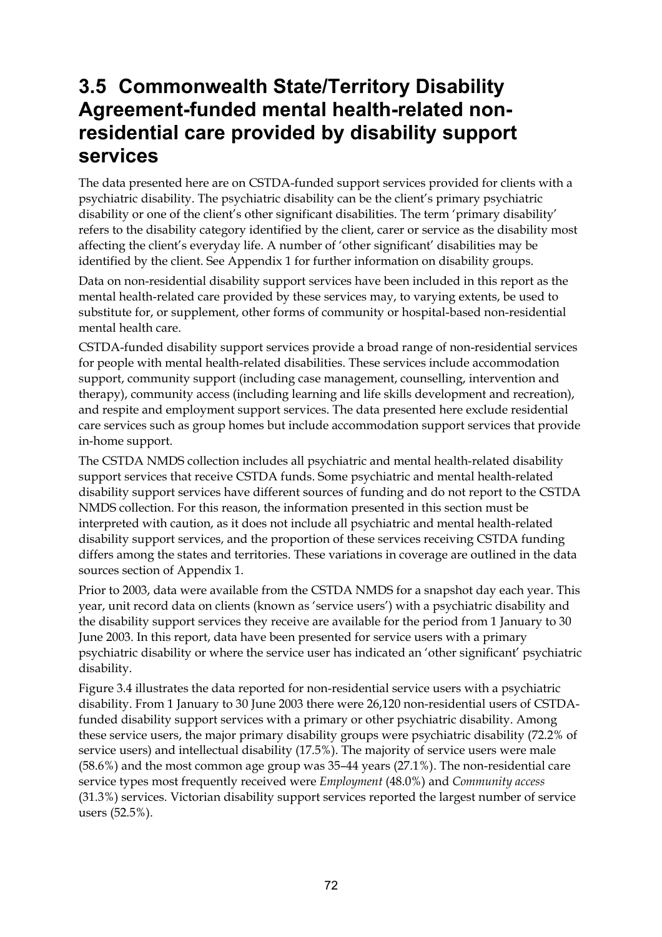## **3.5 Commonwealth State/Territory Disability Agreement-funded mental health-related nonresidential care provided by disability support services**

The data presented here are on CSTDA-funded support services provided for clients with a psychiatric disability. The psychiatric disability can be the client's primary psychiatric disability or one of the client's other significant disabilities. The term 'primary disability' refers to the disability category identified by the client, carer or service as the disability most affecting the client's everyday life. A number of 'other significant' disabilities may be identified by the client. See Appendix 1 for further information on disability groups.

Data on non-residential disability support services have been included in this report as the mental health-related care provided by these services may, to varying extents, be used to substitute for, or supplement, other forms of community or hospital-based non-residential mental health care.

CSTDA-funded disability support services provide a broad range of non-residential services for people with mental health-related disabilities. These services include accommodation support, community support (including case management, counselling, intervention and therapy), community access (including learning and life skills development and recreation), and respite and employment support services. The data presented here exclude residential care services such as group homes but include accommodation support services that provide in-home support.

The CSTDA NMDS collection includes all psychiatric and mental health-related disability support services that receive CSTDA funds. Some psychiatric and mental health-related disability support services have different sources of funding and do not report to the CSTDA NMDS collection. For this reason, the information presented in this section must be interpreted with caution, as it does not include all psychiatric and mental health-related disability support services, and the proportion of these services receiving CSTDA funding differs among the states and territories. These variations in coverage are outlined in the data sources section of Appendix 1.

Prior to 2003, data were available from the CSTDA NMDS for a snapshot day each year. This year, unit record data on clients (known as 'service users') with a psychiatric disability and the disability support services they receive are available for the period from 1 January to 30 June 2003. In this report, data have been presented for service users with a primary psychiatric disability or where the service user has indicated an 'other significant' psychiatric disability.

Figure 3.4 illustrates the data reported for non-residential service users with a psychiatric disability. From 1 January to 30 June 2003 there were 26,120 non-residential users of CSTDAfunded disability support services with a primary or other psychiatric disability. Among these service users, the major primary disability groups were psychiatric disability (72.2% of service users) and intellectual disability (17.5%). The majority of service users were male (58.6%) and the most common age group was 35–44 years (27.1%). The non-residential care service types most frequently received were *Employment* (48.0%) and *Community access* (31.3%) services. Victorian disability support services reported the largest number of service users (52.5%).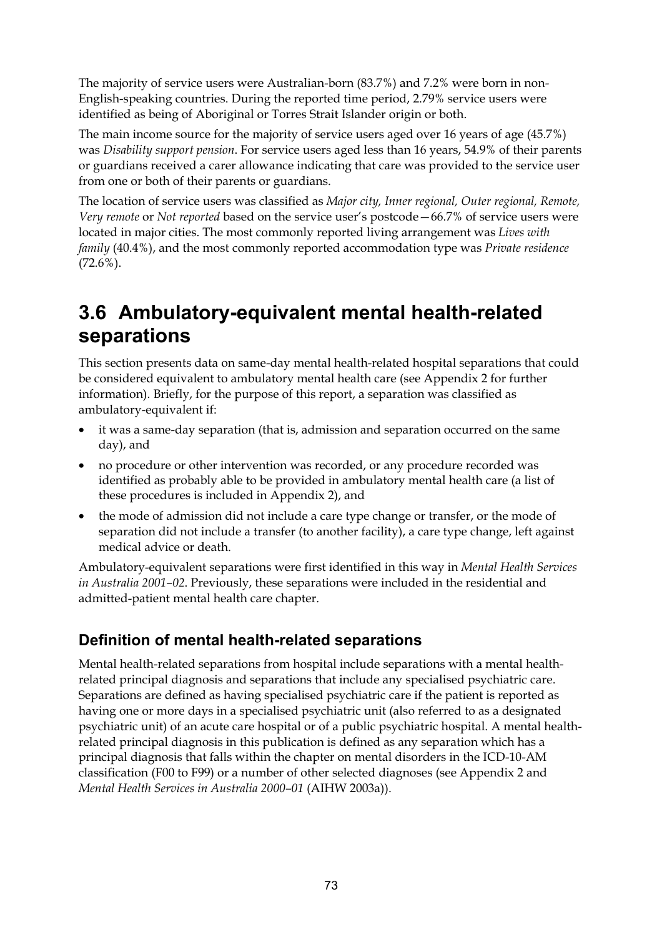The majority of service users were Australian-born (83.7%) and 7.2% were born in non-English-speaking countries. During the reported time period, 2.79% service users were identified as being of Aboriginal or Torres Strait Islander origin or both.

The main income source for the majority of service users aged over 16 years of age (45.7%) was *Disability support pension*. For service users aged less than 16 years, 54.9% of their parents or guardians received a carer allowance indicating that care was provided to the service user from one or both of their parents or guardians.

The location of service users was classified as *Major city, Inner regional, Outer regional, Remote, Very remote* or *Not reported* based on the service user's postcode—66.7% of service users were located in major cities. The most commonly reported living arrangement was *Lives with family* (40.4%), and the most commonly reported accommodation type was *Private residence*  $(72.6\%)$ .

## **3.6 Ambulatory-equivalent mental health-related separations**

This section presents data on same-day mental health-related hospital separations that could be considered equivalent to ambulatory mental health care (see Appendix 2 for further information). Briefly, for the purpose of this report, a separation was classified as ambulatory-equivalent if:

- it was a same-day separation (that is, admission and separation occurred on the same day), and
- no procedure or other intervention was recorded, or any procedure recorded was identified as probably able to be provided in ambulatory mental health care (a list of these procedures is included in Appendix 2), and
- the mode of admission did not include a care type change or transfer, or the mode of separation did not include a transfer (to another facility), a care type change, left against medical advice or death.

Ambulatory-equivalent separations were first identified in this way in *Mental Health Services in Australia 2001–02*. Previously, these separations were included in the residential and admitted-patient mental health care chapter.

## **Definition of mental health-related separations**

Mental health-related separations from hospital include separations with a mental healthrelated principal diagnosis and separations that include any specialised psychiatric care. Separations are defined as having specialised psychiatric care if the patient is reported as having one or more days in a specialised psychiatric unit (also referred to as a designated psychiatric unit) of an acute care hospital or of a public psychiatric hospital. A mental healthrelated principal diagnosis in this publication is defined as any separation which has a principal diagnosis that falls within the chapter on mental disorders in the ICD-10-AM classification (F00 to F99) or a number of other selected diagnoses (see Appendix 2 and *Mental Health Services in Australia 2000–01* (AIHW 2003a)).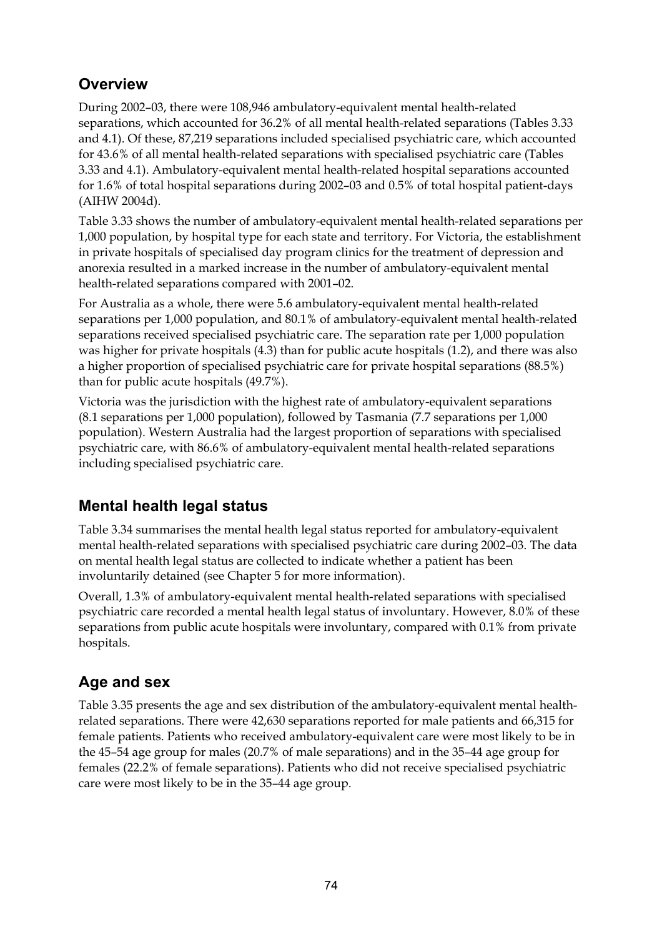## **Overview**

During 2002–03, there were 108,946 ambulatory-equivalent mental health-related separations, which accounted for 36.2% of all mental health-related separations (Tables 3.33 and 4.1). Of these, 87,219 separations included specialised psychiatric care, which accounted for 43.6% of all mental health-related separations with specialised psychiatric care (Tables 3.33 and 4.1). Ambulatory-equivalent mental health-related hospital separations accounted for 1.6% of total hospital separations during 2002–03 and 0.5% of total hospital patient-days (AIHW 2004d).

Table 3.33 shows the number of ambulatory-equivalent mental health-related separations per 1,000 population, by hospital type for each state and territory. For Victoria, the establishment in private hospitals of specialised day program clinics for the treatment of depression and anorexia resulted in a marked increase in the number of ambulatory-equivalent mental health-related separations compared with 2001–02.

For Australia as a whole, there were 5.6 ambulatory-equivalent mental health-related separations per 1,000 population, and 80.1% of ambulatory-equivalent mental health-related separations received specialised psychiatric care. The separation rate per 1,000 population was higher for private hospitals (4.3) than for public acute hospitals (1.2), and there was also a higher proportion of specialised psychiatric care for private hospital separations (88.5%) than for public acute hospitals (49.7%).

Victoria was the jurisdiction with the highest rate of ambulatory-equivalent separations (8.1 separations per 1,000 population), followed by Tasmania (7.7 separations per 1,000 population). Western Australia had the largest proportion of separations with specialised psychiatric care, with 86.6% of ambulatory-equivalent mental health-related separations including specialised psychiatric care.

## **Mental health legal status**

Table 3.34 summarises the mental health legal status reported for ambulatory-equivalent mental health-related separations with specialised psychiatric care during 2002–03. The data on mental health legal status are collected to indicate whether a patient has been involuntarily detained (see Chapter 5 for more information).

Overall, 1.3% of ambulatory-equivalent mental health-related separations with specialised psychiatric care recorded a mental health legal status of involuntary. However, 8.0% of these separations from public acute hospitals were involuntary, compared with 0.1% from private hospitals.

## **Age and sex**

Table 3.35 presents the age and sex distribution of the ambulatory-equivalent mental healthrelated separations. There were 42,630 separations reported for male patients and 66,315 for female patients. Patients who received ambulatory-equivalent care were most likely to be in the 45–54 age group for males (20.7% of male separations) and in the 35–44 age group for females (22.2% of female separations). Patients who did not receive specialised psychiatric care were most likely to be in the 35–44 age group.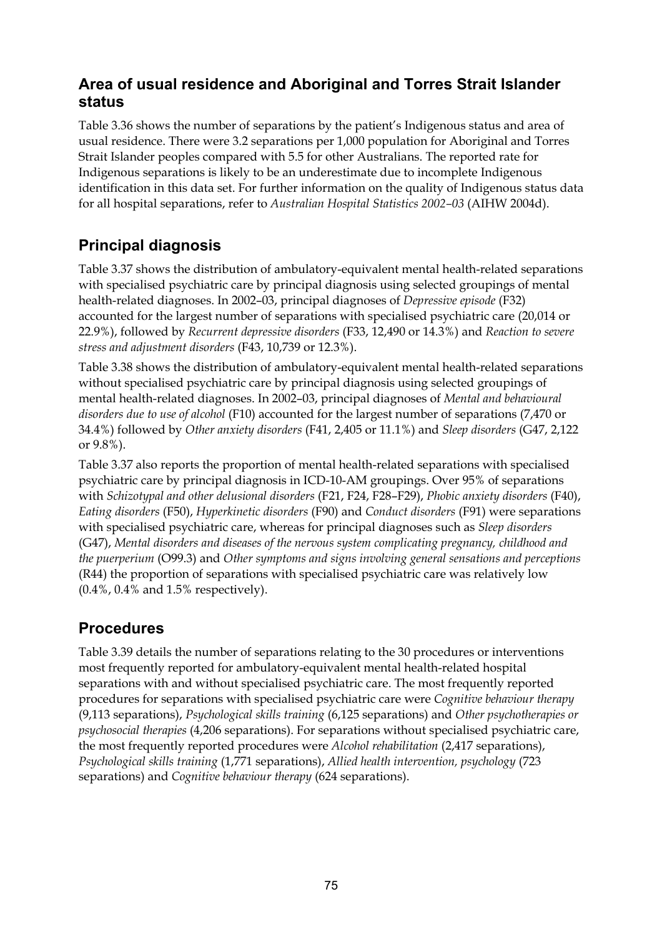## **Area of usual residence and Aboriginal and Torres Strait Islander status**

Table 3.36 shows the number of separations by the patient's Indigenous status and area of usual residence. There were 3.2 separations per 1,000 population for Aboriginal and Torres Strait Islander peoples compared with 5.5 for other Australians. The reported rate for Indigenous separations is likely to be an underestimate due to incomplete Indigenous identification in this data set. For further information on the quality of Indigenous status data for all hospital separations, refer to *Australian Hospital Statistics 2002–03* (AIHW 2004d).

## **Principal diagnosis**

Table 3.37 shows the distribution of ambulatory-equivalent mental health-related separations with specialised psychiatric care by principal diagnosis using selected groupings of mental health-related diagnoses. In 2002–03, principal diagnoses of *Depressive episode* (F32) accounted for the largest number of separations with specialised psychiatric care (20,014 or 22.9%), followed by *Recurrent depressive disorders* (F33, 12,490 or 14.3%) and *Reaction to severe stress and adjustment disorders* (F43, 10,739 or 12.3%).

Table 3.38 shows the distribution of ambulatory-equivalent mental health-related separations without specialised psychiatric care by principal diagnosis using selected groupings of mental health-related diagnoses. In 2002–03, principal diagnoses of *Mental and behavioural disorders due to use of alcohol* (F10) accounted for the largest number of separations (7,470 or 34.4%) followed by *Other anxiety disorders* (F41, 2,405 or 11.1%) and *Sleep disorders* (G47, 2,122 or 9.8%).

Table 3.37 also reports the proportion of mental health-related separations with specialised psychiatric care by principal diagnosis in ICD-10-AM groupings. Over 95% of separations with *Schizotypal and other delusional disorders* (F21, F24, F28–F29), *Phobic anxiety disorders* (F40), *Eating disorders* (F50), *Hyperkinetic disorders* (F90) and *Conduct disorders* (F91) were separations with specialised psychiatric care, whereas for principal diagnoses such as *Sleep disorders*  (G47), *Mental disorders and diseases of the nervous system complicating pregnancy, childhood and the puerperium* (O99.3) and *Other symptoms and signs involving general sensations and perceptions* (R44) the proportion of separations with specialised psychiatric care was relatively low (0.4%, 0.4% and 1.5% respectively).

## **Procedures**

Table 3.39 details the number of separations relating to the 30 procedures or interventions most frequently reported for ambulatory-equivalent mental health-related hospital separations with and without specialised psychiatric care. The most frequently reported procedures for separations with specialised psychiatric care were *Cognitive behaviour therapy* (9,113 separations), *Psychological skills training* (6,125 separations) and *Other psychotherapies or psychosocial therapies* (4,206 separations). For separations without specialised psychiatric care, the most frequently reported procedures were *Alcohol rehabilitation* (2,417 separations), *Psychological skills training* (1,771 separations), *Allied health intervention, psychology* (723 separations) and *Cognitive behaviour therapy* (624 separations).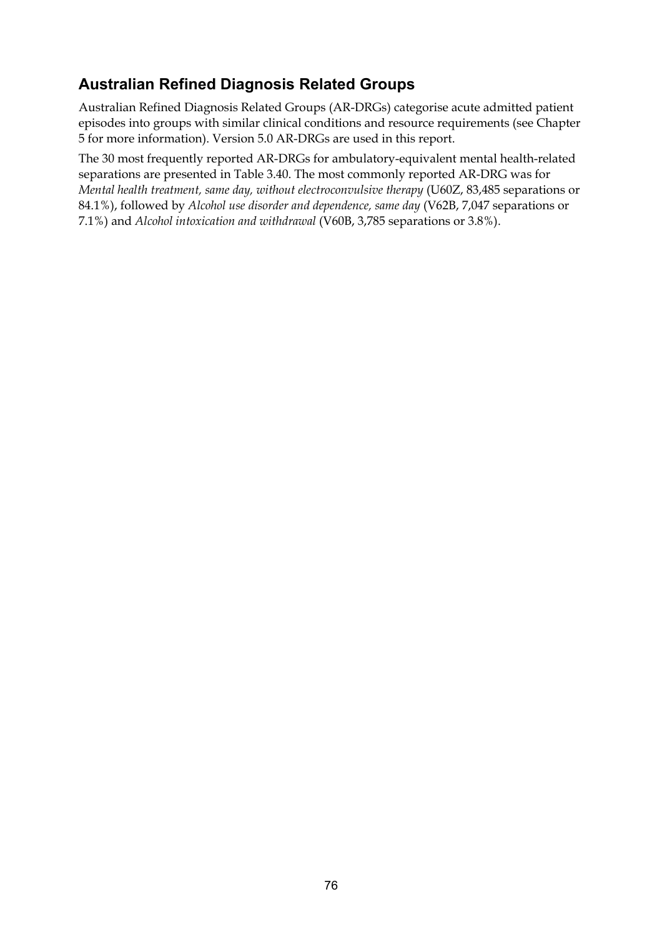## **Australian Refined Diagnosis Related Groups**

Australian Refined Diagnosis Related Groups (AR-DRGs) categorise acute admitted patient episodes into groups with similar clinical conditions and resource requirements (see Chapter 5 for more information). Version 5.0 AR-DRGs are used in this report.

The 30 most frequently reported AR-DRGs for ambulatory-equivalent mental health-related separations are presented in Table 3.40. The most commonly reported AR-DRG was for *Mental health treatment, same day, without electroconvulsive therapy (U60Z, 83,485 separations or* 84.1%), followed by *Alcohol use disorder and dependence, same day* (V62B, 7,047 separations or 7.1%) and *Alcohol intoxication and withdrawal* (V60B, 3,785 separations or 3.8%).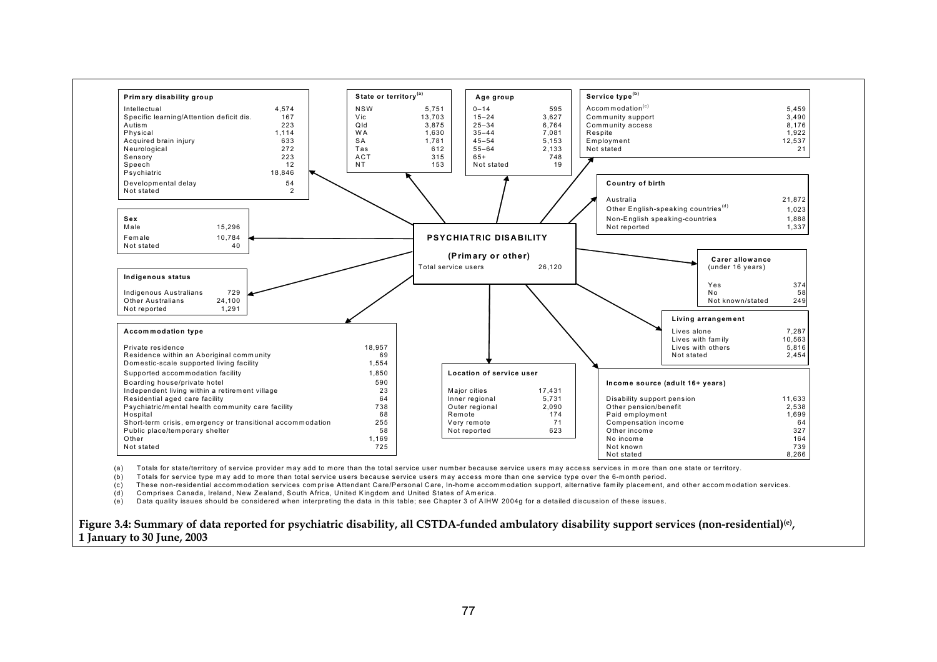

(a) Totals for state/territory of service provider may add to more than the total service user number because service users may access services in more than one state or territory.

(b) Totals for service type may add to more than total service users because service users may access more than one service type over the 6-month period.

(c) These non-residential accommodation services comprise Attendant Care/Personal Care, In-home accommodation support, alternative family placement, and other accommodation services.

(d) Comprises Canada, Ireland, New Zealand, South Africa, United Kingdom and United States of America.

(e) Data quality issues should be considered when interpreting the data in this table; see Chapter 3 of AIHW 2004g for a detailed discussion of these issues.

**Figure 3.4: Summary of data reported for psychiatric disability, all CSTDA-funded ambulatory disability support services (non-residential)(e), 1 January to 30 June, 2003**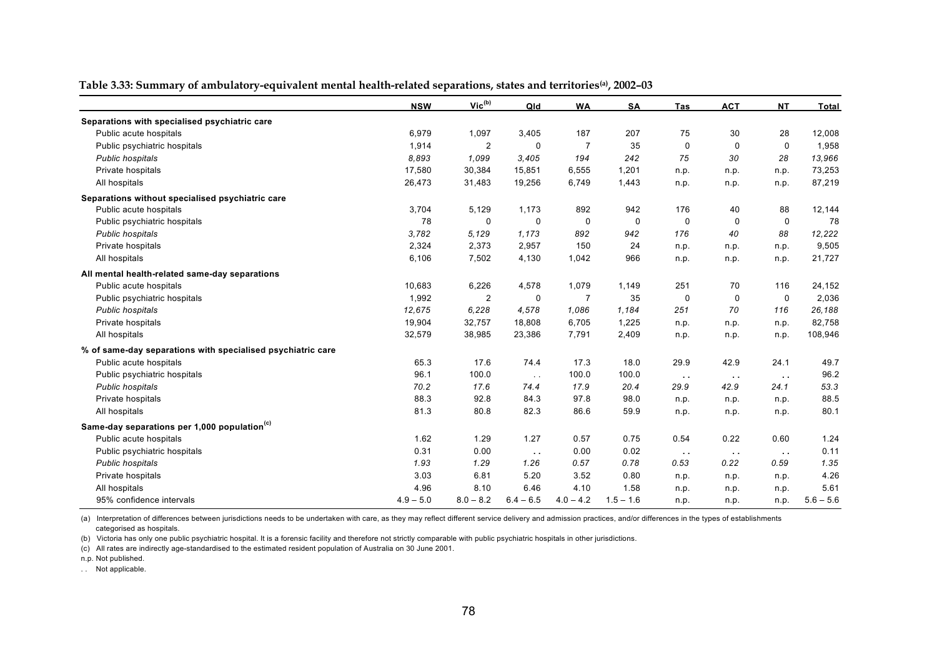|                                                             | <b>NSW</b>  | Vic <sup>(b)</sup> | Qld           | <b>WA</b>      | SA          | Tas           | <b>ACT</b>    | <b>NT</b>   | <b>Total</b> |
|-------------------------------------------------------------|-------------|--------------------|---------------|----------------|-------------|---------------|---------------|-------------|--------------|
| Separations with specialised psychiatric care               |             |                    |               |                |             |               |               |             |              |
| Public acute hospitals                                      | 6,979       | 1,097              | 3,405         | 187            | 207         | 75            | 30            | 28          | 12,008       |
| Public psychiatric hospitals                                | 1,914       | $\overline{2}$     | $\Omega$      | $\overline{7}$ | 35          | $\mathbf 0$   | $\mathbf 0$   | $\mathbf 0$ | 1,958        |
| Public hospitals                                            | 8,893       | 1,099              | 3,405         | 194            | 242         | 75            | 30            | 28          | 13,966       |
| Private hospitals                                           | 17,580      | 30,384             | 15,851        | 6,555          | 1,201       | n.p.          | n.p.          | n.p.        | 73,253       |
| All hospitals                                               | 26,473      | 31,483             | 19,256        | 6,749          | 1,443       | n.p.          | n.p.          | n.p.        | 87,219       |
| Separations without specialised psychiatric care            |             |                    |               |                |             |               |               |             |              |
| Public acute hospitals                                      | 3,704       | 5,129              | 1,173         | 892            | 942         | 176           | 40            | 88          | 12,144       |
| Public psychiatric hospitals                                | 78          | $\mathbf 0$        | 0             | $\Omega$       | $\mathbf 0$ | $\Omega$      | 0             | $\mathbf 0$ | 78           |
| Public hospitals                                            | 3,782       | 5.129              | 1,173         | 892            | 942         | 176           | 40            | 88          | 12,222       |
| Private hospitals                                           | 2,324       | 2,373              | 2,957         | 150            | 24          | n.p.          | n.p.          | n.p.        | 9,505        |
| All hospitals                                               | 6,106       | 7,502              | 4,130         | 1,042          | 966         | n.p.          | n.p.          | n.p.        | 21,727       |
| All mental health-related same-day separations              |             |                    |               |                |             |               |               |             |              |
| Public acute hospitals                                      | 10,683      | 6,226              | 4,578         | 1,079          | 1,149       | 251           | 70            | 116         | 24,152       |
| Public psychiatric hospitals                                | 1,992       | $\overline{2}$     | $\mathbf 0$   | $\overline{7}$ | 35          | $\mathbf 0$   | $\mathbf 0$   | $\mathbf 0$ | 2,036        |
| Public hospitals                                            | 12,675      | 6,228              | 4,578         | 1,086          | 1,184       | 251           | 70            | 116         | 26,188       |
| Private hospitals                                           | 19,904      | 32,757             | 18,808        | 6,705          | 1,225       | n.p.          | n.p.          | n.p.        | 82,758       |
| All hospitals                                               | 32,579      | 38,985             | 23,386        | 7,791          | 2,409       | n.p.          | n.p.          | n.p.        | 108,946      |
| % of same-day separations with specialised psychiatric care |             |                    |               |                |             |               |               |             |              |
| Public acute hospitals                                      | 65.3        | 17.6               | 74.4          | 17.3           | 18.0        | 29.9          | 42.9          | 24.1        | 49.7         |
| Public psychiatric hospitals                                | 96.1        | 100.0              | $\sim 10$     | 100.0          | 100.0       | $\sim$ $\sim$ | $\sim$ $\sim$ | $\sim 10$   | 96.2         |
| Public hospitals                                            | 70.2        | 17.6               | 74.4          | 17.9           | 20.4        | 29.9          | 42.9          | 24.1        | 53.3         |
| Private hospitals                                           | 88.3        | 92.8               | 84.3          | 97.8           | 98.0        | n.p.          | n.p.          | n.p.        | 88.5         |
| All hospitals                                               | 81.3        | 80.8               | 82.3          | 86.6           | 59.9        | n.p.          | n.p.          | n.p.        | 80.1         |
| Same-day separations per 1,000 population <sup>(c)</sup>    |             |                    |               |                |             |               |               |             |              |
| Public acute hospitals                                      | 1.62        | 1.29               | 1.27          | 0.57           | 0.75        | 0.54          | 0.22          | 0.60        | 1.24         |
| Public psychiatric hospitals                                | 0.31        | 0.00               | $\sim$ $\sim$ | 0.00           | 0.02        | $\sim$ $\sim$ | $\sim$ $\sim$ | $\sim 10$   | 0.11         |
| Public hospitals                                            | 1.93        | 1.29               | 1.26          | 0.57           | 0.78        | 0.53          | 0.22          | 0.59        | 1.35         |
| Private hospitals                                           | 3.03        | 6.81               | 5.20          | 3.52           | 0.80        | n.p.          | n.p.          | n.p.        | 4.26         |
| All hospitals                                               | 4.96        | 8.10               | 6.46          | 4.10           | 1.58        | n.p.          | n.p.          | n.p.        | 5.61         |
| 95% confidence intervals                                    | $4.9 - 5.0$ | $8.0 - 8.2$        | $6.4 - 6.5$   | $4.0 - 4.2$    | $1.5 - 1.6$ | n.p.          | n.p.          | n.p.        | $5.6 - 5.6$  |

#### **Table 3.33: Summary of ambulatory-equivalent mental health-related separations, states and territories(a), 2002–03**

(a) Interpretation of differences between jurisdictions needs to be undertaken with care, as they may reflect different service delivery and admission practices, and/or differences in the types of establishments categorised as hospitals.

(b) Victoria has only one public psychiatric hospital. It is a forensic facility and therefore not strictly comparable with public psychiatric hospitals in other jurisdictions.

(c) All rates are indirectly age-standardised to the estimated resident population of Australia on 30 June 2001.

n.p. Not published.

. . Not applicable.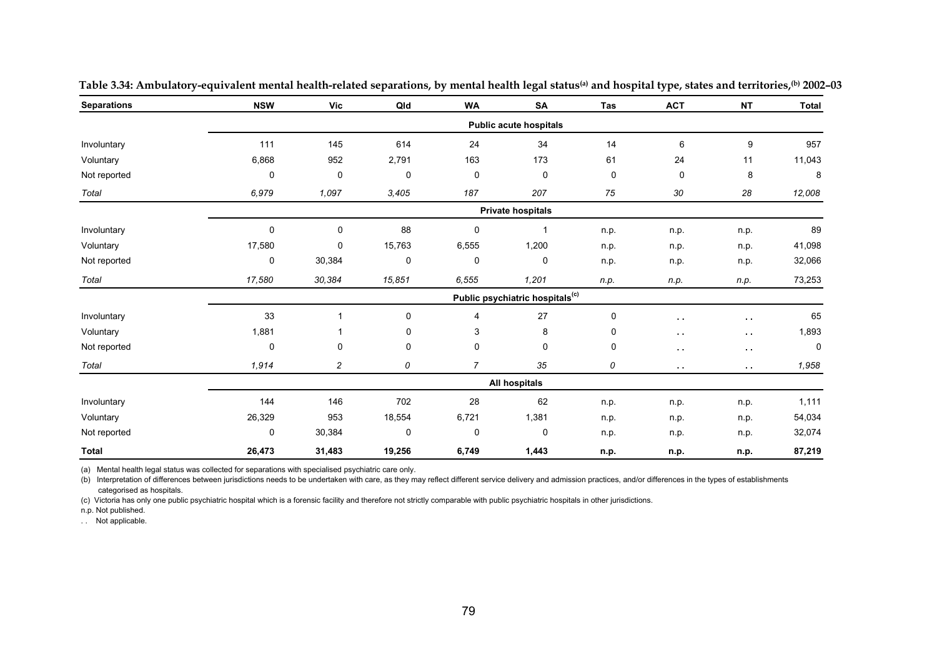| <b>Separations</b> | <b>NSW</b>  | <b>Vic</b>                                  | Qld         | <b>WA</b>      | SA                            | Tas  | <b>ACT</b>    | <b>NT</b>     | <b>Total</b> |  |  |
|--------------------|-------------|---------------------------------------------|-------------|----------------|-------------------------------|------|---------------|---------------|--------------|--|--|
|                    |             |                                             |             |                | <b>Public acute hospitals</b> |      |               |               |              |  |  |
| Involuntary        | 111         | 145                                         | 614         | 24             | 34                            | 14   | 6             | 9             | 957          |  |  |
| Voluntary          | 6,868       | 952                                         | 2,791       | 163            | 173                           | 61   | 24            | 11            | 11,043       |  |  |
| Not reported       | 0           | 0                                           | 0           | 0              | 0                             | 0    | 0             | 8             | 8            |  |  |
| Total              | 6,979       | 1,097                                       | 3,405       | 187            | 207                           | 75   | 30            | 28            | 12,008       |  |  |
|                    |             |                                             |             |                | <b>Private hospitals</b>      |      |               |               |              |  |  |
| Involuntary        | 0           | 0                                           | 88          | 0              | 1                             | n.p. | n.p.          | n.p.          | 89           |  |  |
| Voluntary          | 17,580      | 0                                           | 15,763      | 6,555          | 1,200                         | n.p. | n.p.          | n.p.          | 41,098       |  |  |
| Not reported       | 0           | 30,384                                      | $\mathbf 0$ | $\mathbf 0$    | 0                             | n.p. | n.p.          | n.p.          | 32,066       |  |  |
| Total              | 17,580      | 30,384                                      | 15,851      | 6,555          | 1,201                         | n.p. | n.p.          | n.p.          | 73,253       |  |  |
|                    |             | Public psychiatric hospitals <sup>(c)</sup> |             |                |                               |      |               |               |              |  |  |
| Involuntary        | 33          | 1                                           | 0           | 4              | 27                            | 0    | $\sim$        | $\sim$        | 65           |  |  |
| Voluntary          | 1,881       |                                             | 0           | 3              | 8                             | 0    | $\sim$ $\sim$ | $\sim$ $\sim$ | 1,893        |  |  |
| Not reported       | $\mathbf 0$ | 0                                           | $\mathbf 0$ | $\mathbf 0$    | 0                             | 0    | $\sim$ $\sim$ | $\sim 10$     | $\mathbf 0$  |  |  |
| Total              | 1,914       | $\overline{\mathbf{c}}$                     | 0           | $\overline{7}$ | 35                            | 0    | $\sim$ $\sim$ | $\sim 10$     | 1,958        |  |  |
|                    |             |                                             |             |                | <b>All hospitals</b>          |      |               |               |              |  |  |
| Involuntary        | 144         | 146                                         | 702         | 28             | 62                            | n.p. | n.p.          | n.p.          | 1,111        |  |  |
| Voluntary          | 26,329      | 953                                         | 18,554      | 6,721          | 1,381                         | n.p. | n.p.          | n.p.          | 54,034       |  |  |
| Not reported       | 0           | 30,384                                      | 0           | 0              | 0                             | n.p. | n.p.          | n.p.          | 32,074       |  |  |
| Total              | 26,473      | 31,483                                      | 19,256      | 6,749          | 1,443                         | n.p. | n.p.          | n.p.          | 87,219       |  |  |

**Table 3.34: Ambulatory-equivalent mental health-related separations, by mental health legal status(a) and hospital type, states and territories,(b) 2002–03** 

(a) Mental health legal status was collected for separations with specialised psychiatric care only.

(b) Interpretation of differences between jurisdictions needs to be undertaken with care, as they may reflect different service delivery and admission practices, and/or differences in the types of establishments categorised as hospitals.

(c) Victoria has only one public psychiatric hospital which is a forensic facility and therefore not strictly comparable with public psychiatric hospitals in other jurisdictions.

n.p. Not published.

. . Not applicable.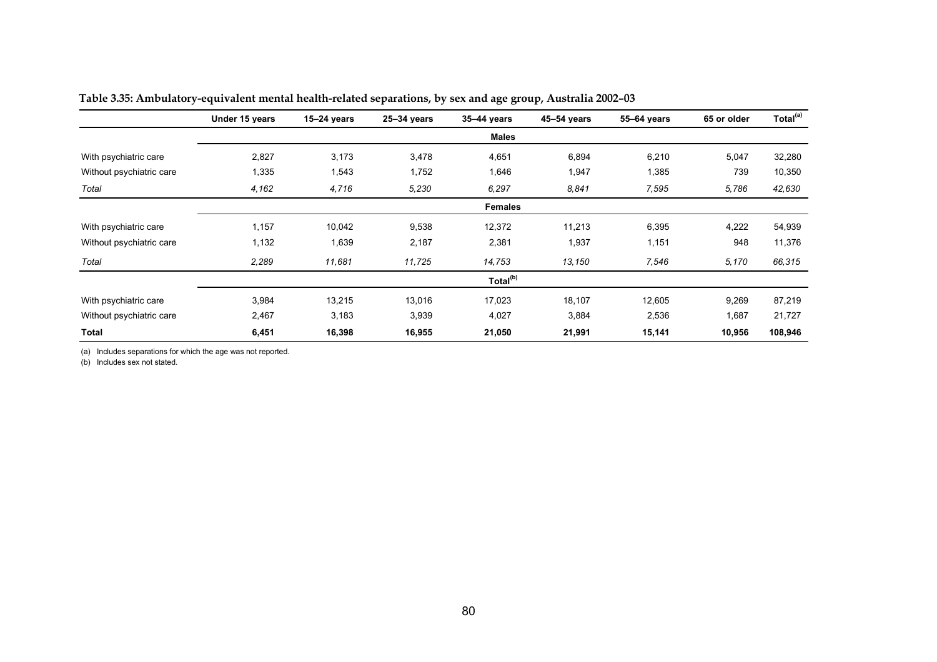|                          | Under 15 years | $15 - 24$ years | $25 - 34$ years | $35 - 44$ years      | 45-54 years | 55-64 years | 65 or older | Total <sup>(a)</sup> |  |  |
|--------------------------|----------------|-----------------|-----------------|----------------------|-------------|-------------|-------------|----------------------|--|--|
|                          |                |                 |                 | <b>Males</b>         |             |             |             |                      |  |  |
| With psychiatric care    | 2,827          | 3,173           | 3,478           | 4,651                | 6,894       | 6,210       | 5,047       | 32,280               |  |  |
| Without psychiatric care | 1,335          | 1,543           | 1,752           | 1,646                | 1,947       | 1,385       | 739         | 10,350               |  |  |
| Total                    | 4,162          | 4,716           | 5,230           | 6,297                | 8.841       | 7,595       | 5,786       | 42,630               |  |  |
|                          | <b>Females</b> |                 |                 |                      |             |             |             |                      |  |  |
| With psychiatric care    | 1,157          | 10,042          | 9,538           | 12,372               | 11,213      | 6,395       | 4,222       | 54,939               |  |  |
| Without psychiatric care | 1,132          | 1,639           | 2,187           | 2,381                | 1,937       | 1,151       | 948         | 11,376               |  |  |
| Total                    | 2,289          | 11,681          | 11,725          | 14,753               | 13,150      | 7,546       | 5,170       | 66,315               |  |  |
|                          |                |                 |                 | Total <sup>(b)</sup> |             |             |             |                      |  |  |
| With psychiatric care    | 3,984          | 13,215          | 13,016          | 17,023               | 18,107      | 12,605      | 9,269       | 87,219               |  |  |
| Without psychiatric care | 2,467          | 3,183           | 3,939           | 4,027                | 3,884       | 2,536       | 1,687       | 21,727               |  |  |
| Total                    | 6,451          | 16,398          | 16,955          | 21,050               | 21,991      | 15,141      | 10,956      | 108,946              |  |  |

| Table 3.35: Ambulatory-equivalent mental health-related separations, by sex and age group, Australia 2002–03 |
|--------------------------------------------------------------------------------------------------------------|
|--------------------------------------------------------------------------------------------------------------|

(a) Includes separations for which the age was not reported.

(b) Includes sex not stated.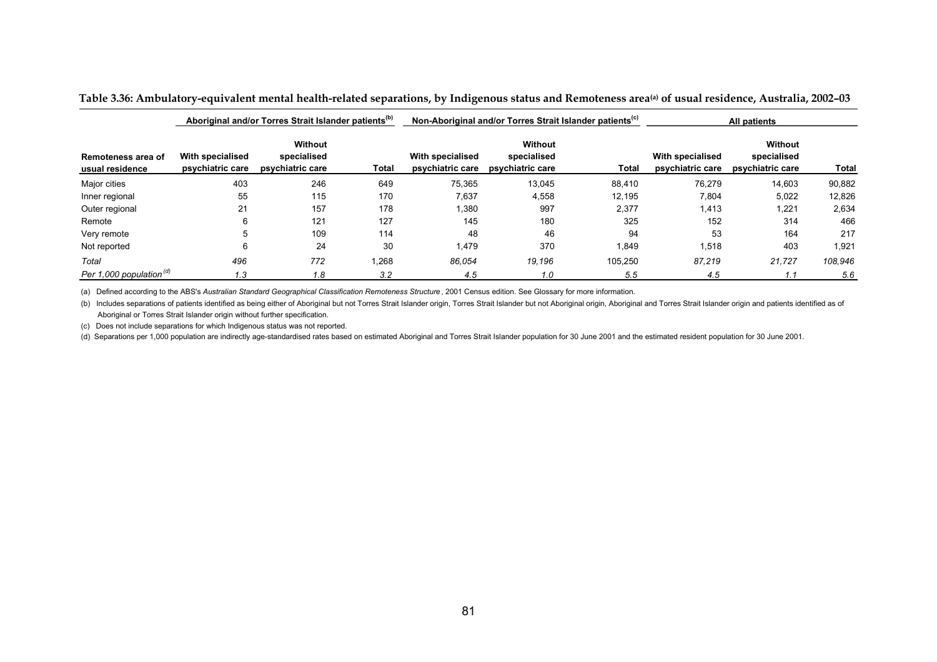|                                       |                                      | Aboriginal and/or Torres Strait Islander patients <sup>(b)</sup> |       |                                      | Non-Aboriginal and/or Torres Strait Islander patients <sup>(C)</sup> |         | All patients                         |                                            |         |
|---------------------------------------|--------------------------------------|------------------------------------------------------------------|-------|--------------------------------------|----------------------------------------------------------------------|---------|--------------------------------------|--------------------------------------------|---------|
| Remoteness area of<br>usual residence | With specialised<br>psychiatric care | Without<br>specialised<br>psychiatric care                       | Total | With specialised<br>psychiatric care | Without<br>specialised<br>psychiatric care                           | Total   | With specialised<br>psychiatric care | Without<br>specialised<br>psychiatric care | Total   |
| Major cities                          | 403                                  | 246                                                              | 649   | 75,365                               | 13,045                                                               | 88,410  | 76,279                               | 14,603                                     | 90,882  |
| Inner regional                        | 55                                   | 115                                                              | 170   | 7,637                                | 4,558                                                                | 12.195  | 7,804                                | 5,022                                      | 12,826  |
| Outer regional                        | 21                                   | 157                                                              | 178   | 1,380                                | 997                                                                  | 2,377   | 1,413                                | 1,221                                      | 2,634   |
| Remote                                |                                      | 121                                                              | 127   | 145                                  | 180                                                                  | 325     | 152                                  | 314                                        | 466     |
| Very remote                           | 5                                    | 109                                                              | 114   | 48                                   | 46                                                                   | 94      | 53                                   | 164                                        | 217     |
| Not reported                          | 6                                    | 24                                                               | 30    | 1,479                                | 370                                                                  | 1,849   | 1,518                                | 403                                        | 1,921   |
| Total                                 | 496                                  | 772                                                              | .268  | 86,054                               | 19.196                                                               | 105,250 | 87,219                               | 21,727                                     | 108,946 |
| Per 1,000 population <sup>(d)</sup>   | 1.3                                  | 1.8                                                              | 3.2   | 4.5                                  | 1.0                                                                  | 5.5     | 4.5                                  |                                            | 5.6     |

#### **Table 3.36: Ambulatory-equivalent mental health-related separations, by Indigenous status and Remoteness area(a) of usual residence, Australia, 2002–03**

(a) Defined according to the ABS's Australian Standard Geographical Classification Remoteness Structure, 2001 Census edition. See Glossary for more information.

(b) Includes separations of patients identified as being either of Aboriginal but not Torres Strait Islander origin, Torres Strait Islander but not Aboriginal origin, Aboriginal and Torres Strait Islander origin and patien Aboriginal or Torres Strait Islander origin without further specification.

(c) Does not include separations for which Indigenous status was not reported.

(d) Separations per 1,000 population are indirectly age-standardised rates based on estimated Aboriginal and Torres Strait Islander population for 30 June 2001 and the estimated resident population for 30 June 2001.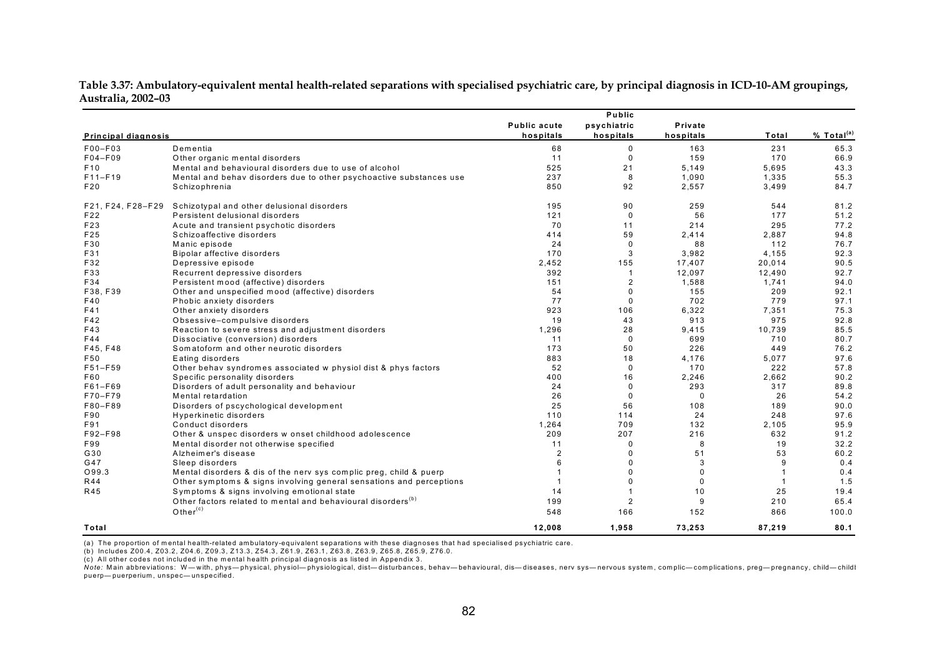|                            |                                                                          | Public              |                |             |                |                        |
|----------------------------|--------------------------------------------------------------------------|---------------------|----------------|-------------|----------------|------------------------|
|                            |                                                                          | <b>Public acute</b> | psychiatric    | Private     |                |                        |
| <b>Principal diagnosis</b> |                                                                          | hospitals           | hospitals      | hospitals   | Total          | % Total <sup>(a)</sup> |
| F00-F03                    | Dementia                                                                 | 68                  | 0              | 163         | 231            | 65.3                   |
| F04-F09                    | Other organic mental disorders                                           | 11                  | $\mathbf{0}$   | 159         | 170            | 66.9                   |
| F <sub>10</sub>            | Mental and behavioural disorders due to use of alcohol                   | 525                 | 21             | 5,149       | 5,695          | 43.3                   |
| $F11-F19$                  | Mental and behav disorders due to other psychoactive substances use      | 237                 | 8              | 1,090       | 1,335          | 55.3                   |
| F20                        | Schizophrenia                                                            | 850                 | 92             | 2,557       | 3,499          | 84.7                   |
| F21, F24, F28-F29          | Schizotypal and other delusional disorders                               | 195                 | 90             | 259         | 544            | 81.2                   |
| F22                        | Persistent delusional disorders                                          | 121                 | $\mathbf 0$    | 56          | 177            | 51.2                   |
| F23                        | Acute and transient psychotic disorders                                  | 70                  | 11             | 214         | 295            | 77.2                   |
| F25                        | Schizoaffective disorders                                                | 414                 | 59             | 2,414       | 2,887          | 94.8                   |
| F30                        | Manic episode                                                            | 24                  | $\mathbf 0$    | 88          | 112            | 76.7                   |
| F31                        | Bipolar affective disorders                                              | 170                 | 3              | 3,982       | 4.155          | 92.3                   |
| F32                        | Depressive episode                                                       | 2,452               | 155            | 17,407      | 20,014         | 90.5                   |
| F33                        | Recurrent depressive disorders                                           | 392                 | -1             | 12,097      | 12,490         | 92.7                   |
| F34                        | Persistent mood (affective) disorders                                    | 151                 | $\overline{2}$ | 1,588       | 1,741          | 94.0                   |
| F38, F39                   | Other and unspecified mood (affective) disorders                         | 54                  | $\Omega$       | 155         | 209            | 92.1                   |
| F40                        | Phobic anxiety disorders                                                 | 77                  | $\Omega$       | 702         | 779            | 97.1                   |
| F41                        | Other anxiety disorders                                                  | 923                 | 106            | 6,322       | 7,351          | 75.3                   |
| F42                        | Obsessive-compulsive disorders                                           | 19                  | 43             | 913         | 975            | 92.8                   |
| F43                        | Reaction to severe stress and adjustment disorders                       | 1,296               | 28             | 9,415       | 10,739         | 85.5                   |
| F44                        | Dissociative (conversion) disorders                                      | 11                  | $\mathbf 0$    | 699         | 710            | 80.7                   |
| F45. F48                   | Somatoform and other neurotic disorders                                  | 173                 | 50             | 226         | 449            | 76.2                   |
| F50                        | Eating disorders                                                         | 883                 | 18             | 4,176       | 5,077          | 97.6                   |
| F51-F59                    | Other behav syndromes associated w physiol dist & phys factors           | 52                  | $\Omega$       | 170         | 222            | 57.8                   |
| F60                        | Specific personality disorders                                           | 400                 | 16             | 2,246       | 2,662          | 90.2                   |
| F61-F69                    | Disorders of adult personality and behaviour                             | 24                  | $\Omega$       | 293         | 317            | 89.8                   |
| F70-F79                    | Mental retardation                                                       | 26                  | $\Omega$       | $\mathbf 0$ | 26             | 54.2                   |
| F80-F89                    | Disorders of pscychological development                                  | 25                  | 56             | 108         | 189            | 90.0                   |
| F90                        | Hyperkinetic disorders                                                   | 110                 | 114            | 24          | 248            | 97.6                   |
| F91                        | Conduct disorders                                                        | 1,264               | 709            | 132         | 2,105          | 95.9                   |
| F92-F98                    | Other & unspec disorders w onset childhood adolescence                   | 209                 | 207            | 216         | 632            | 91.2                   |
| F99                        | Mental disorder not otherwise specified                                  | 11                  | $\Omega$       | 8           | 19             | 32.2                   |
| G30                        | Alzheimer's disease                                                      | $\overline{2}$      | 0              | 51          | 53             | 60.2                   |
| G47                        | Sleep disorders                                                          | 6                   | $\Omega$       | 3           | 9              | 0.4                    |
| O99.3                      | Mental disorders & dis of the nerv sys complic preg, child & puerp       |                     | $\Omega$       | $\Omega$    | $\overline{1}$ | 0.4                    |
| <b>R44</b>                 | Other symptoms & signs involving general sensations and perceptions      | $\mathbf{1}$        | $\Omega$       | $\Omega$    | $\overline{1}$ | 1.5                    |
| R45                        | Symptoms & signs involving emotional state                               | 14                  |                | 10          | 25             | 19.4                   |
|                            | Other factors related to mental and behavioural disorders <sup>(b)</sup> | 199                 | $\overline{2}$ | 9           | 210            | 65.4                   |
|                            | Other $(c)$                                                              | 548                 | 166            | 152         | 866            | 100.0                  |
| Total                      |                                                                          | 12.008              | 1.958          | 73,253      | 87.219         | 80.1                   |

**Table 3.37: Ambulatory-equivalent mental health-related separations with specialised psychiatric care, by principal diagnosis in ICD-10-AM groupings, Australia, 2002–03** 

(a) The proportion of mental health-related ambulatory-equivalent separations with these diagnoses that had specialised psychiatric care.

(b) Includes Z00.4, Z03.2, Z04.6, Z09.3, Z13.3, Z54.3, Z61.9, Z63.1, Z63.8, Z63.9, Z65.8, Z65.9, Z76.0.

(c) All other codes not included in the mental health principal diagnosis as listed in Appendix 3.

Note: Main abbreviations: W—with, phys—physical, physiol-physiological, dist—disturbances, behav— behavioural, dis—diseases, nerv sys—nervous system, complic-complications, preg— pregnancy, child—childl puerp— puerperium, unspec— unspecified.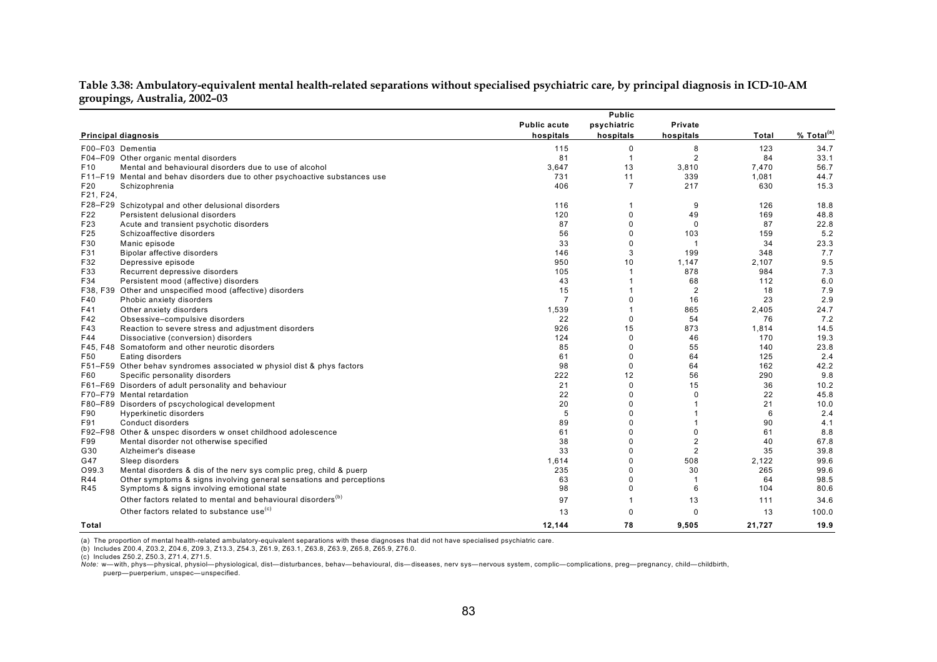| Table 3.38: Ambulatory-equivalent mental health-related separations without specialised psychiatric care, by principal diagnosis in ICD-10-AM |  |  |
|-----------------------------------------------------------------------------------------------------------------------------------------------|--|--|
| groupings, Australia, 2002-03                                                                                                                 |  |  |

|                 |                                                                             |                     | Public         |                |        |                        |
|-----------------|-----------------------------------------------------------------------------|---------------------|----------------|----------------|--------|------------------------|
|                 |                                                                             | <b>Public acute</b> | psychiatric    | Private        |        |                        |
|                 | <b>Principal diagnosis</b>                                                  | hospitals           | hospitals      | hospitals      | Total  | % Total <sup>(a)</sup> |
|                 | F00-F03 Dementia                                                            | 115                 | 0              | 8              | 123    | 34.7                   |
|                 | F04-F09 Other organic mental disorders                                      | 81                  | -1             | $\overline{2}$ | 84     | 33.1                   |
| F <sub>10</sub> | Mental and behavioural disorders due to use of alcohol                      | 3,647               | 13             | 3,810          | 7,470  | 56.7                   |
|                 | F11-F19 Mental and behav disorders due to other psychoactive substances use | 731                 | 11             | 339            | 1,081  | 44.7                   |
| F <sub>20</sub> | Schizophrenia                                                               | 406                 | $\overline{7}$ | 217            | 630    | 15.3                   |
| F21, F24,       |                                                                             |                     |                |                |        |                        |
| F28-F29         | Schizotypal and other delusional disorders                                  | 116                 |                | 9              | 126    | 18.8                   |
| F22             | Persistent delusional disorders                                             | 120                 | 0              | 49             | 169    | 48.8                   |
| F23             | Acute and transient psychotic disorders                                     | 87                  | 0              | $\Omega$       | 87     | 22.8                   |
| F25             | Schizoaffective disorders                                                   | 56                  | $\Omega$       | 103            | 159    | 5.2                    |
| F30             | Manic episode                                                               | 33                  | 0              | $\mathbf{1}$   | 34     | 23.3                   |
| F31             | Bipolar affective disorders                                                 | 146                 | 3              | 199            | 348    | 7.7                    |
| F32             | Depressive episode                                                          | 950                 | 10             | 1,147          | 2.107  | 9.5                    |
| F33             | Recurrent depressive disorders                                              | 105                 |                | 878            | 984    | 7.3                    |
| F34             | Persistent mood (affective) disorders                                       | 43                  |                | 68             | 112    | 6.0                    |
|                 | F38, F39 Other and unspecified mood (affective) disorders                   | 15                  |                | $\overline{2}$ | 18     | 7.9                    |
| F40             | Phobic anxiety disorders                                                    | $\overline{7}$      | 0              | 16             | 23     | 2.9                    |
| F41             | Other anxiety disorders                                                     | 1,539               |                | 865            | 2,405  | 24.7                   |
| F42             | Obsessive-compulsive disorders                                              | 22                  | $\Omega$       | 54             | 76     | 7.2                    |
| F43             | Reaction to severe stress and adjustment disorders                          | 926                 | 15             | 873            | 1,814  | 14.5                   |
| F44             | Dissociative (conversion) disorders                                         | 124                 | 0              | 46             | 170    | 19.3                   |
|                 | F45, F48 Somatoform and other neurotic disorders                            | 85                  | $\Omega$       | 55             | 140    | 23.8                   |
| F50             | Eating disorders                                                            | 61                  | 0              | 64             | 125    | 2.4                    |
|                 | F51-F59 Other behav syndromes associated w physiol dist & phys factors      | 98                  | $\Omega$       | 64             | 162    | 42.2                   |
| F60             | Specific personality disorders                                              | 222                 | 12             | 56             | 290    | 9.8                    |
|                 | F61-F69 Disorders of adult personality and behaviour                        | 21                  | 0              | 15             | 36     | 10.2                   |
|                 | F70-F79 Mental retardation                                                  | 22                  | 0              | $\Omega$       | 22     | 45.8                   |
|                 | F80-F89 Disorders of pscychological development                             | 20                  | 0              |                | 21     | 10.0                   |
| F90             | Hyperkinetic disorders                                                      | 5                   | 0              |                | 6      | 2.4                    |
| F91             | Conduct disorders                                                           | 89                  |                |                | 90     | 4.1                    |
|                 | F92-F98 Other & unspec disorders w onset childhood adolescence              | 61                  | $\Omega$       | $\mathbf 0$    | 61     | 8.8                    |
| F99             | Mental disorder not otherwise specified                                     | 38                  | 0              | $\overline{2}$ | 40     | 67.8                   |
| G30             | Alzheimer's disease                                                         | 33                  | 0              | 2              | 35     | 39.8                   |
| G47             | Sleep disorders                                                             | 1,614               | 0              | 508            | 2,122  | 99.6                   |
| O99.3           | Mental disorders & dis of the nerv sys complic preg, child & puerp          | 235                 | 0              | 30             | 265    | 99.6                   |
| R44             | Other symptoms & signs involving general sensations and perceptions         | 63                  | 0              |                | 64     | 98.5                   |
| R45             | Symptoms & signs involving emotional state                                  | 98                  | $\Omega$       | 6              | 104    | 80.6                   |
|                 | Other factors related to mental and behavioural disorders <sup>(b)</sup>    | 97                  |                | 13             | 111    | 34.6                   |
|                 | Other factors related to substance use <sup>(c)</sup>                       | 13                  | $\Omega$       | $\Omega$       | 13     | 100.0                  |
| Total           |                                                                             | 12,144              | 78             | 9,505          | 21,727 | 19.9                   |

(a) The proportion of mental health-related ambulatory-equivalent separations with these diagnoses that did not have specialised psychiatric care.<br>(b) Includes Z00.4, Z03.2, Z04.6, Z09.3, Z13.3, Z54.3, Z61.9, Z63.1, Z63.

(c) Includes Z50.2, Z50.3, Z71.4, Z71.5.

Note: w—with, phys—physical, physiol—physiological, dist—disturbances, behav—behavioural, dis—diseases, nerv sys—nervous system, complic-complications, preg—pregnancy, child—childbirth, puerp—puerperium, unspec—unspecified.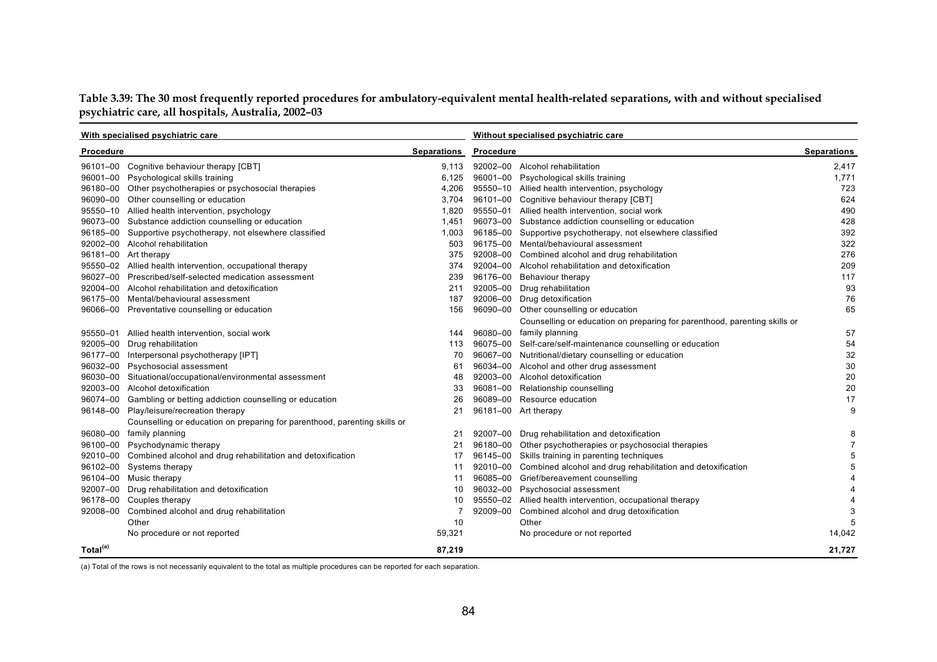**Table 3.39: The 30 most frequently reported procedures for ambulatory-equivalent mental health-related separations, with and without specialised psychiatric care, all hospitals, Australia, 2002–03** 

| With specialised psychiatric care |                                                                           |                    | Without specialised psychiatric care |                                                                           |                    |  |
|-----------------------------------|---------------------------------------------------------------------------|--------------------|--------------------------------------|---------------------------------------------------------------------------|--------------------|--|
| Procedure                         |                                                                           | <b>Separations</b> | Procedure                            |                                                                           | <b>Separations</b> |  |
|                                   | 96101-00 Cognitive behaviour therapy [CBT]                                | 9.113              |                                      | 92002-00 Alcohol rehabilitation                                           | 2,417              |  |
| 96001-00                          | Psychological skills training                                             | 6.125              |                                      | 96001-00 Psychological skills training                                    | 1.771              |  |
|                                   | 96180-00 Other psychotherapies or psychosocial therapies                  | 4,206              |                                      | 95550-10 Allied health intervention, psychology                           | 723                |  |
|                                   | 96090-00 Other counselling or education                                   | 3,704              |                                      | 96101-00 Cognitive behaviour therapy [CBT]                                | 624                |  |
| 95550-10                          | Allied health intervention, psychology                                    | 1.820              |                                      | 95550-01 Allied health intervention, social work                          | 490                |  |
|                                   | 96073-00 Substance addiction counselling or education                     | 1,451              |                                      | 96073-00 Substance addiction counselling or education                     | 428                |  |
|                                   | 96185-00 Supportive psychotherapy, not elsewhere classified               | 1,003              |                                      | 96185-00 Supportive psychotherapy, not elsewhere classified               | 392                |  |
|                                   | 92002-00 Alcohol rehabilitation                                           | 503                |                                      | 96175-00 Mental/behavioural assessment                                    | 322                |  |
|                                   | 96181-00 Art therapy                                                      | 375                |                                      | 92008-00 Combined alcohol and drug rehabilitation                         | 276                |  |
|                                   | 95550-02 Allied health intervention, occupational therapy                 | 374                |                                      | 92004-00 Alcohol rehabilitation and detoxification                        | 209                |  |
| 96027-00                          | Prescribed/self-selected medication assessment                            | 239                |                                      | 96176-00 Behaviour therapy                                                | 117                |  |
| 92004-00                          | Alcohol rehabilitation and detoxification                                 | 211                |                                      | 92005-00 Drug rehabilitation                                              | 93                 |  |
|                                   | 96175-00 Mental/behavioural assessment                                    | 187                |                                      | 92006-00 Drug detoxification                                              | 76                 |  |
|                                   | 96066-00 Preventative counselling or education                            | 156                |                                      | 96090-00 Other counselling or education                                   | 65                 |  |
|                                   |                                                                           |                    |                                      | Counselling or education on preparing for parenthood, parenting skills or |                    |  |
|                                   | 95550-01 Allied health intervention, social work                          | 144                |                                      | 96080-00 family planning                                                  | 57                 |  |
| 92005-00                          | Drug rehabilitation                                                       | 113                |                                      | 96075-00 Self-care/self-maintenance counselling or education              | 54                 |  |
| 96177-00                          | Interpersonal psychotherapy [IPT]                                         | 70                 |                                      | 96067-00 Nutritional/dietary counselling or education                     | 32                 |  |
| 96032-00                          | Psychosocial assessment                                                   | 61                 |                                      | 96034-00 Alcohol and other drug assessment                                | 30                 |  |
| 96030-00                          | Situational/occupational/environmental assessment                         | 48                 |                                      | 92003-00 Alcohol detoxification                                           | 20                 |  |
| 92003-00                          | Alcohol detoxification                                                    | 33                 |                                      | 96081-00 Relationship counselling                                         | 20                 |  |
| 96074-00                          | Gambling or betting addiction counselling or education                    | 26                 |                                      | 96089-00 Resource education                                               | 17                 |  |
| 96148-00                          | Play/leisure/recreation therapy                                           | 21                 |                                      | 96181-00 Art therapy                                                      | 9                  |  |
|                                   | Counselling or education on preparing for parenthood, parenting skills or |                    |                                      |                                                                           |                    |  |
| 96080-00                          | family planning                                                           | 21                 |                                      | 92007-00 Drug rehabilitation and detoxification                           | 8                  |  |
| 96100-00                          | Psychodynamic therapy                                                     | 21                 |                                      | 96180-00 Other psychotherapies or psychosocial therapies                  | $\overline{7}$     |  |
| 92010-00                          | Combined alcohol and drug rehabilitation and detoxification               | 17                 |                                      | 96145-00 Skills training in parenting techniques                          | 5                  |  |
| 96102-00                          | Systems therapy                                                           | 11                 |                                      | 92010-00 Combined alcohol and drug rehabilitation and detoxification      | 5                  |  |
| 96104-00                          | Music therapy                                                             | 11                 |                                      | 96085-00 Grief/bereavement counselling                                    | 4                  |  |
| 92007-00                          | Drug rehabilitation and detoxification                                    | 10                 |                                      | 96032-00 Psychosocial assessment                                          | 4                  |  |
|                                   | 96178-00 Couples therapy                                                  | 10                 |                                      | 95550-02 Allied health intervention, occupational therapy                 | $\overline{4}$     |  |
| 92008-00                          | Combined alcohol and drug rehabilitation                                  | $\overline{7}$     |                                      | 92009-00 Combined alcohol and drug detoxification                         | 3                  |  |
|                                   | Other                                                                     | 10                 |                                      | Other                                                                     | 5                  |  |
|                                   | No procedure or not reported                                              | 59,321             |                                      | No procedure or not reported                                              | 14,042             |  |
| Total <sup>(a)</sup>              |                                                                           | 87,219             |                                      |                                                                           | 21,727             |  |

(a) Total of the rows is not necessarily equivalent to the total as multiple procedures can be reported for each separation.